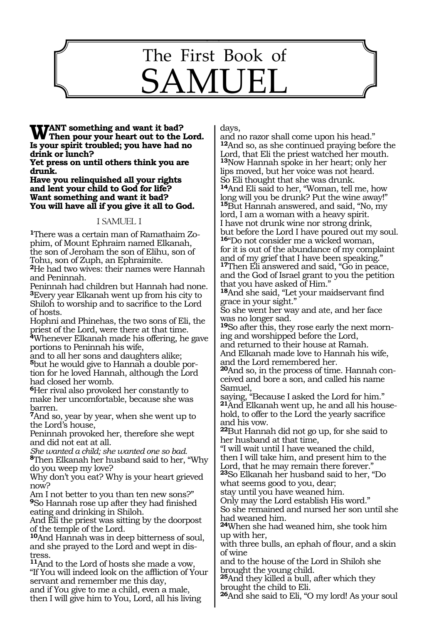# The First Book of SAMUEL

343

**WANT** something and want it bad?<br> **W** Then pour your heart out to the Lord.<br> **Is your gridit traubled** you have hed no **Is your spirit troubled; you have had no drink or lunch?**

**Yet press on until others think you are drunk.**

**Have you relinquished all your rights and lent your child to God for life? Want something and want it bad? You will have all if you give it all to God.**

#### 1 SAMUEL 1

**<sup>1</sup>**There was a certain man of Ramathaim Zo- phim, of Mount Ephraim named Elkanah, the son of Jeroham the son of Elihu, son of Tohu, son of Zuph, an Ephraimite.

**<sup>2</sup>**He had two wives: their names were Hannah and Peninnah.

Peninnah had children but Hannah had none. **<sup>3</sup>**Every year Elkanah went up from his city to Shiloh to worship and to sacrifice to the Lord of hosts.

Hophni and Phinehas, the two sons of Eli, the priest of the Lord, were there at that time.

**<sup>4</sup>**Whenever Elkanah made his offering, he gave portions to Peninnah his wife,

and to all her sons and daughters alike; **5**but he would give to Hannah a double portion for he loved Hannah, although the Lord had closed her womb.

**<sup>6</sup>**Her rival also provoked her constantly to make her uncomfortable, because she was barren.

**<sup>7</sup>**And so, year by year, when she went up to the Lord's house,

Peninnah provoked her, therefore she wept and did not eat at all.

*She wanted a child; she wanted one so bad.*

**<sup>8</sup>**Then Elkanah her husband said to her, "Why do you weep my love?

Why don't you eat? Why is your heart grieved now?

Am I not better to you than ten new sons?" **<sup>9</sup>**So Hannah rose up after they had finished eating and drinking in Shiloh.

And Eli the priest was sitting by the doorpost of the temple of the Lord.

**<sup>10</sup>**And Hannah was in deep bitterness of soul, and she prayed to the Lord and wept in dis- tress.

**<sup>11</sup>**And to the Lord of hosts she made a vow, "If You will indeed look on the affliction of Your servant and remember me this day,

and if You give to me a child, even a male, then I will give him to You, Lord, all his living days,

and no razor shall come upon his head." **<sup>12</sup>**And so, as she continued praying before the Lord, that Eli the priest watched her mouth. **<sup>13</sup>**Now Hannah spoke in her heart; only her lips moved, but her voice was not heard. So Eli thought that she was drunk. **<sup>14</sup>**And Eli said to her, "Woman, tell me, how long will you be drunk? Put the wine away!" **<sup>15</sup>**But Hannah answered, and said, "No, my lord, I am a woman with a heavy spirit. I have not drunk wine nor strong drink, but before the Lord I have poured out my soul. **<sup>16</sup>**"Do not consider me a wicked woman,

for it is out of the abundance of my complaint and of my grief that I have been speaking." **<sup>17</sup>**Then Eli answered and said, "Go in peace,

and the God of Israel grant to you the petition that you have asked of Him."

**<sup>18</sup>**And she said, "Let your maidservant find grace in your sight."

So she went her way and ate, and her face was no longer sad.

**<sup>19</sup>**So after this, they rose early the next morn- ing and worshipped before the Lord, and returned to their house at Ramah. And Elkanah made love to Hannah his wife,

and the Lord remembered her.

**20**And so, in the process of time. Hannah conceived and bore a son, and called his name Samuel,

saying, "Because I asked the Lord for him." **21**And Elkanah went up, he and all his household, to offer to the Lord the yearly sacrifice and his vow.

**<sup>22</sup>**But Hannah did not go up, for she said to her husband at that time,

"I will wait until I have weaned the child, then I will take him, and present him to the Lord, that he may remain there forever."

**<sup>23</sup>**So Elkanah her husband said to her, "Do what seems good to you, dear;

stay until you have weaned him.

Only may the Lord establish His word."

So she remained and nursed her son until she had weaned him.

**<sup>24</sup>**When she had weaned him, she took him up with her,

with three bulls, an ephah of flour, and a skin of wine

and to the house of the Lord in Shiloh she brought the young child.

**<sup>25</sup>**And they killed a bull, after which they brought the child to Eli.

**<sup>26</sup>**And she said to Eli, "O my lord! As your soul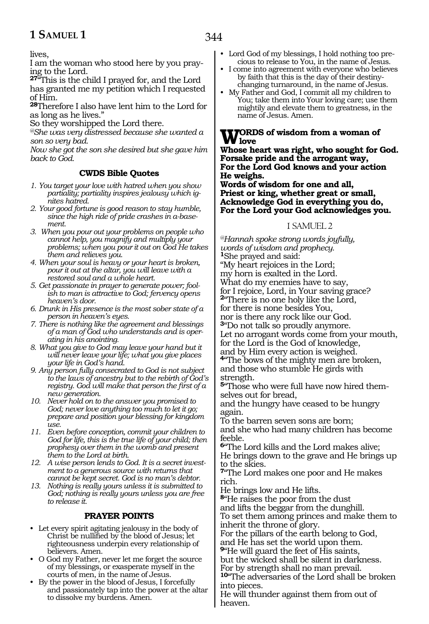lives,

I am the woman who stood here by you praying to the Lord.

**<sup>27</sup>**"This is the child I prayed for, and the Lord has granted me my petition which I requested of Him.

**<sup>28</sup>**Therefore I also have lent him to the Lord for as long as he lives."

So they worshipped the Lord there.

*@She was very distressed because she wanted a son so very bad.*

*Now she got the son she desired but she gave him back to God.*

#### **CWDS Bible Quotes**

- *1. You target your love with hatred when you show partiality; partiality inspires jealousy which ignites hatred.*
- *2. Your good fortune is good reason to stay humble, since the high ride of pride crashes in a-basement.*
- *3. When you pour out your problems on people who cannot help, you magnify and multiply your problems; when you pour it out on God He takes them and relieves you.*
- *4. When your soul is heavy or your heart is broken, pour it out at the altar, you will leave with a restored soul and a whole heart.*
- *5. Get passionate in prayer to generate power; foolish to man is attractive to God; fervency opens heaven's door.*
- *6. Drunk in His presence is the most sober state of a person in heaven's eyes.*
- *7. There is nothing like the agreement and blessings of a man of God who understands and is operating in his anointing.*
- *8. What you give to God may leave your hand but it will never leave your life; what you give places your life in God's hand.*
- *9. Any person fully consecrated to God is not subject to the laws of ancestry but to the rebirth of God's registry. God will make that person the first of a new generation.*
- *10. Never hold on to the answer you promised to God; never love anything too much to let it go; prepare and position your blessing for kingdom use.*
- *11. Even before conception, commit your children to God for life, this is the true life of your child; then prophesy over them in the womb and present them to the Lord at birth.*
- *12. A wise person lends to God. It is a secret investment to a generous source with returns that cannot be kept secret. God is no man's debtor.*
- *13. Nothing is really yours unless it is submitted to God; nothing is really yours unless you are free to release it.*

#### **PRAYER POINTS**

- Let every spirit agitating jealousy in the body of Christ be nullified by the blood of Jesus; let righteousness underpin every relationship of believers. Amen.
- O God my Father, never let me forget the source of my blessings, or exasperate myself in the courts of men, in the name of Jesus.
- By the power in the blood of Jesus, I forcefully and passionately tap into the power at the altar to dissolve my burdens. Amen.
- Lord God of my blessings, I hold nothing too precious to release to You, in the name of Jesus.
- I come into agreement with everyone who believes by faith that this is the day of their destinychanging turnaround, in the name of Jesus.
- My Father and God, I commit all my children to You; take them into Your loving care; use them mightily and elevate them to greatness, in the name of Jesus. Amen.

## **WORDS** of wisdom from a woman of<br>Where heart was sight, who cought for (

**Whose heart was right, who sought for God. Forsake pride and the arrogant way, For the Lord God knows and your action He weighs.**

**Words of wisdom for one and all, Priest or king, whether great or small, Acknowledge God in everything you do, For the Lord your God acknowledges you.**

#### 1 SAMUEL 2

*@Hannah spoke strong words joyfully, words of wisdom and prophecy.* **<sup>1</sup>**She prayed and said: "My heart rejoices in the Lord; my horn is exalted in the Lord. What do my enemies have to say, for I rejoice, Lord, in Your saving grace? **<sup>2</sup>**"There is no one holy like the Lord, for there is none besides You, nor is there any rock like our God. **<sup>3</sup>**"Do not talk so proudly anymore. Let no arrogant words come from your mouth, for the Lord is the God of knowledge, and by Him every action is weighed. **<sup>4</sup>**"The bows of the mighty men are broken, and those who stumble He girds with strength.

**5**"Those who were full have now hired themselves out for bread,

and the hungry have ceased to be hungry again.

To the barren seven sons are born; and she who had many children has become feeble.

**<sup>6</sup>**"The Lord kills and the Lord makes alive; He brings down to the grave and He brings up to the skies.

**<sup>7</sup>**"The Lord makes one poor and He makes rich.

He brings low and He lifts.

**<sup>8</sup>**"He raises the poor from the dust and lifts the beggar from the dunghill. To set them among princes and make them to inherit the throne of glory.

For the pillars of the earth belong to God, and He has set the world upon them.

**<sup>9</sup>**"He will guard the feet of His saints, but the wicked shall be silent in darkness.

For by strength shall no man prevail. **<sup>10</sup>**"The adversaries of the Lord shall be broken

into pieces. He will thunder against them from out of heaven.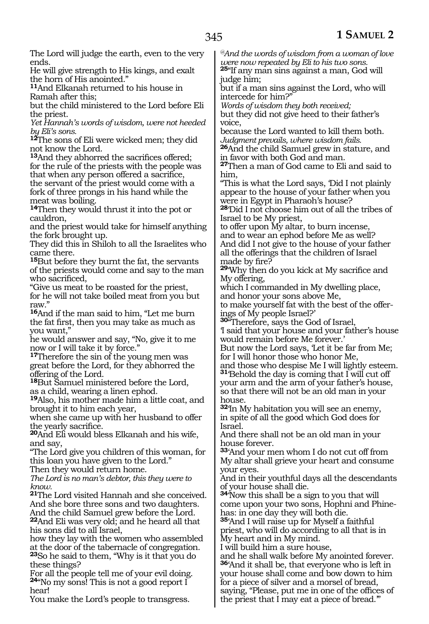The Lord will judge the earth, even to the very ends.

He will give strength to His kings, and exalt the horn of His anointed."

**<sup>11</sup>**And Elkanah returned to his house in Ramah after this;

but the child ministered to the Lord before Eli the priest.

*Yet Hannah's words of wisdom, were not heeded by Eli's sons.*

**<sup>12</sup>**The sons of Eli were wicked men; they did not know the Lord.

**<sup>13</sup>**And they abhorred the sacrifices offered; for the rule of the priests with the people was that when any person offered a sacrifice, the servant of the priest would come with a fork of three prongs in his hand while the meat was boiling.

**<sup>14</sup>**Then they would thrust it into the pot or cauldron,

and the priest would take for himself anything the fork brought up.

They did this in Shiloh to all the Israelites who came there.

**<sup>15</sup>**But before they burnt the fat, the servants of the priests would come and say to the man who sacrificed,

"Give us meat to be roasted for the priest, for he will not take boiled meat from you but raw."

**<sup>16</sup>**And if the man said to him, "Let me burn the fat first, then you may take as much as you want,"

he would answer and say, "No, give it to me now or I will take it by force."

**<sup>17</sup>**Therefore the sin of the young men was great before the Lord, for they abhorred the offering of the Lord.

**<sup>18</sup>**But Samuel ministered before the Lord, as a child, wearing a linen ephod.

**<sup>19</sup>**Also, his mother made him a little coat, and brought it to him each year,

when she came up with her husband to offer the yearly sacrifice.

**<sup>20</sup>**And Eli would bless Elkanah and his wife, and say,

"The Lord give you children of this woman, for this loan you have given to the Lord."

Then they would return home.

*The Lord is no man's debtor, this they were to know.*

**<sup>21</sup>**The Lord visited Hannah and she conceived. And she bore three sons and two daughters. And the child Samuel grew before the Lord.

**<sup>22</sup>**And Eli was very old; and he heard all that his sons did to all Israel,

how they lay with the women who assembled at the door of the tabernacle of congregation. **<sup>23</sup>**So he said to them, "Why is it that you do these things?

For all the people tell me of your evil doing. **<sup>24</sup>**"No my sons! This is not a good report I hear!

You make the Lord's people to transgress.

*@And the words of wisdom from a woman of love were now repeated by Eli to his two sons.* **<sup>25</sup>**"If any man sins against a man, God will

judge him;

but if a man sins against the Lord, who will intercede for him?"

*Words of wisdom they both received;* but they did not give heed to their father's voice,

because the Lord wanted to kill them both. *Judgment prevails, where wisdom fails.*

**<sup>26</sup>**And the child Samuel grew in stature, and in favor with both God and man.

**<sup>27</sup>**Then a man of God came to Eli and said to him,

"This is what the Lord says, 'Did I not plainly appear to the house of your father when you were in Egypt in Pharaoh's house?

**<sup>28</sup>**'Did I not choose him out of all the tribes of Israel to be My priest,

to offer upon My altar, to burn incense, and to wear an ephod before Me as well? And did I not give to the house of your father all the offerings that the children of Israel made by fire?

**<sup>29</sup>**'Why then do you kick at My sacrifice and My offering,

which I commanded in My dwelling place, and honor your sons above Me,

to make yourself fat with the best of the offerings of My people Israel?'

**<sup>30</sup>**"Therefore, says the God of Israel,

'I said that your house and your father's house would remain before Me forever.'

But now the Lord says, 'Let it be far from Me; for I will honor those who honor Me,

and those who despise Me I will lightly esteem. **<sup>31</sup>**'Behold the day is coming that I will cut off your arm and the arm of your father's house, so that there will not be an old man in your house.

**<sup>32</sup>**'In My habitation you will see an enemy, in spite of all the good which God does for Israel.

And there shall not be an old man in your house forever.

**<sup>33</sup>**'And your men whom I do not cut off from My altar shall grieve your heart and consume your eyes.

And in their youthful days all the descendants of your house shall die.

**<sup>34</sup>**'Now this shall be a sign to you that will come upon your two sons, Hophni and Phinehas: in one day they will both die.

**<sup>35</sup>**'And I will raise up for Myself a faithful priest, who will do according to all that is in My heart and in My mind.

I will build him a sure house,

and he shall walk before My anointed forever. **<sup>36</sup>**'And it shall be, that everyone who is left in your house shall come and bow down to him for a piece of silver and a morsel of bread, saying, "Please, put me in one of the offices of the priest that I may eat a piece of bread.'"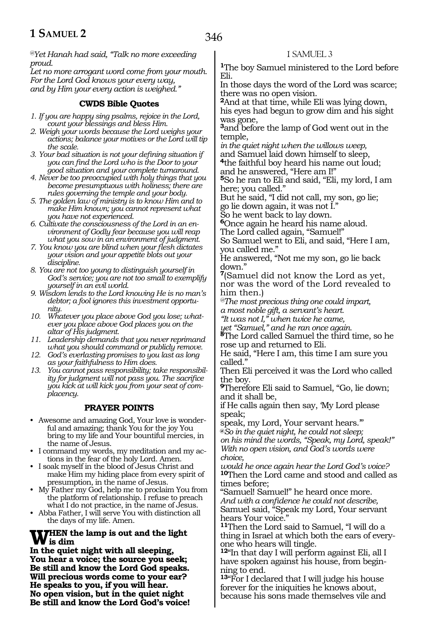*@Yet Hanah had said, "Talk no more exceeding proud.*

*Let no more arrogant word come from your mouth. For the Lord God knows your every way, and by Him your every action is weighed."*

#### **CWDS Bible Quotes**

*1. If you are happy sing psalms, rejoice in the Lord, count your blessings and bless Him.*

- *2. Weigh your words because the Lord weighs your actions; balance your motives or the Lord will tip the scale.*
- *3. Your bad situation is not your defining situation if you can find the Lord who is the Door to your good situation and your complete turnaround.*

*4. Never be too preoccupied with holy things that you become presumptuous with holiness; there are rules governing the temple and your body.*

*5. The golden law of ministry is to know Him and to make Him known; you cannot represent what you have not experienced.* 

*6. Cultivate the consciousness of the Lord in an environment of Godly fear because you will reap what you sow in an environment of judgment.*

*7. You know you are blind when your flesh dictates your vision and your appetite blots out your discipline.*

*8. You are not too young to distinguish yourself in God's service; you are not too small to exemplify yourself in an evil world.*

*9. Wisdom lends to the Lord knowing He is no man's debtor; a fool ignores this investment opportunity.*

*10. Whatever you place above God you lose; whatever you place above God places you on the altar of His judgment.*

*11. Leadership demands that you never reprimand what you should command or publicly remove.*

*12. God's everlasting promises to you last as long as your faithfulness to Him does.*

*13. You cannot pass responsibility; take responsibility for judgment will not pass you. The sacrifice you kick at will kick you from your seat of complacency.*

#### **PRAYER POINTS**

• Awesome and amazing God, Your love is wonderful and amazing; thank You for the joy You bring to my life and Your bountiful mercies, in the name of Jesus.

• I command my words, my meditation and my actions in the fear of the holy Lord. Amen.

• I soak myself in the blood of Jesus Christ and make Him my hiding place from every spirit of presumption, in the name of Jesus.

• My Father my God, help me to proclaim You from the platform of relationship. I refuse to preach what I do not practice, in the name of Jesus.

• Abba Father, I will serve You with distinction all the days of my life. Amen.

## **WHEN** the lamp is out and the light<br> **W** is dim <br> **In the quist gight with all election**

**In the quiet night with all sleeping, You hear a voice; the source you seek; Be still and know the Lord God speaks. Will precious words come to your ear? He speaks to you, if you will hear. No open vision, but in the quiet night Be still and know the Lord God's voice!** 

#### 1 SAMUEL 3

**<sup>1</sup>**The boy Samuel ministered to the Lord before Eli.

In those days the word of the Lord was scarce; there was no open vision.

**<sup>2</sup>**And at that time, while Eli was lying down, his eyes had begun to grow dim and his sight was gone,

**<sup>3</sup>**and before the lamp of God went out in the temple,

*in the quiet night when the willows weep,*  and Samuel laid down himself to sleep,

**<sup>4</sup>**the faithful boy heard his name out loud; and he answered, "Here am I!"

**<sup>5</sup>**So he ran to Eli and said, "Eli, my lord, I am here; you called."

But he said, "I did not call, my son, go lie; go lie down again, it was not I."

So he went back to lay down.

**<sup>6</sup>**Once again he heard his name aloud. The Lord called again, "Samuel!"

So Samuel went to Eli, and said, "Here I am, you called me."

He answered, "Not me my son, go lie back down."

**<sup>7</sup>**(Samuel did not know the Lord as yet, nor was the word of the Lord revealed to him then.)

*@The most precious thing one could impart, a most noble gift, a servant's heart.*

*"It was not I," when twice he came,* 

*yet "Samuel," and he ran once again.* 

**<sup>8</sup>**The Lord called Samuel the third time, so he rose up and returned to Eli.

He said, "Here I am, this time I am sure you called."

Then Eli perceived it was the Lord who called the boy.

**<sup>9</sup>**Therefore Eli said to Samuel, "Go, lie down; and it shall be,

if He calls again then say, 'My Lord please speak;

speak, my Lord, Your servant hears.'" **@***So in the quiet night, he could not sleep; on his mind the words, "Speak, my Lord, speak!" With no open vision, and God's words were choice,* 

*would he once again hear the Lord God's voice?*  **<sup>10</sup>**Then the Lord came and stood and called as times before;

"Samuel! Samuel!" he heard once more. *And with a confidence he could not describe,*  Samuel said, "Speak my Lord, Your servant hears Your voice."

**<sup>11</sup>**Then the Lord said to Samuel, "I will do a thing in Israel at which both the ears of everyone who hears will tingle.

**<sup>12</sup>**"In that day I will perform against Eli, all I have spoken against his house, from beginning to end.

**<sup>13</sup>**"For I declared that I will judge his house forever for the iniquities he knows about, because his sons made themselves vile and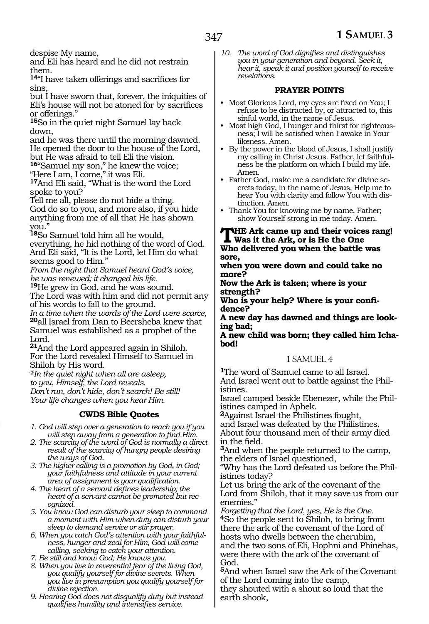despise My name,

and Eli has heard and he did not restrain them.

**<sup>14</sup>**"I have taken offerings and sacrifices for sins,

but I have sworn that, forever, the iniquities of Eli's house will not be atoned for by sacrifices or offerings."

**<sup>15</sup>**So in the quiet night Samuel lay back down,

and he was there until the morning dawned. He opened the door to the house of the Lord, but He was afraid to tell Eli the vision.

**<sup>16</sup>**"Samuel my son," he knew the voice;

"Here I am, I come," it was Eli.

**<sup>17</sup>**And Eli said, "What is the word the Lord spoke to you?

Tell me all, please do not hide a thing. God do so to you, and more also, if you hide anything from me of all that He has shown you."

**<sup>18</sup>**So Samuel told him all he would, everything, he hid nothing of the word of God. And Eli said, "It is the Lord, let Him do what seems good to Him."

*From the night that Samuel heard God's voice, he was renewed; it changed his life.* 

**<sup>19</sup>**He grew in God, and he was sound. The Lord was with him and did not permit any of his words to fall to the ground.

*In a time when the words of the Lord were scarce,*  **<sup>20</sup>**all Israel from Dan to Beersheba knew that Samuel was established as a prophet of the Lord.

**<sup>21</sup>**And the Lord appeared again in Shiloh. For the Lord revealed Himself to Samuel in Shiloh by His word.

@*In the quiet night when all are asleep, to you, Himself, the Lord reveals. Don't run, don't hide, don't search! Be still! Your life changes when you hear Him.* 

#### **CWDS Bible Quotes**

- *1. God will step over a generation to reach you if you will step away from a generation to find Him.*
- *2. The scarcity of the word of God is normally a direct result of the scarcity of hungry people desiring the ways of God.*
- *3. The higher calling is a promotion by God, in God; your faithfulness and attitude in your current area of assignment is your qualification.*
- *4. The heart of a servant defines leadership; the heart of a servant cannot be promoted but recognized.*
- *5. You know God can disturb your sleep to command a moment with Him when duty can disturb your sleep to demand service or stir prayer.*

*6. When you catch God's attention with your faithfulness, hunger and zeal for Him, God will come calling, seeking to catch your attention.*

*7. Be still and know God; He knows you.*

- *8. When you live in reverential fear of the living God, you qualify yourself for divine secrets. When you live in presumption you qualify yourself for divine rejection.*
- *9. Hearing God does not disqualify duty but instead qualifies humility and intensifies service.*

*10. The word of God dignifies and distinguishes you in your generation and beyond. Seek it, hear it, speak it and position yourself to receive revelations.*

#### **PRAYER POINTS**

- Most Glorious Lord, my eyes are fixed on You; I refuse to be distracted by, or attracted to, this sinful world, in the name of Jesus.
- Most high God, I hunger and thirst for righteousness; I will be satisfied when I awake in Your likeness. Amen.
- By the power in the blood of Jesus, I shall justify my calling in Christ Jesus. Father, let faithfulness be the platform on which I build my life. Amen.
- Father God, make me a candidate for divine secrets today, in the name of Jesus. Help me to hear You with clarity and follow You with distinction. Amen.
- Thank You for knowing me by name, Father; show Yourself strong in me today. Amen.

#### **THe Ark came up and their voices rang! Was it the Ark, or is He the One Who delivered you when the battle was sore,**

**when you were down and could take no more?**

**Now the Ark is taken; where is your strength?**

**Who is your help? Where is your confidence?**

**A new day has dawned and things are looking bad;**

**A new child was born; they called him Ichabod!**

#### 1 SAMUEL 4

**<sup>1</sup>**The word of Samuel came to all Israel. And Israel went out to battle against the Philistines.

Israel camped beside Ebenezer, while the Philistines camped in Aphek.

**<sup>2</sup>**Against Israel the Philistines fought,

and Israel was defeated by the Philistines. About four thousand men of their army died in the field.

**<sup>3</sup>**And when the people returned to the camp, the elders of Israel questioned,

"Why has the Lord defeated us before the Philistines today?

Let us bring the ark of the covenant of the Lord from Shiloh, that it may save us from our enemies."

*Forgetting that the Lord, yes, He is the One.* **<sup>4</sup>**So the people sent to Shiloh, to bring from there the ark of the covenant of the Lord of hosts who dwells between the cherubim, and the two sons of Eli, Hophni and Phinehas, were there with the ark of the covenant of God.

**<sup>5</sup>**And when Israel saw the Ark of the Covenant of the Lord coming into the camp, they shouted with a shout so loud that the earth shook,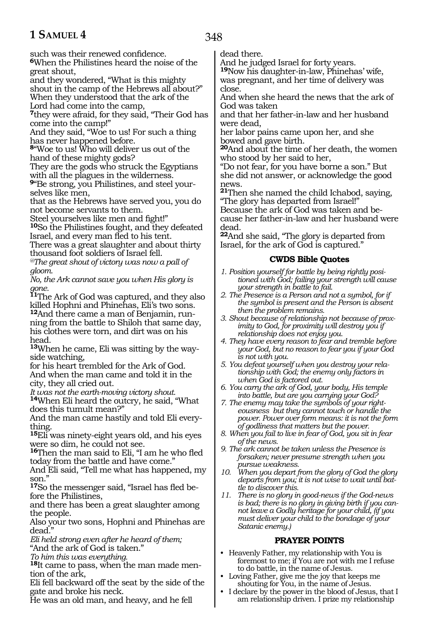such was their renewed confidence.

**<sup>6</sup>**When the Philistines heard the noise of the great shout,

and they wondered, "What is this mighty shout in the camp of the Hebrews all about?" When they understood that the ark of the Lord had come into the camp,

**<sup>7</sup>**they were afraid, for they said, "Their God has come into the camp!"

And they said, "Woe to us! For such a thing has never happened before.

**<sup>8</sup>**"Woe to us! Who will deliver us out of the hand of these mighty gods?

They are the gods who struck the Egyptians with all the plagues in the wilderness.

**9**"Be strong, you Philistines, and steel yourselves like men,

that as the Hebrews have served you, you do not become servants to them.

Steel yourselves like men and fight!"

**<sup>10</sup>**So the Philistines fought, and they defeated Israel, and every man fled to his tent.

There was a great slaughter and about thirty thousand foot soldiers of Israel fell.

*@The great shout of victory was now a pall of gloom.*

*No, the Ark cannot save you when His glory is gone.*

**<sup>11</sup>**The Ark of God was captured, and they also killed Hophni and Phinehas, Eli's two sons.

**12**And there came a man of Benjamin, running from the battle to Shiloh that same day, his clothes were torn, and dirt was on his head.

**<sup>13</sup>**When he came, Eli was sitting by the way- side watching,

for his heart trembled for the Ark of God. And when the man came and told it in the city, they all cried out.

*It was not the earth-moving victory shout.* **<sup>14</sup>**When Eli heard the outcry, he said, "What does this tumult mean?"

And the man came hastily and told Eli everything.

**<sup>15</sup>**Eli was ninety-eight years old, and his eyes were so dim, he could not see.

**<sup>16</sup>**Then the man said to Eli, "I am he who fled today from the battle and have come."

And Eli said, "Tell me what has happened, my son."

**17**So the messenger said, "Israel has fled before the Philistines,

and there has been a great slaughter among the people.

Also your two sons, Hophni and Phinehas are dead."

*Eli held strong even after he heard of them;* "And the ark of God is taken."

*To him this was everything.*

**18**It came to pass, when the man made mention of the ark,

Eli fell backward off the seat by the side of the gate and broke his neck.

He was an old man, and heavy, and he fell

dead there.

And he judged Israel for forty years. **<sup>19</sup>**Now his daughter-in-law, Phinehas' wife,

was pregnant, and her time of delivery was close.

And when she heard the news that the ark of God was taken

and that her father-in-law and her husband were dead,

her labor pains came upon her, and she bowed and gave birth.

**<sup>20</sup>**And about the time of her death, the women who stood by her said to her,

"Do not fear, for you have borne a son." But she did not answer, or acknowledge the good news.

**<sup>21</sup>**Then she named the child Ichabod, saying, "The glory has departed from Israel!"

Because the ark of God was taken and because her father-in-law and her husband were dead.

**<sup>22</sup>**And she said, "The glory is departed from Israel, for the ark of God is captured."

#### **CWDS Bible Quotes**

- *1. Position yourself for battle by being rightly positioned with God; failing your strength will cause your strength in battle to fail.*
- *2. The Presence is a Person and not a symbol, for if the symbol is present and the Person is absent then the problem remains.*
- *3. Shout because of relationship not because of proximity to God, for proximity will destroy you if relationship does not enjoy you.*
- *4. They have every reason to fear and tremble before your God, but no reason to fear you if your God is not with you.*
- *5. You defeat yourself when you destroy your relationship with God; the enemy only factors in when God is factored out.*
- *6. You carry the ark of God, your body, His temple into battle, but are you carrying your God?*
- *7. The enemy may take the symbols of your righteousness but they cannot touch or handle the power. Power over form means: it is not the form of godliness that matters but the power.*
- *8. When you fail to live in fear of God, you sit in fear of the news.*
- *9. The ark cannot be taken unless the Presence is forsaken; never presume strength when you pursue weakness.*
- *10. When you depart from the glory of God the glory departs from you; it is not wise to wait until battle to discover this.*
- *11. There is no glory in good-news if the God-news is bad; there is no glory in giving birth if you cannot leave a Godly heritage for your child, (if you must deliver your child to the bondage of your Satanic enemy.)*

#### **PRAYER POINTS**

- Heavenly Father, my relationship with You is foremost to me; if You are not with me I refuse to do battle, in the name of Jesus.
- Loving Father, give me the joy that keeps me shouting for You, in the name of Jesus.
- I declare by the power in the blood of Jesus, that I am relationship driven. I prize my relationship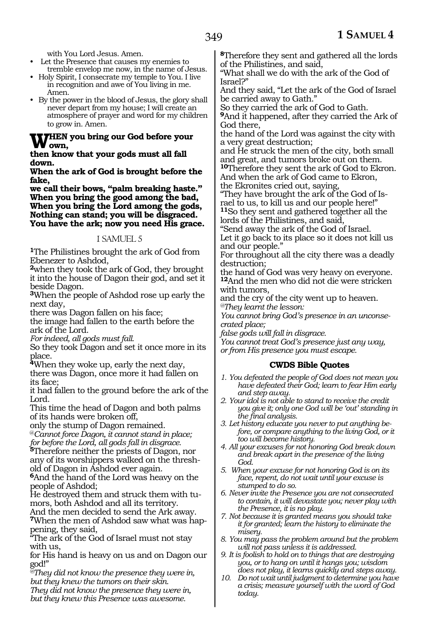with You Lord Jesus. Amen.

- Let the Presence that causes my enemies to tremble envelop me now, in the name of Jesus.
- Holy Spirit, I consecrate my temple to You. I live in recognition and awe of You living in me. Amen.
- By the power in the blood of Jesus, the glory shall never depart from my house; I will create an atmosphere of prayer and word for my children to grow in. Amen.

#### **When you bring our God before your own,**

**then know that your gods must all fall down.**

**When the ark of God is brought before the fake,**

**we call their bows, "palm breaking haste." When you bring the good among the bad, When you bring the Lord among the gods, Nothing can stand; you will be disgraced. You have the ark; now you need His grace.**

#### 1 SAMUEL 5

**<sup>1</sup>**The Philistines brought the ark of God from Ebenezer to Ashdod,

**<sup>2</sup>**when they took the ark of God, they brought it into the house of Dagon their god, and set it beside Dagon.

**<sup>3</sup>**When the people of Ashdod rose up early the next day,

there was Dagon fallen on his face;

the image had fallen to the earth before the ark of the Lord.

*For indeed, all gods must fall.*

So they took Dagon and set it once more in its place.

**<sup>4</sup>**When they woke up, early the next day,

there was Dagon, once more it had fallen on its face;

it had fallen to the ground before the ark of the Lord.

This time the head of Dagon and both palms of its hands were broken off,

only the stump of Dagon remained.

@*Cannot force Dagon, it cannot stand in place; for before the Lord, all gods fall in disgrace.* 

**<sup>5</sup>**Therefore neither the priests of Dagon, nor any of its worshippers walked on the threshold of Dagon in Ashdod ever again.

**<sup>6</sup>**And the hand of the Lord was heavy on the people of Ashdod;

He destroyed them and struck them with tumors, both Ashdod and all its territory.

And the men decided to send the Ark away. **7**When the men of Ashdod saw what was happening, they said,

"The ark of the God of Israel must not stay with us,

for His hand is heavy on us and on Dagon our god!"

*@They did not know the presence they were in, but they knew the tumors on their skin.*

*They did not know the presence they were in, but they knew this Presence was awesome.*

**<sup>8</sup>**Therefore they sent and gathered all the lords of the Philistines, and said,

"What shall we do with the ark of the God of Israel?"

And they said, "Let the ark of the God of Israel be carried away to Gath."

So they carried the ark of God to Gath.

**<sup>9</sup>**And it happened, after they carried the Ark of God there,

the hand of the Lord was against the city with a very great destruction;

and He struck the men of the city, both small and great, and tumors broke out on them.

**<sup>10</sup>**Therefore they sent the ark of God to Ekron. And when the ark of God came to Ekron, the Ekronites cried out, saying,

"They have brought the ark of the God of Israel to us, to kill us and our people here!" **<sup>11</sup>**So they sent and gathered together all the lords of the Philistines, and said,

"Send away the ark of the God of Israel.

Let it go back to its place so it does not kill us and our people."

For throughout all the city there was a deadly destruction;

the hand of God was very heavy on everyone. **<sup>12</sup>**And the men who did not die were stricken with tumors,

and the cry of the city went up to heaven. *@They learnt the lesson:* 

*You cannot bring God's presence in an unconsecrated place;* 

*false gods will fall in disgrace.*

*You cannot treat God's presence just any way, or from His presence you must escape.*

#### **CWDS Bible Quotes**

- *1. You defeated the people of God does not mean you have defeated their God; learn to fear Him early and step away.*
- *2. Your idol is not able to stand to receive the credit you give it; only one God will be 'out' standing in the final analysis.*
- *3. Let history educate you never to put anything before, or compare anything to the living God, or it too will become history.*
- *4. All your excuses for not honoring God break down and break apart in the presence of the living God.*
- *5. When your excuse for not honoring God is on its face, repent, do not wait until your excuse is stumped to do so.*
- *6. Never invite the Presence you are not consecrated to contain, it will devastate you; never play with the Presence, it is no play.*
- *7. Not because it is granted means you should take it for granted; learn the history to eliminate the misery.*
- *8. You may pass the problem around but the problem will not pass unless it is addressed.*
- *9. It is foolish to hold on to things that are destroying you, or to hang on until it hangs you; wisdom does not play, it learns quickly and steps away.*
- *10. Do not wait until judgment to determine you have a crisis; measure yourself with the word of God today.*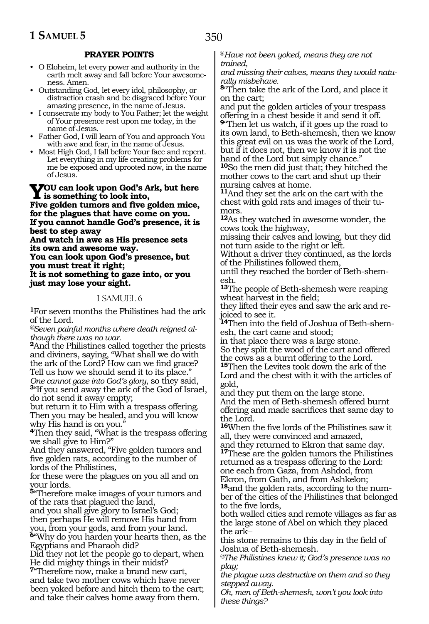#### **PRAYER POINTS**

- O Eloheim, let every power and authority in the earth melt away and fall before Your awesomeness. Amen.
- Outstanding God, let every idol, philosophy, or distraction crash and be disgraced before Your amazing presence, in the name of Jesus.
- I consecrate my body to You Father; let the weight of Your presence rest upon me today, in the name of Jesus.
- Father God, I will learn of You and approach You with awe and fear, in the name of Jesus.
- Most High God, I fall before Your face and repent. Let everything in my life creating problems for me be exposed and uprooted now, in the name of Jesus.

## **You can look upon God's Ark, but here is something to look into,**

**Five golden tumors and five golden mice, for the plagues that have come on you. If you cannot handle God's presence, it is best to step away** 

**And watch in awe as His presence sets its own and awesome way.** 

**You can look upon God's presence, but you must treat it right;** 

**It is not something to gaze into, or you just may lose your sight.** 

#### 1 SAMUEL 6

**<sup>1</sup>**For seven months the Philistines had the ark of the Lord.

*@Seven painful months where death reigned although there was no war.* 

**<sup>2</sup>**And the Philistines called together the priests and diviners, saying, "What shall we do with the ark of the Lord? How can we find grace? Tell us how we should send it to its place."<br>One cannot gaze into God's glory, so they said, <sup>3</sup>"If you send away the ark of the God of Israel, do not send it away empty;

but return it to Him with a trespass offering. Then you may be healed, and you will know why His hand is on you.<sup>"</sup>

**<sup>4</sup>**Then they said, "What is the trespass offering we shall give to Him?"

And they answered, "Five golden tumors and five golden rats, according to the number of lords of the Philistines,

for these were the plagues on you all and on your lords.

**<sup>5</sup>**"Therefore make images of your tumors and of the rats that plagued the land,

and you shall give glory to Israel's God; then perhaps He will remove His hand from you, from your gods, and from your land. **<sup>6</sup>**"Why do you harden your hearts then, as the

Egyptians and Pharaoh did?

Did they not let the people go to depart, when He did mighty things in their midst?

**<sup>7</sup>**"Therefore now, make a brand new cart, and take two mother cows which have never been yoked before and hitch them to the cart; and take their calves home away from them.

@*Have not been yoked, means they are not trained,* 

*and missing their calves, means they would naturally misbehave.*

**<sup>8</sup>**"Then take the ark of the Lord, and place it on the cart;

and put the golden articles of your trespass offering in a chest beside it and send it off.

**<sup>9</sup>**"Then let us watch, if it goes up the road to its own land, to Beth-shemesh, then we know this great evil on us was the work of the Lord, but if it does not, then we know it is not the hand of the Lord but simply chance."

**<sup>10</sup>**So the men did just that; they hitched the mother cows to the cart and shut up their nursing calves at home.

**<sup>11</sup>**And they set the ark on the cart with the chest with gold rats and images of their tumors.

**<sup>12</sup>**As they watched in awesome wonder, the cows took the highway,

missing their calves and lowing, but they did not turn aside to the right or left.

Without a driver they continued, as the lords of the Philistines followed them,

until they reached the border of Beth-shemesh.

**<sup>13</sup>**The people of Beth-shemesh were reaping wheat harvest in the field;

they lifted their eyes and saw the ark and rejoiced to see it.

**14**Then into the field of Joshua of Beth-shemesh, the cart came and stood;

in that place there was a large stone.

So they split the wood of the cart and offered the cows as a burnt offering to the Lord.

**<sup>15</sup>**Then the Levites took down the ark of the Lord and the chest with it with the articles of gold,

and they put them on the large stone. And the men of Beth-shemesh offered burnt offering and made sacrifices that same day to the Lord.

**<sup>16</sup>**When the five lords of the Philistines saw it all, they were convinced and amazed,

and they returned to Ekron that same day. **<sup>17</sup>**These are the golden tumors the Philistines returned as a trespass offering to the Lord:

one each from Gaza, from Ashdod, from Ekron, from Gath, and from Ashkelon;

**<sup>18</sup>**and the golden rats, according to the num- ber of the cities of the Philistines that belonged to the five lords,

both walled cities and remote villages as far as the large stone of Abel on which they placed the ark\_\_

this stone remains to this day in the field of Joshua of Beth-shemesh.

*@The Philistines knew it; God's presence was no play;* 

*the plague was destructive on them and so they stepped away.* 

*Oh, men of Beth-shemesh, won't you look into these things?*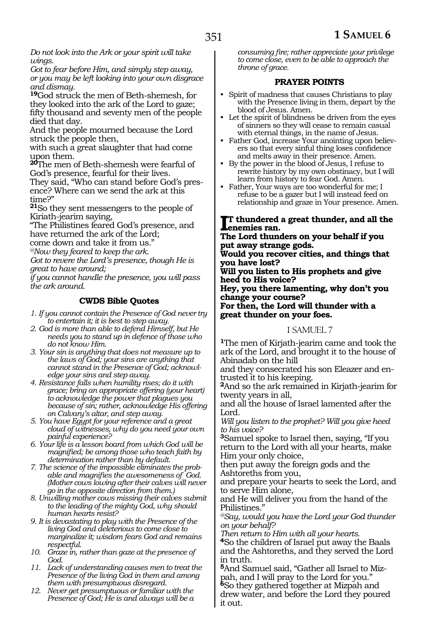*Do not look into the Ark or your spirit will take wings.* 

*Got to fear before Him, and simply step away, or you may be left looking into your own disgrace and dismay.* 

**<sup>19</sup>**God struck the men of Beth-shemesh, for they looked into the ark of the Lord to gaze; fifty thousand and seventy men of the people died that day.

And the people mourned because the Lord struck the people then,

with such a great slaughter that had come upon them.

**<sup>20</sup>**The men of Beth-shemesh were fearful of God's presence, fearful for their lives.

They said, "Who can stand before God's presence? Where can we send the ark at this time?"

**<sup>21</sup>**So they sent messengers to the people of Kiriath-jearim saying,

"The Philistines feared God's presence, and have returned the ark of the Lord;

come down and take it from us." *@Now they feared to keep the ark.* 

*Got to revere the Lord's presence, though He is* 

*great to have around;*

*if you cannot handle the presence, you will pass the ark around.* 

#### **CWDS Bible Quotes**

*1. If you cannot contain the Presence of God never try to entertain it; it is best to step away.*

- *2. God is more than able to defend Himself, but He needs you to stand up in defence of those who do not know Him.*
- *3. Your sin is anything that does not measure up to the laws of God; your sins are anything that cannot stand in the Presence of God; acknowledge your sins and step away.*
- *4. Resistance falls when humility rises; do it with grace; bring an appropriate offering (your heart) to acknowledge the power that plagues you because of sin; rather, acknowledge His offering on Calvary's altar, and step away.*
- *5. You have Egypt for your reference and a great cloud of witnesses, why do you need your own painful experience?*
- *6. Your life is a lesson board from which God will be magnified; be among those who teach faith by determination rather than by default.*
- *7. The science of the impossible eliminates the probable and magnifies the awesomeness of God. (Mother cows lowing after their calves will never go in the opposite direction from them.)*
- *8. Unwilling mother cows missing their calves submit to the leading of the mighty God, why should human hearts resist?*
- *9. It is devastating to play with the Presence of the living God and deleterious to come close to marginalize it; wisdom fears God and remains respectful.*
- *10. Graze in, rather than gaze at the presence of God.*
- *11. Lack of understanding causes men to treat the Presence of the living God in them and among them with presumptuous disregard.*
- *12. Never get presumptuous or familiar with the Presence of God; He is and always will be a*

*consuming fire; rather appreciate your privilege to come close, even to be able to approach the throne of grace.*

#### **PRAYER POINTS**

- Spirit of madness that causes Christians to play with the Presence living in them, depart by the blood of Jesus. Amen.
- Let the spirit of blindness be driven from the eyes of sinners so they will cease to remain casual with eternal things, in the name of Jesus.
- Father God, increase Your anointing upon believers so that every sinful thing loses confidence and melts away in their presence. Amen.
- By the power in the blood of Jesus, I refuse to rewrite history by my own obstinacy, but I will learn from history to fear God. Amen.
- Father, Your ways are too wonderful for me; I refuse to be a gazer but I will instead feed on relationship and graze in Your presence. Amen.

#### I<sup>T</sup> thundered<br> **The Land thung t thundered a great thunder, and all the**

**The Lord thunders on your behalf if you put away strange gods.**

**Would you recover cities, and things that you have lost?**

**Will you listen to His prophets and give heed to His voice?**

**Hey, you there lamenting, why don't you change your course?**

**For then, the Lord will thunder with a great thunder on your foes.**

#### 1 SAMUEL 7

**<sup>1</sup>**The men of Kirjath-jearim came and took the ark of the Lord, and brought it to the house of Abinadab on the hill

and they consecrated his son Eleazer and entrusted it to his keeping.

**<sup>2</sup>**And so the ark remained in Kirjath-jearim for twenty years in all,

and all the house of Israel lamented after the Lord.

*Will you listen to the prophet? Will you give heed to his voice?*

**<sup>3</sup>**Samuel spoke to Israel then, saying, "If you return to the Lord with all your hearts, make Him your only choice,

then put away the foreign gods and the Ashtoreths from you,

and prepare your hearts to seek the Lord, and to serve Him alone,

and He will deliver you from the hand of the Philistines."

*@Say, would you have the Lord your God thunder on your behalf?* 

*Then return to Him with all your hearts.* **<sup>4</sup>**So the children of Israel put away the Baals and the Ashtoreths, and they served the Lord in truth.

**5**And Samuel said, "Gather all Israel to Mizpah, and I will pray to the Lord for you." **<sup>6</sup>**So they gathered together at Mizpah and drew water, and before the Lord they poured it out.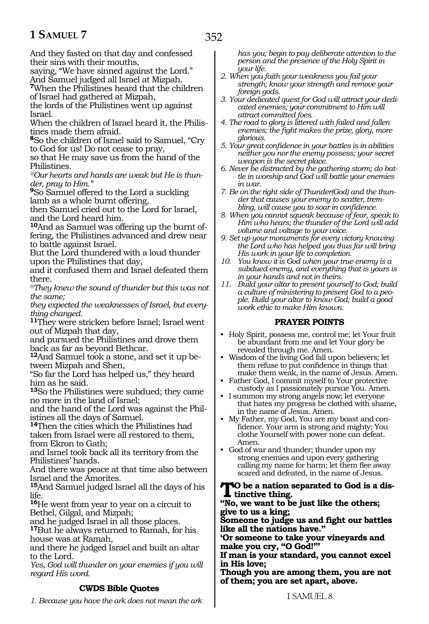352

And they fasted on that day and confessed their sins with their mouths,

saying, "We have sinned against the Lord." And Samuel judged all Israel at Mizpah.

**<sup>7</sup>**When the Philistines heard that the children of Israel had gathered at Mizpah,

the lords of the Philistines went up against Israel.

When the children of Israel heard it, the Philistines made them afraid.

**<sup>8</sup>**So the children of Israel said to Samuel, "Cry to God for us! Do not cease to pray,

so that He may save us from the hand of the Philistines.

*@Our hearts and hands are weak but He is thunder, pray to Him."*

**<sup>9</sup>**So Samuel offered to the Lord a suckling lamb as a whole burnt offering,

then Samuel cried out to the Lord for Israel, and the Lord heard him.

**10**And as Samuel was offering up the burnt offering, the Philistines advanced and drew near to battle against Israel.

But the Lord thundered with a loud thunder upon the Philistines that day,

and it confused them and Israel defeated them there.

*@They knew the sound of thunder but this was not the same;*

*they expected the weaknesses of Israel, but everything changed.*

**<sup>11</sup>**They were stricken before Israel; Israel went out of Mizpah that day,

and pursued the Philistines and drove them back as far as beyond Bethcar.

**12**And Samuel took a stone, and set it up between Mizpah and Shen,

"So far the Lord has helped us," they heard him as he said.

**<sup>13</sup>**So the Philistines were subdued; they came no more in the land of Israel;

and the hand of the Lord was against the Philistines all the days of Samuel.

**<sup>14</sup>**Then the cities which the Philistines had taken from Israel were all restored to them, from Ekron to Gath;

and Israel took back all its territory from the Philistines' hands.

And there was peace at that time also between Israel and the Amorites.

**<sup>15</sup>**And Samuel judged Israel all the days of his life.

**<sup>16</sup>**He went from year to year on a circuit to Bethel, Gilgal, and Mizpah;

and he judged Israel in all those places.

**<sup>17</sup>**But he always returned to Ramah, for his house was at Ramah,

and there he judged Israel and built an altar to the Lord.

*Yes, God will thunder on your enemies if you will regard His word.*

#### **CWDS Bible Quotes**

*1. Because you have the ark does not mean the ark* 

*has you; begin to pay deliberate attention to the person and the presence of the Holy Spirit in your life.*

- *2. When you faith your weakness you fail your strength; know your strength and remove your foreign gods.*
- *3. Your dedicated quest for God will attract your dedicated enemies; your commitment to Him will attract committed foes.*
- *4. The road to glory is littered with failed and fallen enemies; the fight makes the prize, glory, more glorious.*
- *5. Your great confidence in your battles is in abilities neither you nor the enemy possess; your secret weapon is the secret place.*
- *6. Never be distracted by the gathering storm; do battle in worship and God will battle your enemies in war.*
- *7. Be on the right side of Thunder(God) and the thunder that causes your enemy to scatter, trembling, will cause you to soar in confidence.*
- *8. When you cannot squeak because of fear, speak to Him who hears; the thunder of the Lord will add volume and voltage to your voice.*
- *9. Set up your monuments for every victory knowing the Lord who has helped you thus far will bring His work in your life to completion.*
- *10. You know it is God when your true enemy is a subdued enemy, and everything that is yours is in your hands and not in theirs.*
- *11. Build your altar to present yourself to God; build a culture of ministering to present God to a people. Build your altar to know God; build a good work ethic to make Him known.*

#### **PRAYER POINTS**

- Holy Spirit, possess me, control me; let Your fruit be abundant from me and let Your glory be revealed through me. Amen.
- Wisdom of the living God fall upon believers; let them refuse to put confidence in things that make them weak, in the name of Jesus. Amen.
- Father God, I commit myself to Your protective custody as I passionately pursue You. Amen.
- I summon my strong angels now; let everyone that hates my progress be clothed with shame, in the name of Jesus. Amen.
- My Father, my God, You are my boast and confidence. Your arm is strong and mighty; You clothe Yourself with power none can defeat. Amen.
- God of war and thunder; thunder upon my strong enemies and upon every gathering calling my name for harm; let them flee away scared and defeated, in the name of Jesus.

#### **To be a nation separated to God is a distinctive thing.**

#### **"No, we want to be just like the others; give to us a king;**

**Someone to judge us and fight our battles like all the nations have."**

**'Or someone to take your vineyards and make you cry, "O God!"'**

**If man is your standard, you cannot excel in His love;**

**Though you are among them, you are not of them; you are set apart, above.**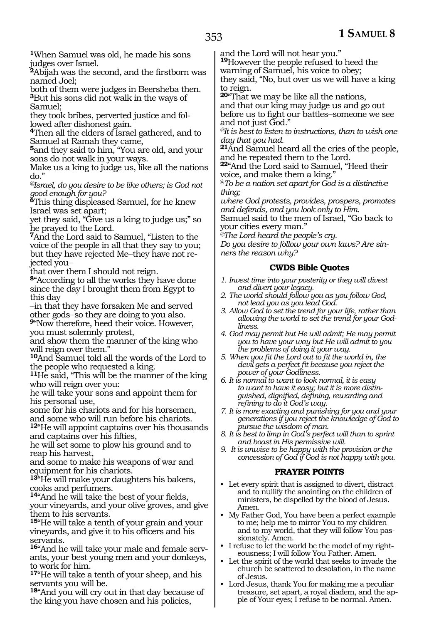**<sup>1</sup>**When Samuel was old, he made his sons judges over Israel.

**<sup>2</sup>**Abijah was the second, and the firstborn was named Joel;

both of them were judges in Beersheba then. **<sup>3</sup>**But his sons did not walk in the ways of Samuel;

they took bribes, perverted justice and followed after dishonest gain.

**<sup>4</sup>**Then all the elders of Israel gathered, and to Samuel at Ramah they came,

**<sup>5</sup>**and they said to him, "You are old, and your sons do not walk in your ways.

Make us a king to judge us, like all the nations do."

*@Israel, do you desire to be like others; is God not good enough for you?*

**<sup>6</sup>**This thing displeased Samuel, for he knew Israel was set apart;

yet they said, "Give us a king to judge us;" so he prayed to the Lord.

**<sup>7</sup>**And the Lord said to Samuel, "Listen to the voice of the people in all that they say to you; but they have rejected Me\_\_they have not rejected you-

that over them I should not reign.

**<sup>8</sup>**"According to all the works they have done since the day I brought them from Egypt to this day

\_\_in that they have forsaken Me and served other gods\_\_so they are doing to you also. **<sup>9</sup>**"Now therefore, heed their voice. However,

you must solemnly protest,

and show them the manner of the king who will reign over them."

**<sup>10</sup>**And Samuel told all the words of the Lord to the people who requested a king.

**<sup>11</sup>**He said, "This will be the manner of the king who will reign over you:

he will take your sons and appoint them for his personal use,

some for his chariots and for his horsemen, and some who will run before his chariots.

**<sup>12</sup>**"He will appoint captains over his thousands and captains over his fifties,

he will set some to plow his ground and to reap his harvest,

and some to make his weapons of war and equipment for his chariots.

**<sup>13</sup>**"He will make your daughters his bakers, cooks and perfumers.

**<sup>14</sup>**"And he will take the best of your fields, your vineyards, and your olive groves, and give them to his servants.

**<sup>15</sup>**"He will take a tenth of your grain and your vineyards, and give it to his officers and his servants.

**<sup>16</sup>**"And he will take your male and female serv- ants, your best young men and your donkeys, to work for him.

**<sup>17</sup>**"He will take a tenth of your sheep, and his servants you will be.

**<sup>18</sup>**"And you will cry out in that day because of the king you have chosen and his policies,

and the Lord will not hear you."

**<sup>19</sup>**However the people refused to heed the

warning of Samuel, his voice to obey;

they said, "No, but over us we will have a king to reign.

**<sup>20</sup>**"That we may be like all the nations, and that our king may judge us and go out before us to fight our battles\_\_someone we see

and not just God." *@It is best to listen to instructions, than to wish one day that you had.*

**<sup>21</sup>**And Samuel heard all the cries of the people, and he repeated them to the Lord.

**<sup>22</sup>**"And the Lord said to Samuel, "Heed their voice, and make them a king."

@*To be a nation set apart for God is a distinctive thing;*

*where God protests, provides, prospers, promotes and defends, and you look only to Him.* Samuel said to the men of Israel, "Go back to your cities every man."

*@The Lord heard the people's cry.* 

*Do you desire to follow your own laws? Are sinners the reason why?*

#### **CWDS Bible Quotes**

- *1. Invest time into your posterity or they will divest and divert your legacy.*
- *2. The world should follow you as you follow God, not lead you as you lead God.*
- *3. Allow God to set the trend for your life, rather than allowing the world to set the trend for your Godliness.*
- *4. God may permit but He will admit; He may permit you to have your way but He will admit to you the problems of doing it your way.*
- *5. When you fit the Lord out to fit the world in, the devil gets a perfect fit because you reject the power of your Godliness.*
- *6. It is normal to want to look normal, it is easy to want to have it easy; but it is more distinguished, dignified, defining, rewarding and refining to do it God's way.*
- *7. It is more exacting and punishing for you and your generations if you reject the knowledge of God to pursue the wisdom of man.*
- *8. It is best to limp in God's perfect will than to sprint and boast in His permissive will.*
- *9. It is unwise to be happy with the provision or the concession of God if God is not happy with you.*

#### **PRAYER POINTS**

- Let every spirit that is assigned to divert, distract and to nullify the anointing on the children of ministers, be dispelled by the blood of Jesus. Amen.
- My Father God, You have been a perfect example to me; help me to mirror You to my children and to my world, that they will follow You passionately. Amen.
- I refuse to let the world be the model of my righteousness; I will follow You Father. Amen.
- Let the spirit of the world that seeks to invade the church be scattered to desolation, in the name of Jesus.
- Lord Jesus, thank You for making me a peculiar treasure, set apart, a royal diadem, and the apple of Your eyes; I refuse to be normal. Amen.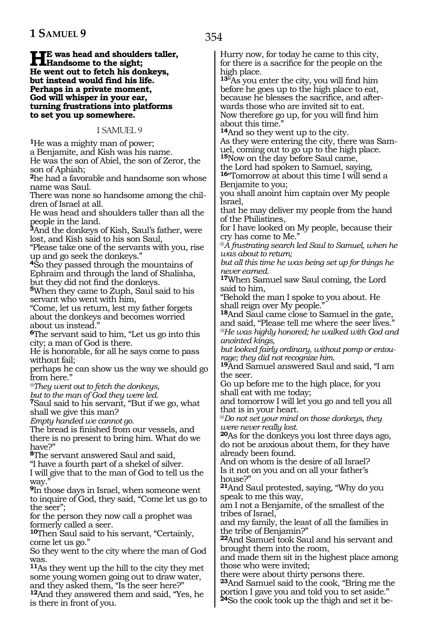#### **He was head and shoulders taller,**<br> **Handsome to the sight;**<br> **Hanger and the fatal big deplaces He went out to fetch his donkeys, but instead would find his life. Perhaps in a private moment, God will whisper in your ear, turning frustrations into platforms to set you up somewhere.**

1 SAMUEL 9

**<sup>1</sup>**He was a mighty man of power; a Benjamite, and Kish was his name. He was the son of Abiel, the son of Zeror, the son of Aphiah;

**<sup>2</sup>**he had a favorable and handsome son whose name was Saul.

There was none so handsome among the children of Israel at all.

He was head and shoulders taller than all the people in the land.

**<sup>3</sup>**And the donkeys of Kish, Saul's father, were lost, and Kish said to his son Saul,

"Please take one of the servants with you, rise up and go seek the donkeys."

**<sup>4</sup>**So they passed through the mountains of Ephraim and through the land of Shalisha, but they did not find the donkeys.

**<sup>5</sup>**When they came to Zuph, Saul said to his servant who went with him,

"Come, let us return, lest my father forgets about the donkeys and becomes worried about us instead."

**<sup>6</sup>**The servant said to him, "Let us go into this city; a man of God is there.

He is honorable, for all he says come to pass without fail;

perhaps he can show us the way we should go from here."

*@They went out to fetch the donkeys,*

*but to the man of God they were led.*

**<sup>7</sup>**Saul said to his servant, "But if we go, what shall we give this man?

*Empty handed we cannot go.*

The bread is finished from our vessels, and there is no present to bring him. What do we have?"

**<sup>8</sup>**The servant answered Saul and said,

"I have a fourth part of a shekel of silver.

I will give that to the man of God to tell us the way.

**<sup>9</sup>**In those days in Israel, when someone went to inquire of God, they said, "Come let us go to the seer";

for the person they now call a prophet was formerly called a seer.

**<sup>10</sup>**Then Saul said to his servant, "Certainly, come let us go."

So they went to the city where the man of God was.

**<sup>11</sup>**As they went up the hill to the city they met some young women going out to draw water, and they asked them, "Is the seer here?"

**<sup>12</sup>**And they answered them and said, "Yes, he is there in front of you.

Hurry now, for today he came to this city, for there is a sacrifice for the people on the high place.

**<sup>13</sup>**"As you enter the city, you will find him before he goes up to the high place to eat, because he blesses the sacrifice, and afterwards those who are invited sit to eat. Now therefore go up, for you will find him about this time.'

**<sup>14</sup>**And so they went up to the city.

As they were entering the city, there was Samuel, coming out to go up to the high place. **<sup>15</sup>**Now on the day before Saul came,

the Lord had spoken to Samuel, saying,

**<sup>16</sup>**"Tomorrow at about this time I will send a Benjamite to you;

you shall anoint him captain over My people Israel,

that he may deliver my people from the hand of the Philistines,

for I have looked on My people, because their cry has come to Me."

@*A frustrating search led Saul to Samuel, when he was about to return;*

*but all this time he was being set up for things he never earned.*

**<sup>17</sup>**When Samuel saw Saul coming, the Lord said to him,

"Behold the man I spoke to you about. He shall reign over My people."

**<sup>18</sup>**And Saul came close to Samuel in the gate, and said, "Please tell me where the seer lives." *@He was highly honored; he walked with God and anointed kings,*

*but looked fairly ordinary, without pomp or entourage; they did not recognize him.*

**<sup>19</sup>**And Samuel answered Saul and said, "I am the seer.

Go up before me to the high place, for you shall eat with me today;

and tomorrow I will let you go and tell you all that is in your heart.

@*Do not set your mind on those donkeys, they were never really lost.*

**<sup>20</sup>**As for the donkeys you lost three days ago, do not be anxious about them, for they have already been found.

And on whom is the desire of all Israel? Is it not on you and on all your father's house?"

**<sup>21</sup>**And Saul protested, saying, "Why do you speak to me this way,

am I not a Benjamite, of the smallest of the tribes of Israel,

and my family, the least of all the families in the tribe of Benjamin?"

**<sup>22</sup>**And Samuel took Saul and his servant and brought them into the room,

and made them sit in the highest place among those who were invited;

there were about thirty persons there.

**<sup>23</sup>**And Samuel said to the cook, "Bring me the portion I gave you and told you to set aside."

**24**So the cook took up the thigh and set it be-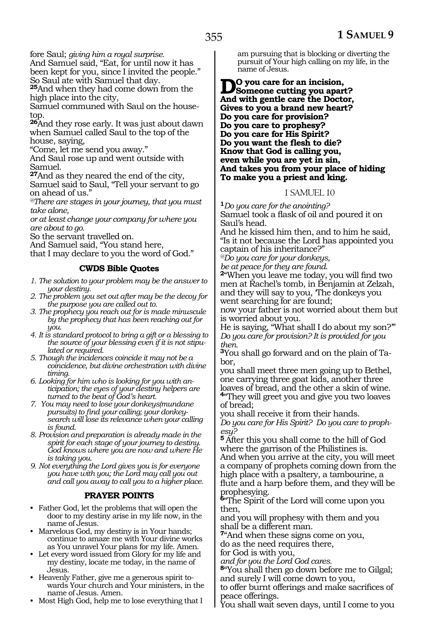fore Saul; *giving him a royal surprise.*

And Samuel said, "Eat, for until now it has been kept for you, since I invited the people." So Saul ate with Samuel that day.

**<sup>25</sup>**And when they had come down from the high place into the city,

Samuel communed with Saul on the housetop.

**<sup>26</sup>**And they rose early. It was just about dawn when Samuel called Saul to the top of the house, saying,

"Come, let me send you away."

And Saul rose up and went outside with Samuel.

**<sup>27</sup>**And as they neared the end of the city, Samuel said to Saul, "Tell your servant to go on ahead of us."

*@There are stages in your journey, that you must take alone,*

*or at least change your company for where you are about to go*.

So the servant travelled on.

And Samuel said, "You stand here,

that I may declare to you the word of God."

#### **CWDS Bible Quotes**

*1. The solution to your problem may be the answer to your destiny.*

- *2. The problem you set out after may be the decoy for the purpose you are called out to.*
- *3. The prophecy you reach out for is made minuscule by the prophecy that has been reaching out for you.*
- *4. It is standard protocol to bring a gift or a blessing to the source of your blessing even if it is not stipulated or required.*
- *5. Though the incidences coincide it may not be a coincidence, but divine orchestration with divine timing.*
- *6. Looking for him who is looking for you with anticipation; the eyes of your destiny helpers are turned to the beat of God's heart.*
- *7. You may need to lose your donkeys(mundane pursuits) to find your calling; your donkeysearch will lose its relevance when your calling is found.*
- *8. Provision and preparation is already made in the spirit for each stage of your journey to destiny. God knows where you are now and where He is taking you.*
- *9. Not everything the Lord gives you is for everyone you have with you; the Lord may call you out and call you away to call you to a higher place.*

#### **PRAYER POINTS**

- Father God, let the problems that will open the door to my destiny arise in my life now, in the name of Jesus.
- Marvelous God, my destiny is in Your hands; continue to amaze me with Your divine works as You unravel Your plans for my life. Amen.
- Let every word issued from Glory for my life and my destiny, locate me today, in the name of Jesus.
- Heavenly Father, give me a generous spirit towards Your church and Your ministers, in the name of Jesus. Amen.
- Most High God, help me to lose everything that I

am pursuing that is blocking or diverting the pursuit of Your high calling on my life, in the name of Jesus.

**Do you care for an incision, Someone cutting you apart? And with gentle care the Doctor, Gives to you a brand new heart? Do you care for provision? Do you care to prophesy? Do you care for His Spirit? Do you want the flesh to die? Know that God is calling you, even while you are yet in sin, And takes you from your place of hiding To make you a priest and king.**

#### 1 SAMUEL 10

**<sup>1</sup>***Do you care for the anointing?*  Samuel took a flask of oil and poured it on Saul's head.

And he kissed him then, and to him he said, "Is it not because the Lord has appointed you captain of his inheritance?"

*@Do you care for your donkeys,*

*be at peace for they are found.* 

**<sup>2</sup>**"When you leave me today, you will find two men at Rachel's tomb, in Benjamin at Zelzah, and they will say to you, 'The donkeys you went searching for are found;

now your father is not worried about them but is worried about you.

He is saying, "What shall I do about my son?'" *Do you care for provision? It is provided for you then.* 

**3**You shall go forward and on the plain of Tabor,

you shall meet three men going up to Bethel, one carrying three goat kids, another three loaves of bread, and the other a skin of wine. **<sup>4</sup>**"They will greet you and give you two loaves

of bread; you shall receive it from their hands.

*Do you care for His Spirit? Do you care to prophesy?* 

**<sup>5</sup>**After this you shall come to the hill of God where the garrison of the Philistines is. And when you arrive at the city, you will meet a company of prophets coming down from the high place with a psaltery, a tambourine, a flute and a harp before them, and they will be prophesying.

**<sup>6</sup>**"The Spirit of the Lord will come upon you then,

and you will prophesy with them and you shall be a different man.

**<sup>7</sup>**"And when these signs come on you, do as the need requires there,

for God is with you,

*and for you the Lord God cares.* 

**<sup>8</sup>**"You shall then go down before me to Gilgal; and surely I will come down to you,

to offer burnt offerings and make sacrifices of peace offerings.

You shall wait seven days, until I come to you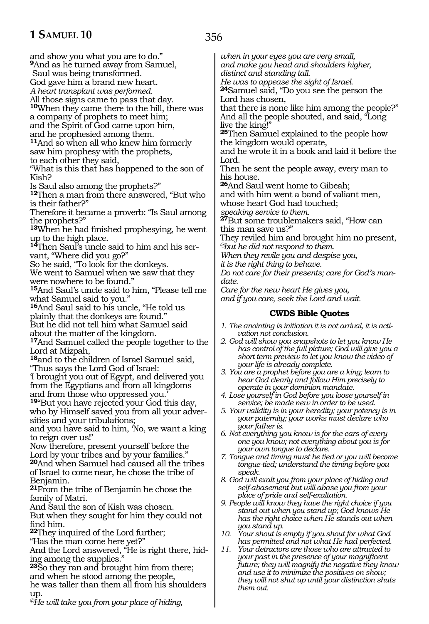and show you what you are to do." **<sup>9</sup>**And as he turned away from Samuel, Saul was being transformed. God gave him a brand new heart. *A heart transplant was performed.*  All those signs came to pass that day. **<sup>10</sup>**When they came there to the hill, there was a company of prophets to meet him; and the Spirit of God came upon him, and he prophesied among them. **<sup>11</sup>**And so when all who knew him formerly saw him prophesy with the prophets, to each other they said, "What is this that has happened to the son of Kish? Is Saul also among the prophets?" **<sup>12</sup>**Then a man from there answered, "But who is their father?" Therefore it became a proverb: "Is Saul among the prophets?" **<sup>13</sup>**When he had finished prophesying, he went up to the high place. **14**Then Saul's uncle said to him and his servant, "Where did you go?" So he said, "To look for the donkeys. We went to Samuel when we saw that they were nowhere to be found." **<sup>15</sup>**And Saul's uncle said to him, "Please tell me what Samuel said to you." **<sup>16</sup>**And Saul said to his uncle, "He told us plainly that the donkeys are found." But he did not tell him what Samuel said about the matter of the kingdom. **<sup>17</sup>**And Samuel called the people together to the Lord at Mizpah, **<sup>18</sup>**and to the children of Israel Samuel said, "Thus says the Lord God of Israel: 'I brought you out of Egypt, and delivered you from the Egyptians and from all kingdoms and from those who oppressed you. **<sup>19</sup>**"But you have rejected your God this day, who by Himself saved you from all your adversities and your tribulations; and you have said to him, 'No, we want a king to reign over us!' Now therefore, present yourself before the Lord by your tribes and by your families." **<sup>20</sup>**And when Samuel had caused all the tribes of Israel to come near, he chose the tribe of Benjamin. **<sup>21</sup>**From the tribe of Benjamin he chose the family of Matri. And Saul the son of Kish was chosen. But when they sought for him they could not find him. **<sup>22</sup>**They inquired of the Lord further; "Has the man come here yet?" And the Lord answered, "He is right there, hiding among the supplies." **<sup>23</sup>**So they ran and brought him from there; and when he stood among the people, he was taller than them all from his shoulders up. *@He will take you from your place of hiding,*  Lord. *date.*

*when in your eyes you are very small, and make you head and shoulders higher, distinct and standing tall. He was to appease the sight of Israel.* **<sup>24</sup>**Samuel said, "Do you see the person the Lord has chosen, that there is none like him among the people?"

And all the people shouted, and said, "Long live the king!"

**<sup>25</sup>**Then Samuel explained to the people how the kingdom would operate,

and he wrote it in a book and laid it before the

Then he sent the people away, every man to his house.

**<sup>26</sup>**And Saul went home to Gibeah;

and with him went a band of valiant men, whose heart God had touched;

*speaking service to them.*

**<sup>27</sup>**But some troublemakers said, "How can this man save us?"

They reviled him and brought him no present, *@but he did not respond to them.*

*When they revile you and despise you,*

*it is the right thing to behave.* 

*Do not care for their presents; care for God's man-*

*Care for the new heart He gives you, and if you care, seek the Lord and wait.* 

#### **CWDS Bible Quotes**

- *1. The anointing is initiation it is not arrival, it is activation not conclusion.*
- *2. God will show you snapshots to let you know He has control of the full picture; God will give you a short term preview to let you know the video of your life is already complete.*
- *3. You are a prophet before you are a king; learn to hear God clearly and follow Him precisely to operate in your dominion mandate.*
- *4. Lose yourself in God before you loose yourself in service; be made new in order to be used.*
- *5. Your validity is in your heredity; your potency is in your paternity; your works must declare who your father is.*
- *6. Not everything you know is for the ears of everyone you know; not everything about you is for your own tongue to declare.*
- *7. Tongue and timing must be tied or you will become tongue-tied; understand the timing before you speak.*
- *8. God will exalt you from your place of hiding and self-abasement but will abase you from your place of pride and self-exaltation.*
- *9. People will know they have the right choice if you stand out when you stand up; God knows He has the right choice when He stands out when you stand up.*
- *10. Your shout is empty if you shout for what God has permitted and not what He had perfected.*
- *11. Your detractors are those who are attracted to your past in the presence of your magnificent future; they will magnify the negative they know and use it to minimize the positives on show; they will not shut up until your distinction shuts them out.*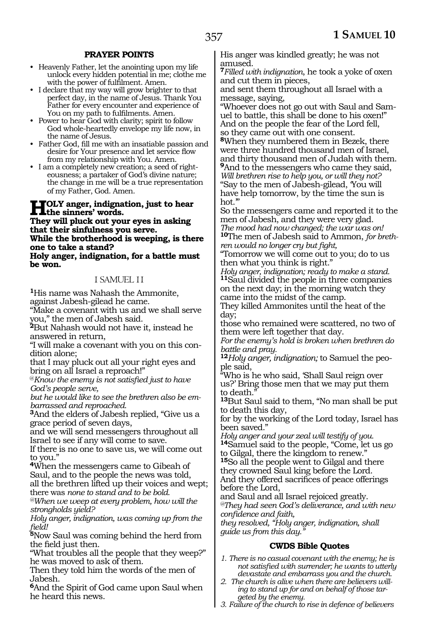#### **PRAYER POINTS**

- Heavenly Father, let the anointing upon my life unlock every hidden potential in me; clothe me with the power of fulfilment. Amen.
- I declare that my way will grow brighter to that perfect day, in the name of Jesus. Thank You Father for every encounter and experience of You on my path to fulfilments. Amen.
- Power to hear God with clarity; spirit to follow God whole-heartedly envelope my life now, in the name of Jesus.
- Father God, fill me with an insatiable passion and desire for Your presence and let service flow from my relationship with You. Amen.
- I am a completely new creation; a seed of righteousness; a partaker of God's divine nature; the change in me will be a true representation of my Father, God. Amen.

## **HOLY** anger, indignation, just to hear<br> **Then** will also be set your area in achine.

**They will pluck out your eyes in asking that their sinfulness you serve. While the brotherhood is weeping, is there one to take a stand? Holy anger, indignation, for a battle must be won.**

#### 1 SAMUEL 11

**<sup>1</sup>**His name was Nahash the Ammonite, against Jabesh-gilead he came.

"Make a covenant with us and we shall serve you," the men of Jabesh said.

**<sup>2</sup>**But Nahash would not have it, instead he answered in return,

"I will make a covenant with you on this con- dition alone;

that I may pluck out all your right eyes and bring on all Israel a reproach!"

@*Know the enemy is not satisfied just to have God's people serve,*

*but he would like to see the brethren also be embarrassed and reproached.*

**<sup>3</sup>**And the elders of Jabesh replied, "Give us a grace period of seven days,

and we will send messengers throughout all Israel to see if any will come to save.

If there is no one to save us, we will come out to you.'

**<sup>4</sup>**When the messengers came to Gibeah of Saul, and to the people the news was told, all the brethren lifted up their voices and wept; there was *none to stand and to be bold.* 

*@When we weep at every problem, how will the strongholds yield?*

*Holy anger, indignation, was coming up from the field!*

**<sup>5</sup>**Now Saul was coming behind the herd from the field just then.

"What troubles all the people that they weep?" he was moved to ask of them.

Then they told him the words of the men of Jabesh.

**<sup>6</sup>**And the Spirit of God came upon Saul when he heard this news.

His anger was kindled greatly; he was not amused.

**<sup>7</sup>***Filled with indignation*, he took a yoke of oxen and cut them in pieces,

and sent them throughout all Israel with a message, saying,

"Whoever does not go out with Saul and Samuel to battle, this shall be done to his oxen!" And on the people the fear of the Lord fell, so they came out with one consent.

**<sup>8</sup>**When they numbered them in Bezek, there were three hundred thousand men of Israel, and thirty thousand men of Judah with them. **<sup>9</sup>**And to the messengers who came they said, *Will brethren rise to help you, or will they not?* "Say to the men of Jabesh-gilead, 'You will have help tomorrow, by the time the sun is hot.'"

So the messengers came and reported it to the men of Jabesh, and they were very glad. *The mood had now changed; the war was on!* **<sup>10</sup>**The men of Jabesh said to Ammon, *for brethren would no longer cry but fight,*

"Tomorrow we will come out to you; do to us then what you think is right."

*Holy anger, indignation; ready to make a stand.* **<sup>11</sup>**Saul divided the people in three companies on the next day; in the morning watch they came into the midst of the camp.

They killed Ammonites until the heat of the day;

those who remained were scattered, no two of them were left together that day.

*For the enemy's hold is broken when brethren do battle and pray.*

**<sup>12</sup>***Holy anger, indignation;* to Samuel the peo- ple said,

"Who is he who said, 'Shall Saul reign over us?' Bring those men that we may put them to death.

**<sup>13</sup>**But Saul said to them, "No man shall be put to death this day,

for by the working of the Lord today, Israel has been saved."

*Holy anger and your zeal will testify of you.* **<sup>14</sup>**Samuel said to the people, "Come, let us go to Gilgal, there the kingdom to renew."

**<sup>15</sup>**So all the people went to Gilgal and there they crowned Saul king before the Lord. And they offered sacrifices of peace offerings

before the Lord, and Saul and all Israel rejoiced greatly.

*@They had seen God's deliverance, and with new confidence and faith,*

*they resolved, "Holy anger, indignation, shall guide us from this day."*

#### **CWDS Bible Quotes**

- *1. There is no casual covenant with the enemy; he is not satisfied with surrender; he wants to utterly devastate and embarrass you and the church.*
- *2. The church is alive when there are believers willing to stand up for and on behalf of those targeted by the enemy.*
- *3. Failure of the church to rise in defence of believers*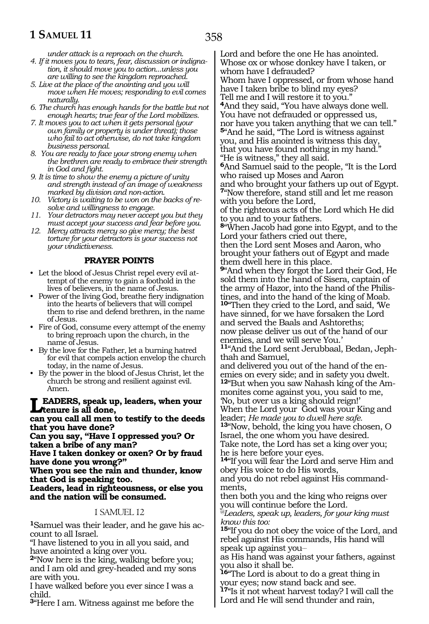*under attack is a reproach on the church.*

*4. If it moves you to tears, fear, discussion or indignation, it should move you to action...unless you are willing to see the kingdom reproached.*

*5. Live at the place of the anointing and you will move when He moves; responding to evil comes naturally.*

*6. The church has enough hands for the battle but not enough hearts; true fear of the Lord mobilizes.*

*7. It moves you to act when it gets personal (your own family or property is under threat); those who fail to act otherwise, do not take kingdom business personal.*

*8. You are ready to face your strong enemy when the brethren are ready to embrace their strength in God and fight.*

*9. It is time to show the enemy a picture of unity and strength instead of an image of weakness marked by division and non-action.*

*10. Victory is waiting to be won on the backs of resolve and willingness to engage.* 

*11. Your detractors may never accept you but they must accept your success and fear before you.*

*12. Mercy attracts mercy so give mercy; the best torture for your detractors is your success not your vindictiveness.*

#### **PRAYER POINTS**

• Let the blood of Jesus Christ repel every evil attempt of the enemy to gain a foothold in the lives of believers, in the name of Jesus.

• Power of the living God, breathe fiery indignation into the hearts of believers that will compel them to rise and defend brethren, in the name of Jesus.

• Fire of God, consume every attempt of the enemy to bring reproach upon the church, in the name of Jesus.

• By the love for the Father, let a burning hatred for evil that compels action envelop the church today, in the name of Jesus.

• By the power in the blood of Jesus Christ, let the church be strong and resilient against evil. Amen.

**Leaders, speak up, leaders, when your tenure is all done,**

**can you call all men to testify to the deeds that you have done?**

**Can you say, "Have I oppressed you? Or taken a bribe of any man?**

**Have I taken donkey or oxen? Or by fraud have done you wrong?"**

**When you see the rain and thunder, know that God is speaking too.**

**Leaders, lead in righteousness, or else you and the nation will be consumed.**

#### 1 SAMUEL 12

**1**Samuel was their leader, and he gave his account to all Israel.

"I have listened to you in all you said, and have anointed a king over you.

**<sup>2</sup>**"Now here is the king, walking before you; and I am old and grey-headed and my sons are with you.

I have walked before you ever since I was a child.

**<sup>3</sup>**"Here I am. Witness against me before the

Lord and before the one He has anointed. Whose ox or whose donkey have I taken, or whom have I defrauded? Whom have I oppressed, or from whose hand

have I taken bribe to blind my eyes? Tell me and I will restore it to you."

**<sup>4</sup>**And they said, "You have always done well. You have not defrauded or oppressed us, nor have you taken anything that we can tell." **<sup>5</sup>**"And he said, "The Lord is witness against you, and His anointed is witness this day, that you have found nothing in my hand." "He is witness," they all said.

**<sup>6</sup>**And Samuel said to the people, "It is the Lord who raised up Moses and Aaron

and who brought your fathers up out of Egypt. **<sup>7</sup>**"Now therefore, stand still and let me reason with you before the Lord,

of the righteous acts of the Lord which He did to you and to your fathers.

**<sup>8</sup>**"When Jacob had gone into Egypt, and to the Lord your fathers cried out there,

then the Lord sent Moses and Aaron, who brought your fathers out of Egypt and made them dwell here in this place.

**<sup>9</sup>**"And when they forgot the Lord their God, He sold them into the hand of Sisera, captain of the army of Hazor, into the hand of the Philistines, and into the hand of the king of Moab.

**<sup>10</sup>**"Then they cried to the Lord, and said, 'We have sinned, for we have forsaken the Lord and served the Baals and Ashtoreths; now please deliver us out of the hand of our enemies, and we will serve You.'

**<sup>11</sup>**"And the Lord sent Jerubbaal, Bedan, Jeph- thah and Samuel,

and delivered you out of the hand of the en- emies on every side; and in safety you dwelt.

**<sup>12</sup>**"But when you saw Nahash king of the Am- monites come against you, you said to me, 'No, but over us a king should reign!'

When the Lord your God was your King and

leader; *He made you to dwell here safe.* **<sup>13</sup>**"Now, behold, the king you have chosen, O Israel, the one whom you have desired.

Take note, the Lord has set a king over you; he is here before your eyes.

**<sup>14</sup>**"If you will fear the Lord and serve Him and obey His voice to do His words,

and you do not rebel against His commandments,

then both you and the king who reigns over you will continue before the Lord.

*@Leaders, speak up, leaders, for your king must know this too:*

**<sup>15</sup>**"If you do not obey the voice of the Lord, and rebel against His commands, His hand will speak up against you\_\_

as His hand was against your fathers, against you also it shall be.

**<sup>16</sup>**"The Lord is about to do a great thing in your eyes; now stand back and see.

**<sup>17</sup>**"Is it not wheat harvest today? I will call the Lord and He will send thunder and rain,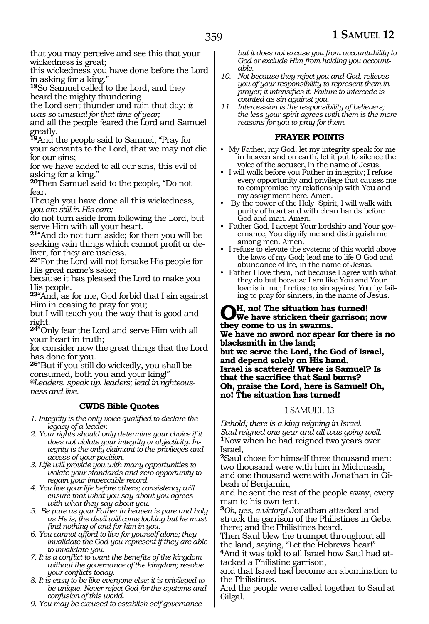that you may perceive and see this that your wickedness is great;

this wickedness you have done before the Lord in asking for a king."

**<sup>18</sup>**So Samuel called to the Lord, and they heard the mighty thundering-

the Lord sent thunder and rain that day; *it was so unusual for that time of year;*

and all the people feared the Lord and Samuel greatly.

**<sup>19</sup>**And the people said to Samuel, "Pray for your servants to the Lord, that we may not die for our sins;

for we have added to all our sins, this evil of asking for a king."

**<sup>20</sup>**Then Samuel said to the people, "Do not fear.

Though you have done all this wickedness, *you are still in His care;*

do not turn aside from following the Lord, but serve Him with all your heart.

**<sup>21</sup>**"And do not turn aside; for then you will be seeking vain things which cannot profit or deliver, for they are useless.

**<sup>22</sup>**"For the Lord will not forsake His people for His great name's sake;

because it has pleased the Lord to make you His people.

**<sup>23</sup>**"And, as for me, God forbid that I sin against Him in ceasing to pray for you;

but I will teach you the way that is good and right.

**<sup>24</sup>**"Only fear the Lord and serve Him with all your heart in truth;

for consider now the great things that the Lord has done for you.

**<sup>25</sup>**"But if you still do wickedly, you shall be consumed, both you and your king!"

*@Leaders, speak up, leaders; lead in righteousness and live.*

#### **CWDS Bible Quotes**

*1. Integrity is the only voice qualified to declare the legacy of a leader.*

- *2. Your rights should only determine your choice if it does not violate your integrity or objectivity. Integrity is the only claimant to the privileges and access of your position.*
- *3. Life will provide you with many opportunities to violate your standards and zero opportunity to regain your impeccable record.*
- *4. You live your life before others; consistency will ensure that what you say about you agrees with what they say about you.*
- *5. Be pure as your Father in heaven is pure and holy as He is; the devil will come looking but he must find nothing of and for him in you.*
- *6. You cannot afford to live for yourself alone; they invalidate the God you represent if they are able to invalidate you.*
- *7. It is a conflict to want the benefits of the kingdom without the governance of the kingdom; resolve your conflicts today.*
- *8. It is easy to be like everyone else; it is privileged to be unique. Never reject God for the systems and confusion of this world.*

*9. You may be excused to establish self-governance* 

*but it does not excuse you from accountability to God or exclude Him from holding you accountable.*

- *10. Not because they reject you and God, relieves you of your responsibility to represent them in prayer; it intensifies it. Failure to intercede is counted as sin against you.*
- *11. Intercession is the responsibility of believers; the less your spirit agrees with them is the more reasons for you to pray for them.*

#### **PRAYER POINTS**

- My Father, my God, let my integrity speak for me in heaven and on earth, let it put to silence the voice of the accuser, in the name of Jesus.
- I will walk before you Father in integrity; I refuse every opportunity and privilege that causes me to compromise my relationship with You and my assignment here. Amen.
- By the power of the Holy Spirit, I will walk with purity of heart and with clean hands before God and man. Amen.
- Father God, I accept Your lordship and Your governance; You dignify me and distinguish me among men. Amen.
- I refuse to elevate the systems of this world above the laws of my God; lead me to life O God and abundance of life, in the name of Jesus.
- Father I love them, not because I agree with what they do but because I am like You and Your love is in me; I refuse to sin against You by failing to pray for sinners, in the name of Jesus.

**Oh, no! The situation has turned! We have stricken their garrison; now they come to us in swarms. We have no sword nor spear for there is no blacksmith in the land; but we serve the Lord, the God of Israel, and depend solely on His hand. Israel is scattered! Where is Samuel? Is that the sacrifice that Saul burns? Oh, praise the Lord, here is Samuel! Oh, no! The situation has turned!**

#### 1 SAMUEL 13

*Behold; there is a king reigning in Israel. Saul reigned one year and all was going well.* **<sup>1</sup>**Now when he had reigned two years over Israel,

**<sup>2</sup>**Saul chose for himself three thousand men: two thousand were with him in Michmash, and one thousand were with Jonathan in Gibeah of Benjamin,

and he sent the rest of the people away, every man to his own tent.

**<sup>3</sup>***Oh, yes, a victory!* Jonathan attacked and struck the garrison of the Philistines in Geba there; and the Philistines heard.

Then Saul blew the trumpet throughout all the land, saying, "Let the Hebrews hear!" **4**And it was told to all Israel how Saul had at-

tacked a Philistine garrison, and that Israel had become an abomination to

the Philistines. And the people were called together to Saul at Gilgal.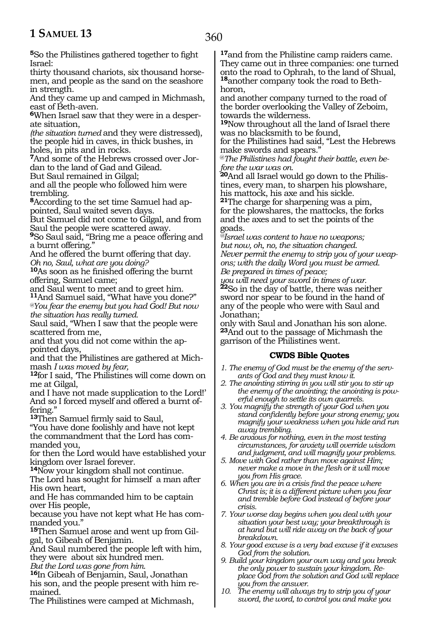**<sup>5</sup>**So the Philistines gathered together to fight Israel:

thirty thousand chariots, six thousand horse- men, and people as the sand on the seashore in strength.

And they came up and camped in Michmash, east of Beth-aven.

**6**When Israel saw that they were in a desperate situation,

*(the situation turned* and they were distressed), the people hid in caves, in thick bushes, in holes, in pits and in rocks.

**7**And some of the Hebrews crossed over Jordan to the land of Gad and Gilead.

But Saul remained in Gilgal;

and all the people who followed him were

trembling.<br>**8**According to the set time Samuel had ap-**<sup>8</sup>**According to the set time Samuel had ap- pointed, Saul waited seven days.

But Samuel did not come to Gilgal, and from Saul the people were scattered away.

**<sup>9</sup>**So Saul said, "Bring me a peace offering and a burnt offering."

And he offered the burnt offering that day. *Oh no, Saul, what are you doing?*

**<sup>10</sup>**As soon as he finished offering the burnt

offering, Samuel came; and Saul went to meet and to greet him.

**<sup>11</sup>**And Samuel said, "What have you done?" *@You fear the enemy but you had God! But now the situation has really turned.*

Saul said, "When I saw that the people were scattered from me,

and that you did not come within the ap-<br>pointed days,<br>and that the Philistines are gathered at Mich-

mash *I was moved by fear,*<br>12for I said, 'The Philistines will come down on me at Gilgal,

and I have not made supplication to the Lord!' And so I forced myself and offered a burnt offering."

**<sup>13</sup>**Then Samuel firmly said to Saul,

"You have done foolishly and have not kept the commandment that the Lord has commanded you,

for then the Lord would have established your kingdom over Israel forever.

**<sup>14</sup>**Now your kingdom shall not continue.

The Lord has sought for himself a man after His own heart,

and He has commanded him to be captain over His people,

because you have not kept what He has commanded you."

**15**Then Samuel arose and went up from Gilgal, to Gibeah of Benjamin.

And Saul numbered the people left with him, they were about six hundred men*.*

*But the Lord was gone from him.*

**<sup>16</sup>**In Gibeah of Benjamin, Saul, Jonathan his son, and the people present with him re- mained.

The Philistines were camped at Michmash,

**<sup>17</sup>**and from the Philistine camp raiders came. They came out in three companies: one turned onto the road to Ophrah, to the land of Shual, **18**another company took the road to Bethhoron,

and another company turned to the road of the border overlooking the Valley of Zeboim, towards the wilderness.

**<sup>19</sup>**Now throughout all the land of Israel there was no blacksmith to be found,

for the Philistines had said, "Lest the Hebrews make swords and spears."

@*The Philistines had fought their battle, even before the war was on.*

**20**And all Israel would go down to the Philistines, every man, to sharpen his plowshare, his mattock, his axe and his sickle.

**<sup>21</sup>**The charge for sharpening was a pim, for the plowshares, the mattocks, the forks and the axes and to set the points of the goads.

*@Israel was content to have no weapons; but now, oh, no, the situation changed. Never permit the enemy to strip you of your weapons; with the daily Word you must be armed. Be prepared in times of peace;* 

*you will need your sword in times of war.* **<sup>22</sup>**So in the day of battle, there was neither sword nor spear to be found in the hand of any of the people who were with Saul and Jonathan;

only with Saul and Jonathan his son alone. **<sup>23</sup>**And out to the passage of Michmash the garrison of the Philistines went.

#### **CWDS Bible Quotes**

- *1. The enemy of God must be the enemy of the servants of God and they must know it.*
- *2. The anointing stirring in you will stir you to stir up the enemy of the anointing; the anointing is powerful enough to settle its own quarrels.*
- *3. You magnify the strength of your God when you stand confidently before your strong enemy; you magnify your weakness when you hide and run away trembling.*
- *4. Be anxious for nothing, even in the most testing circumstances, for anxiety will override wisdom and judgment, and will magnify your problems.*
- *5. Move with God rather than move against Him; never make a move in the flesh or it will move you from His grace.*
- *6. When you are in a crisis find the peace where Christ is; it is a different picture when you fear and tremble before God instead of before your crisis.*
- *7. Your worse day begins when you deal with your situation your best way; your breakthrough is at hand but will ride away on the back of your breakdown.*
- *8. Your good excuse is a very bad excuse if it excuses God from the solution.*
- *9. Build your kingdom your own way and you break the only power to sustain your kingdom. Replace God from the solution and God will replace you from the answer.*
- *10. The enemy will always try to strip you of your sword, the word, to control you and make you*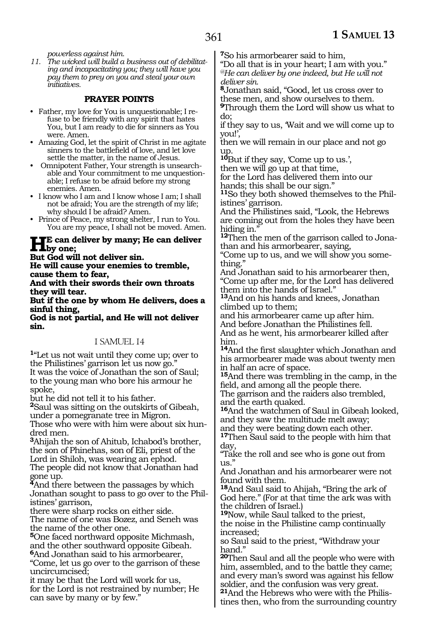*powerless against him.*

*11. The wicked will build a business out of debilitating and incapacitating you; they will have you pay them to prey on you and steal your own initiatives.*

#### **PRAYER POINTS**

- Father, my love for You is unquestionable; I refuse to be friendly with any spirit that hates You, but I am ready to die for sinners as You were. Amen.
- Amazing God, let the spirit of Christ in me agitate sinners to the battlefield of love, and let love settle the matter, in the name of Jesus.
- Omnipotent Father, Your strength is unsearchable and Your commitment to me unquestionable; I refuse to be afraid before my strong enemies. Amen.
- I know who I am and I know whose I am; I shall not be afraid; You are the strength of my life; why should I be afraid? Amen.
- Prince of Peace, my strong shelter, I run to You. You are my peace, I shall not be moved. Amen.

#### **He can deliver by many; He can deliver by one;**

**But God will not deliver sin.**

**He will cause your enemies to tremble, cause them to fear,**

**And with their swords their own throats they will tear.**

**But if the one by whom He delivers, does a sinful thing,**

**God is not partial, and He will not deliver sin.**

#### 1 SAMUEL 14

**<sup>1</sup>**"Let us not wait until they come up; over to the Philistines' garrison let us now go." It was the voice of Jonathan the son of Saul; to the young man who bore his armour he spoke,

but he did not tell it to his father.

**<sup>2</sup>**Saul was sitting on the outskirts of Gibeah, under a pomegranate tree in Migron.

Those who were with him were about six hundred men.

**<sup>3</sup>**Ahijah the son of Ahitub, Ichabod's brother, the son of Phinehas, son of Eli, priest of the Lord in Shiloh, was wearing an ephod. The people did not know that Jonathan had gone up.

**<sup>4</sup>**And there between the passages by which Jonathan sought to pass to go over to the Philistines' garrison,

there were sharp rocks on either side. The name of one was Bozez, and Seneh was the name of the other one.

**<sup>5</sup>**One faced northward opposite Michmash, and the other southward opposite Gibeah. **<sup>6</sup>**And Jonathan said to his armorbearer,

"Come, let us go over to the garrison of these uncircumcised;

it may be that the Lord will work for us, for the Lord is not restrained by number; He can save by many or by few."

**<sup>7</sup>**So his armorbearer said to him,

"Do all that is in your heart; I am with you." *@He can deliver by one indeed, but He will not deliver sin.*

**<sup>8</sup>**Jonathan said, "Good, let us cross over to these men, and show ourselves to them.

**<sup>9</sup>**Through them the Lord will show us what to do;

if they say to us, 'Wait and we will come up to you!',

then we will remain in our place and not go up.

**<sup>10</sup>**But if they say, 'Come up to us.',

then we will go up at that time,

for the Lord has delivered them into our hands; this shall be our sign."

**11**So they both showed themselves to the Philistines' garrison.

And the Philistines said, "Look, the Hebrews are coming out from the holes they have been hiding in.'

**12**Then the men of the garrison called to Jonathan and his armorbearer, saying,

"Come up to us, and we will show you something.'

And Jonathan said to his armorbearer then, "Come up after me, for the Lord has delivered them into the hands of Israel."

**<sup>13</sup>**And on his hands and knees, Jonathan climbed up to them;

and his armorbearer came up after him. And before Jonathan the Philistines fell. And as he went, his armorbearer killed after him.

**<sup>14</sup>**And the first slaughter which Jonathan and his armorbearer made was about twenty men in half an acre of space.

**<sup>15</sup>**And there was trembling in the camp, in the field, and among all the people there.

The garrison and the raiders also trembled, and the earth quaked.

**<sup>16</sup>**And the watchmen of Saul in Gibeah looked, and they saw the multitude melt away;

and they were beating down each other.

**<sup>17</sup>**Then Saul said to the people with him that day,

"Take the roll and see who is gone out from us."

And Jonathan and his armorbearer were not found with them.

**<sup>18</sup>**And Saul said to Ahijah, "Bring the ark of God here." (For at that time the ark was with the children of Israel.)

**<sup>19</sup>**Now, while Saul talked to the priest, the noise in the Philistine camp continually increased;

so Saul said to the priest, "Withdraw your hand."

**<sup>20</sup>**Then Saul and all the people who were with him, assembled, and to the battle they came; and every man's sword was against his fellow soldier, and the confusion was very great.

**21**And the Hebrews who were with the Philistines then, who from the surrounding country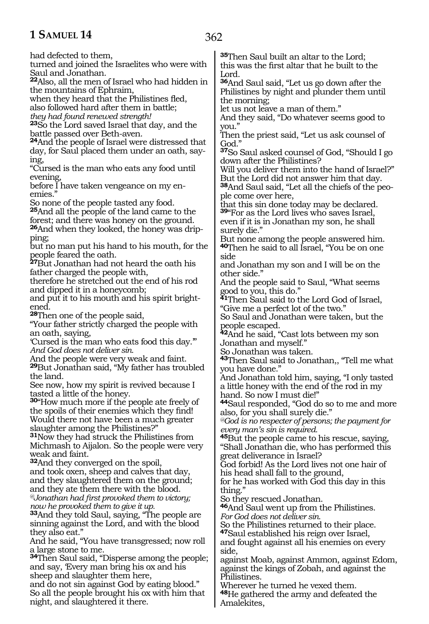had defected to them,

turned and joined the Israelites who were with Saul and Jonathan.

**<sup>22</sup>**Also, all the men of Israel who had hidden in the mountains of Ephraim,

when they heard that the Philistines fled,

also followed hard after them in battle;

*they had found renewed strength!*

**<sup>23</sup>**So the Lord saved Israel that day, and the battle passed over Beth-aven.

**<sup>24</sup>**And the people of Israel were distressed that day, for Saul placed them under an oath, saying,

"Cursed is the man who eats any food until evening,

before I have taken vengeance on my enemies."

So none of the people tasted any food. **<sup>25</sup>**And all the people of the land came to the forest; and there was honey on the ground.

**26**And when they looked, the honey was dripping;

but no man put his hand to his mouth, for the people feared the oath.

**<sup>27</sup>**But Jonathan had not heard the oath his father charged the people with,

therefore he stretched out the end of his rod and dipped it in a honeycomb;

and put it to his mouth and his spirit brightened.

**<sup>28</sup>**Then one of the people said,

"Your father strictly charged the people with an oath, saying,

'Cursed is the man who eats food this day.'" *And God does not deliver sin.*

And the people were very weak and faint. **<sup>29</sup>**But Jonathan said, "My father has troubled the land.

See now, how my spirit is revived because I tasted a little of the honey.

**<sup>30</sup>**"How much more if the people ate freely of the spoils of their enemies which they find! Would there not have been a much greater slaughter among the Philistines?"

**<sup>31</sup>**Now they had struck the Philistines from Michmash to Aijalon. So the people were very weak and faint.

**<sup>32</sup>**And they converged on the spoil, and took oxen, sheep and calves that day, and they slaughtered them on the ground; and they ate them there with the blood. *@Jonathan had first provoked them to victory; now he provoked them to give it up.* 

**<sup>33</sup>**And they told Saul, saying, "The people are sinning against the Lord, and with the blood they also eat."

And he said, "You have transgressed; now roll a large stone to me.

**<sup>34</sup>**Then Saul said, "Disperse among the people; and say, 'Every man bring his ox and his sheep and slaughter them here,

and do not sin against God by eating blood." So all the people brought his ox with him that night, and slaughtered it there.

**<sup>35</sup>**Then Saul built an altar to the Lord; this was the first altar that he built to the Lord.

**<sup>36</sup>**And Saul said, "Let us go down after the Philistines by night and plunder them until the morning;

let us not leave a man of them."

And they said, "Do whatever seems good to you."

Then the priest said, "Let us ask counsel of God."

**<sup>37</sup>**So Saul asked counsel of God, "Should I go down after the Philistines?

Will you deliver them into the hand of Israel?" But the Lord did not answer him that day.

**38**And Saul said, "Let all the chiefs of the people come over here,

that this sin done today may be declared. **<sup>39</sup>**"For as the Lord lives who saves Israel, even if it is in Jonathan my son, he shall surely die."

But none among the people answered him. **<sup>40</sup>**Then he said to all Israel, "You be on one side

and Jonathan my son and I will be on the other side."

And the people said to Saul, "What seems good to you, this do."

**<sup>41</sup>**Then Saul said to the Lord God of Israel, "Give me a perfect lot of the two."

So Saul and Jonathan were taken, but the people escaped.

**<sup>42</sup>**And he said, "Cast lots between my son Jonathan and myself."

So Jonathan was taken.

**<sup>43</sup>**Then Saul said to Jonathan,, "Tell me what you have done."

And Jonathan told him, saying, "I only tasted a little honey with the end of the rod in my hand. So now I must die!"

**<sup>44</sup>**Saul responded, "God do so to me and more also, for you shall surely die."

*@God is no respecter of persons; the payment for every man's sin is required.*

**<sup>45</sup>**But the people came to his rescue, saying, "Shall Jonathan die, who has performed this great deliverance in Israel?

God forbid! As the Lord lives not one hair of his head shall fall to the ground,

for he has worked with God this day in this thing."

So they rescued Jonathan.

**<sup>46</sup>**And Saul went up from the Philistines. *For God does not deliver sin.* 

So the Philistines returned to their place.

**<sup>47</sup>**Saul established his reign over Israel, and fought against all his enemies on every side,

against Moab, against Ammon, against Edom, against the kings of Zobah, and against the Philistines.

Wherever he turned he vexed them. **<sup>48</sup>**He gathered the army and defeated the Amalekites,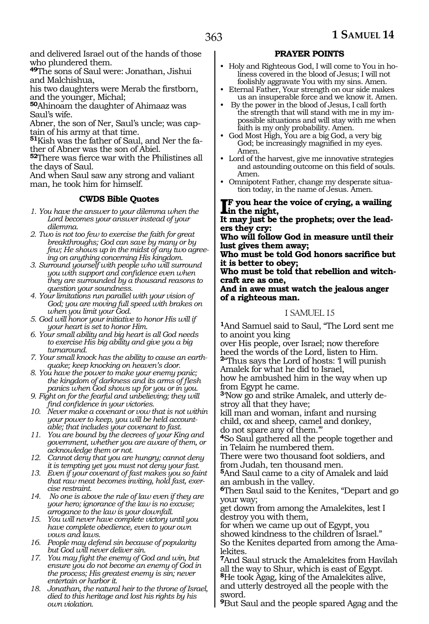and delivered Israel out of the hands of those who plundered them.

**<sup>49</sup>**The sons of Saul were: Jonathan, Jishui and Malchishua,

his two daughters were Merab the firstborn, and the younger, Michal;

**<sup>50</sup>**Ahinoam the daughter of Ahimaaz was Saul's wife.

Abner, the son of Ner, Saul's uncle; was captain of his army at that time.

**51**Kish was the father of Saul, and Ner the father of Abner was the son of Abiel.

**<sup>52</sup>**There was fierce war with the Philistines all the days of Saul.

And when Saul saw any strong and valiant man, he took him for himself.

#### **CWDS Bible Quotes**

*1. You have the answer to your dilemma when the Lord becomes your answer instead of your dilemma.*

- *2. Two is not too few to exercise the faith for great breakthroughs; God can save by many or by few; He shows up in the midst of any two agreeing on anything concerning His kingdom.*
- *3. Surround yourself with people who will surround you with support and confidence even when they are surrounded by a thousand reasons to question your soundness.*
- *4. Your limitations run parallel with your vision of God; you are moving full speed with brakes on when you limit your God.*
- *5. God will honor your initiative to honor His will if your heart is set to honor Him.*
- *6. Your small ability and big heart is all God needs to exercise His big ability and give you a big turnaround.*
- *7. Your small knock has the ability to cause an earthquake; keep knocking on heaven's door.*

*8. You have the power to make your enemy panic; the kingdom of darkness and its arms of flesh panics when God shows up for you or in you.*

*9. Fight on for the fearful and unbelieving; they will find confidence in your victories.*

*10. Never make a covenant or vow that is not within your power to keep, you will be held accountable; that includes your covenant to fast.*

*11. You are bound by the decrees of your King and government, whether you are aware of them, or acknowledge them or not.*

*12. Cannot deny that you are hungry; cannot deny it is tempting yet you must not deny your fast.*

*13. Even if your covenant of fast makes you so faint that raw meat becomes inviting, hold fast, exercise restraint.*

*14. No one is above the rule of law even if they are your hero; ignorance of the law is no excuse; arrogance to the law is your downfall.*

*15. You will never have complete victory until you have complete obedience, even to your own vows and laws.*

*16. People may defend sin because of popularity but God will never deliver sin.*

*17. You may fight the enemy of God and win, but ensure you do not become an enemy of God in the process; His greatest enemy is sin; never entertain or harbor it.*

*18. Jonathan, the natural heir to the throne of Israel, died to this heritage and lost his rights by his own violation.*

#### **PRAYER POINTS**

- Holy and Righteous God, I will come to You in holiness covered in the blood of Jesus; I will not foolishly aggravate You with my sins. Amen.
- Eternal Father, Your strength on our side makes us an insuperable force and we know it. Amen.
- By the power in the blood of Jesus, I call forth the strength that will stand with me in my impossible situations and will stay with me when faith is my only probability. Amen.
- God Most High, You are a big God, a very big God; be increasingly magnified in my eyes. Amen.
- Lord of the harvest, give me innovative strategies and astounding outcome on this field of souls. Amen.
- Omnipotent Father, change my desperate situation today, in the name of Jesus. Amen.

**I**F you hear the night, **f you hear the voice of crying, a wailing** 

**It may just be the prophets; over the lead- ers they cry:**

**Who will follow God in measure until their lust gives them away;**

**Who must be told God honors sacrifice but it is better to obey;**

**Who must be told that rebellion and witch- craft are as one,**

**And in awe must watch the jealous anger of a righteous man.**

#### 1 SAMUEL 15

**<sup>1</sup>**And Samuel said to Saul, "The Lord sent me to anoint you king

over His people, over Israel; now therefore heed the words of the Lord, listen to Him. **<sup>2</sup>**"Thus says the Lord of hosts: 'I will punish

Amalek for what he did to Israel,

how he ambushed him in the way when up from Egypt he came.

**3**'Now go and strike Amalek, and utterly destroy all that they have;

kill man and woman, infant and nursing child, ox and sheep, camel and donkey, do not spare any of them.'"

**<sup>4</sup>**So Saul gathered all the people together and in Telaim he numbered them.

There were two thousand foot soldiers, and from Judah, ten thousand men.

**<sup>5</sup>**And Saul came to a city of Amalek and laid an ambush in the valley.

**<sup>6</sup>**Then Saul said to the Kenites, "Depart and go your way;

get down from among the Amalekites, lest I destroy you with them,

for when we came up out of Egypt, you showed kindness to the children of Israel." So the Kenites departed from among the Amalekites.

**<sup>7</sup>**And Saul struck the Amalekites from Havilah all the way to Shur, which is east of Egypt. **<sup>8</sup>**He took Agag, king of the Amalekites alive, and utterly destroyed all the people with the

sword. **<sup>9</sup>**But Saul and the people spared Agag and the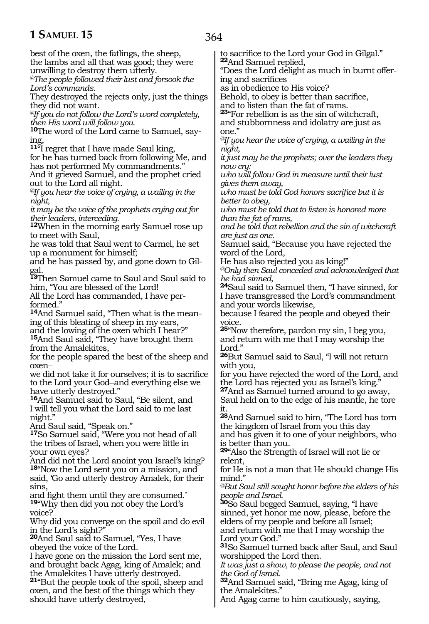364

best of the oxen, the fatlings, the sheep, the lambs and all that was good; they were unwilling to destroy them utterly. *@The people followed their lust and forsook the Lord's commands.* They destroyed the rejects only, just the things they did not want. *@If you do not follow the Lord's word completely, then His word will follow you.* **10**The word of the Lord came to Samuel, saying, **<sup>11</sup>**"I regret that I have made Saul king, for he has turned back from following Me, and has not performed My commandments." And it grieved Samuel, and the prophet cried out to the Lord all night. *@If you hear the voice of crying, a wailing in the night, it may be the voice of the prophets crying out for their leaders, interceding.* **<sup>12</sup>**When in the morning early Samuel rose up to meet with Saul, he was told that Saul went to Carmel, he set up a monument for himself; and he has passed by, and gone down to Gilgal. **<sup>13</sup>**Then Samuel came to Saul and Saul said to him, "You are blessed of the Lord! All the Lord has commanded, I have performed." **14**And Samuel said, "Then what is the meaning of this bleating of sheep in my ears, and the lowing of the oxen which I hear?" **<sup>15</sup>**And Saul said, "They have brought them from the Amalekites, for the people spared the best of the sheep and oxen\_\_ we did not take it for ourselves; it is to sacrifice to the Lord your God-and everything else we have utterly destroyed." **<sup>16</sup>**And Samuel said to Saul, "Be silent, and I will tell you what the Lord said to me last night." And Saul said, "Speak on." **<sup>17</sup>**So Samuel said, "Were you not head of all the tribes of Israel, when you were little in your own eyes? And did not the Lord anoint you Israel's king? **<sup>18</sup>**"Now the Lord sent you on a mission, and said, 'Go and utterly destroy Amalek, for their sins, and fight them until they are consumed.' **<sup>19</sup>**"Why then did you not obey the Lord's voice? Why did you converge on the spoil and do evil in the Lord's sight?" **<sup>20</sup>**And Saul said to Samuel, "Yes, I have obeyed the voice of the Lord. I have gone on the mission the Lord sent me, and brought back Agag, king of Amalek; and the Amalekites I have utterly destroyed. **<sup>21</sup>**"But the people took of the spoil, sheep and oxen, and the best of the things which they should have utterly destroyed, to sacrifice to the Lord your God in Gilgal." **<sup>22</sup>**And Samuel replied, "Does the Lord delight as much in burnt offering and sacrifices as in obedience to His voice? Behold, to obey is better than sacrifice, and to listen than the fat of rams. **<sup>23</sup>**"For rebellion is as the sin of witchcraft, and stubbornness and idolatry are just as one." *@If you hear the voice of crying, a wailing in the night, it just may be the prophets; over the leaders they now cry: who will follow God in measure until their lust gives them away, who must be told God honors sacrifice but it is better to obey, who must be told that to listen is honored more than the fat of rams, and be told that rebellion and the sin of witchcraft are just as one.* Samuel said, "Because you have rejected the word of the Lord, He has also rejected you as king!" *@Only then Saul conceded and acknowledged that he had sinned,* **<sup>24</sup>**Saul said to Samuel then, "I have sinned, for I have transgressed the Lord's commandment and your words likewise, because I feared the people and obeyed their voice. **<sup>25</sup>**"Now therefore, pardon my sin, I beg you, and return with me that I may worship the Lord." **<sup>26</sup>**But Samuel said to Saul, "I will not return with you, for you have rejected the word of the Lord, and the Lord has rejected you as Israel's king." **<sup>27</sup>**And as Samuel turned around to go away, Saul held on to the edge of his mantle, he tore it. **<sup>28</sup>**And Samuel said to him, "The Lord has torn the kingdom of Israel from you this day and has given it to one of your neighbors, who is better than you. **<sup>29</sup>**"Also the Strength of Israel will not lie or relent, for He is not a man that He should change His mind." *@But Saul still sought honor before the elders of his people and Israel.* **<sup>30</sup>**So Saul begged Samuel, saying, "I have sinned, yet honor me now, please, before the elders of my people and before all Israel; and return with me that I may worship the Lord your God." **<sup>31</sup>**So Samuel turned back after Saul, and Saul worshipped the Lord then. *It was just a show, to please the people, and not the God of Israel.* **<sup>32</sup>**And Samuel said, "Bring me Agag, king of the Amalekites."

And Agag came to him cautiously, saying,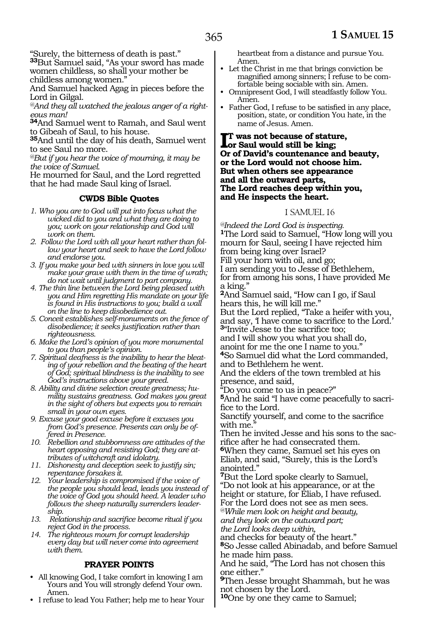"Surely, the bitterness of death is past."

**<sup>33</sup>**But Samuel said, "As your sword has made women childless, so shall your mother be childless among women."

And Samuel hacked Agag in pieces before the Lord in Gilgal.

*@And they all watched the jealous anger of a righteous man!*

**<sup>34</sup>**And Samuel went to Ramah, and Saul went to Gibeah of Saul, to his house.

**<sup>35</sup>**And until the day of his death, Samuel went to see Saul no more.

*@But if you hear the voice of mourning, it may be the voice of Samuel.*

He mourned for Saul, and the Lord regretted that he had made Saul king of Israel.

#### **CWDS Bible Quotes**

- *1. Who you are to God will put into focus what the wicked did to you and what they are doing to you; work on your relationship and God will work on them.*
- *2. Follow the Lord with all your heart rather than follow your heart and seek to have the Lord follow and endorse you.*
- *3. If you make your bed with sinners in love you will make your grave with them in the time of wrath; do not wait until judgment to part company.*
- *4. The thin line between the Lord being pleased with you and Him regretting His mandate on your life is found in His instructions to you; build a wall on the line to keep disobedience out.*
- *5. Conceit establishes self-monuments on the fence of disobedience; it seeks justification rather than righteousness.*
- *6. Make the Lord's opinion of you more monumental to you than people's opinion.*
- *7. Spiritual deafness is the inability to hear the bleating of your rebellion and the beating of the heart of God; spiritual blindness is the inability to see God's instructions above your greed.*
- *8. Ability and divine selection create greatness; humility sustains greatness. God makes you great in the sight of others but expects you to remain small in your own eyes.*
- *9. Excuse your good excuse before it excuses you from God's presence. Presents can only be offered in Presence.*
- *10. Rebellion and stubbornness are attitudes of the heart opposing and resisting God; they are attributes of witchcraft and idolatry.*
- *11. Dishonesty and deception seek to justify sin; repentance forsakes it.*
- *12. Your leadership is compromised if the voice of the people you should lead, leads you instead of the voice of God you should heed. A leader who follows the sheep naturally surrenders leadership.*
- *13. Relationship and sacrifice become ritual if you reject God in the process.*
- *14. The righteous mourn for corrupt leadership every day but will never come into agreement with them.*

#### **PRAYER POINTS**

- All knowing God, I take comfort in knowing I am Yours and You will strongly defend Your own. Amen.
- I refuse to lead You Father; help me to hear Your

heartbeat from a distance and pursue You. Amen.

- Let the Christ in me that brings conviction be magnified among sinners; I refuse to be comfortable being sociable with sin. Amen.
- Omnipresent God, I will steadfastly follow You. Amen.
- Father God, I refuse to be satisfied in any place, position, state, or condition You hate, in the name of Jesus. Amen.

**I**T was not because of statu<br>
or Saul would still be king;<br>
Or of David's countenance **t was not because of stature, Or of David's countenance and beauty, or the Lord would not choose him. But when others see appearance and all the outward parts, The Lord reaches deep within you, and He inspects the heart.**

#### 1 SAMUEL 16

*@Indeed the Lord God is inspecting.* **<sup>1</sup>**The Lord said to Samuel, "How long will you mourn for Saul, seeing I have rejected him from being king over Israel? Fill your horn with oil, and go;

I am sending you to Jesse of Bethlehem, for from among his sons, I have provided Me a king."

**<sup>2</sup>**And Samuel said, "How can I go, if Saul hears this, he will kill me."

But the Lord replied, "Take a heifer with you, and say, 'I have come to sacrifice to the Lord.' **<sup>3</sup>**"Invite Jesse to the sacrifice too;

and I will show you what you shall do, anoint for me the one I name to you."

**<sup>4</sup>**So Samuel did what the Lord commanded, and to Bethlehem he went.

And the elders of the town trembled at his presence, and said,

"Do you come to us in peace?"

**5**And he said "I have come peacefully to sacrifice to the Lord.

Sanctify yourself, and come to the sacrifice with me.

Then he invited Jesse and his sons to the sacrifice after he had consecrated them.

**<sup>6</sup>**When they came, Samuel set his eyes on Eliab, and said, "Surely, this is the Lord's anointed."

**<sup>7</sup>**But the Lord spoke clearly to Samuel, "Do not look at his appearance, or at the height or stature, for Eliab, I have refused. For the Lord does not see as men sees.

*@While men look on height and beauty, and they look on the outward part;*

*the Lord looks deep within,*

and checks for beauty of the heart." **<sup>8</sup>**So Jesse called Abinadab, and before Samuel he made him pass.

And he said, "The Lord has not chosen this one either."

**<sup>9</sup>**Then Jesse brought Shammah, but he was not chosen by the Lord.

**<sup>10</sup>**One by one they came to Samuel;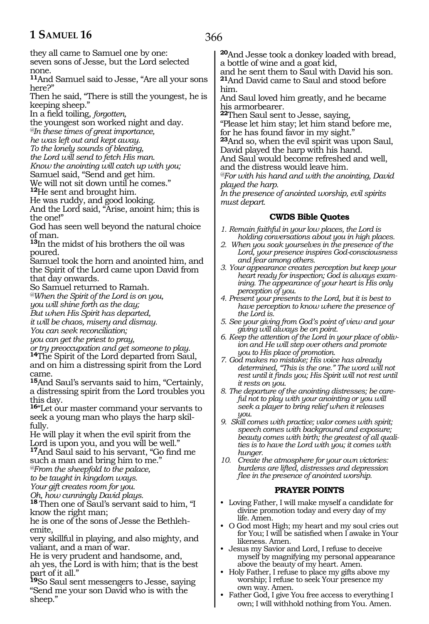they all came to Samuel one by one:

seven sons of Jesse, but the Lord selected none.

**<sup>11</sup>**And Samuel said to Jesse, "Are all your sons here?"

Then he said, "There is still the youngest, he is keeping sheep."

In a field toiling, *forgotten,*

the youngest son worked night and day.

*@In these times of great importance,*

*he was left out and kept away.*

*To the lonely sounds of bleating,*

*the Lord will send to fetch His man.* 

*Know the anointing will catch up with you;* Samuel said, "Send and get him.

We will not sit down until he comes."

**<sup>12</sup>**He sent and brought him.

He was ruddy, and good looking.

And the Lord said, "Arise, anoint him; this is the one!"

God has seen well beyond the natural choice of man.

**<sup>13</sup>**In the midst of his brothers the oil was poured.

Samuel took the horn and anointed him, and the Spirit of the Lord came upon David from that day onwards.

So Samuel returned to Ramah.

*@When the Spirit of the Lord is on you,*

*you will shine forth as the day;*

*But when His Spirit has departed,*

*it will be chaos, misery and dismay.*

*You can seek reconciliation;*

*you can get the priest to pray,*

*or try preoccupation and get someone to play.*

**<sup>14</sup>**The Spirit of the Lord departed from Saul, and on him a distressing spirit from the Lord came.

**<sup>15</sup>**And Saul's servants said to him, "Certainly, a distressing spirit from the Lord troubles you this day.

**<sup>16</sup>**"Let our master command your servants to seek a young man who plays the harp skilfully.

He will play it when the evil spirit from the Lord is upon you, and you will be well." **<sup>17</sup>**And Saul said to his servant, "Go find me such a man and bring him to me."

*@From the sheepfold to the palace,*

*to be taught in kingdom ways.*

*Your gift creates room for you.*

*Oh, how cunningly David plays.*

**<sup>18</sup>**Then one of Saul's servant said to him, "I know the right man;

he is one of the sons of Jesse the Bethleh- emite,

very skillful in playing, and also mighty, and valiant, and a man of war.

He is very prudent and handsome, and, ah yes, the Lord is with him; that is the best part of it all."

**<sup>19</sup>**So Saul sent messengers to Jesse, saying "Send me your son David who is with the sheep."

366

**<sup>20</sup>**And Jesse took a donkey loaded with bread, a bottle of wine and a goat kid,

and he sent them to Saul with David his son. **<sup>21</sup>**And David came to Saul and stood before him.

And Saul loved him greatly, and he became his armorbearer.

**<sup>22</sup>**Then Saul sent to Jesse, saying, "Please let him stay; let him stand before me, for he has found favor in my sight."

**<sup>23</sup>**And so, when the evil spirit was upon Saul, David played the harp with his hand.

And Saul would become refreshed and well, and the distress would leave him.

*@For with his hand and with the anointing, David played the harp.*

*In the presence of anointed worship, evil spirits must depart.*

#### **CWDS Bible Quotes**

- *1. Remain faithful in your low places, the Lord is holding conversations about you in high places.*
- *2. When you soak yourselves in the presence of the Lord, your presence inspires God-consciousness and fear among others.*
- *3. Your appearance creates perception but keep your heart ready for inspection; God is always examining. The appearance of your heart is His only perception of you.*
- *4. Present your presents to the Lord, but it is best to have perception to know where the presence of the Lord is.*
- *5. See your giving from God's point of view and your giving will always be on point.*
- *6. Keep the attention of the Lord in your place of oblivion and He will step over others and promote you to His place of promotion.*
- *7. God makes no mistake; His voice has already determined, "This is the one." The word will not rest until it finds you; His Spirit will not rest until it rests on you.*

*8. The departure of the anointing distresses; be careful not to play with your anointing or you will seek a player to bring relief when it releases you.*

- *9. Skill comes with practice; valor comes with spirit; speech comes with background and exposure; beauty comes with birth; the greatest of all qualities is to have the Lord with you; it comes with hunger.*
- *10. Create the atmosphere for your own victories: burdens are lifted, distresses and depression flee in the presence of anointed worship.*

#### **PRAYER POINTS**

- Loving Father, I will make myself a candidate for divine promotion today and every day of my life. Amen.
- O God most High; my heart and my soul cries out for You; I will be satisfied when I awake in Your likeness. Amen.
- Jesus my Savior and Lord, I refuse to deceive myself by magnifying my personal appearance above the beauty of my heart. Amen.
- Holy Father, I refuse to place my gifts above my worship; I refuse to seek Your presence my own way. Amen.
- Father God, I give You free access to everything I own; I will withhold nothing from You. Amen.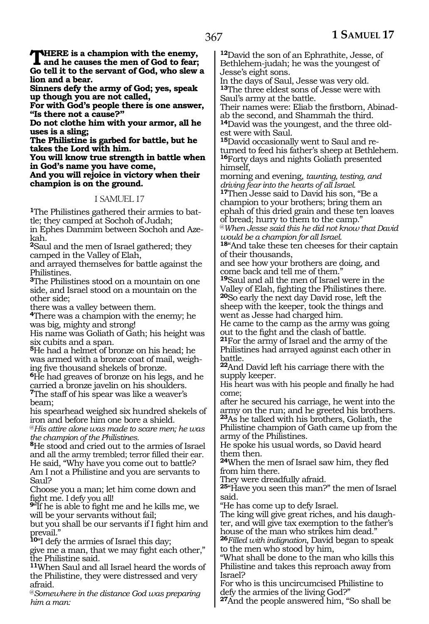**THERE** is a champion with the enemy,<br> **and he causes the men of God to fear;**<br> **Codell it to the servent of God, who slow Go tell it to the servant of God, who slew a lion and a bear.**

**Sinners defy the army of God; yes, speak up though you are not called,**

**For with God's people there is one answer, "Is there not a cause?"**

**Do not clothe him with your armor, all he uses is a sling;**

**The Philistine is garbed for battle, but he takes the Lord with him.**

**You will know true strength in battle when in God's name you have come,**

**And you will rejoice in victory when their champion is on the ground.**

#### 1 SAMUEL 17

**1**The Philistines gathered their armies to battle; they camped at Sochoh of Judah; in Ephes Dammim between Sochoh and Azekah.

**<sup>2</sup>**Saul and the men of Israel gathered; they camped in the Valley of Elah,

and arrayed themselves for battle against the Philistines.

**<sup>3</sup>**The Philistines stood on a mountain on one side, and Israel stood on a mountain on the other side;

there was a valley between them.

**<sup>4</sup>**There was a champion with the enemy; he was big, mighty and strong!

His name was Goliath of Gath; his height was six cubits and a span.

**<sup>5</sup>**He had a helmet of bronze on his head; he was armed with a bronze coat of mail, weighing five thousand shekels of bronze.

**<sup>6</sup>**He had greaves of bronze on his legs, and he carried a bronze javelin on his shoulders. **<sup>7</sup>**The staff of his spear was like a weaver's

beam;

his spearhead weighed six hundred shekels of iron and before him one bore a shield.

@*His attire alone was made to scare men; he was the champion of the Philistines.*

**<sup>8</sup>**He stood and cried out to the armies of Israel and all the army trembled; terror filled their ear. He said, "Why have you come out to battle? Am I not a Philistine and you are servants to Saul?

Choose you a man; let him come down and

fight me. I defy you all! **<sup>9</sup>**"If he is able to fight me and he kills me, we will be your servants without fail;

but you shall be our servants if I fight him and prevail."

**<sup>10</sup>**"I defy the armies of Israel this day;

give me a man, that we may fight each other," the Philistine said.

**<sup>11</sup>**When Saul and all Israel heard the words of the Philistine, they were distressed and very afraid.

@*Somewhere in the distance God was preparing him a man:*

**<sup>12</sup>**David the son of an Ephrathite, Jesse, of Bethlehem-judah; he was the youngest of Jesse's eight sons.

In the days of Saul, Jesse was very old. **<sup>13</sup>**The three eldest sons of Jesse were with Saul's army at the battle.

Their names were: Eliab the firstborn, Abinadab the second, and Shammah the third. **14**David was the youngest, and the three old-

est were with Saul.

**15**David occasionally went to Saul and returned to feed his father's sheep at Bethlehem. **<sup>16</sup>**Forty days and nights Goliath presented himself,

morning and evening, *taunting, testing, and driving fear into the hearts of all Israel.*

**<sup>17</sup>**Then Jesse said to David his son, "Be a champion to your brothers; bring them an ephah of this dried grain and these ten loaves of bread; hurry to them to the camp."

@*When Jesse said this he did not know that David would be a champion for all Israel.*

**<sup>18</sup>**"And take these ten cheeses for their captain of their thousands,

and see how your brothers are doing, and come back and tell me of them."

**<sup>19</sup>**Saul and all the men of Israel were in the Valley of Elah, fighting the Philistines there. **<sup>20</sup>**So early the next day David rose, left the sheep with the keeper, took the things and went as Jesse had charged him.

He came to the camp as the army was going out to the fight and the clash of battle. **<sup>21</sup>**For the army of Israel and the army of the

Philistines had arrayed against each other in battle.

**<sup>22</sup>**And David left his carriage there with the supply keeper.

His heart was with his people and finally he had come;

after he secured his carriage, he went into the army on the run; and he greeted his brothers. **<sup>23</sup>**As he talked with his brothers, Goliath, the Philistine champion of Gath came up from the army of the Philistines.

He spoke his usual words, so David heard them then.

**<sup>24</sup>**When the men of Israel saw him, they fled from him there.

They were dreadfully afraid.

**<sup>25</sup>**"Have you seen this man?" the men of Israel said.

"He has come up to defy Israel.

The king will give great riches, and his daughter, and will give tax exemption to the father's house of the man who strikes him dead."

**<sup>26</sup>***Filled with indignation*, David began to speak to the men who stood by him,

"What shall be done to the man who kills this Philistine and takes this reproach away from Israel?

For who is this uncircumcised Philistine to defy the armies of the living God?"

**<sup>27</sup>**And the people answered him, "So shall be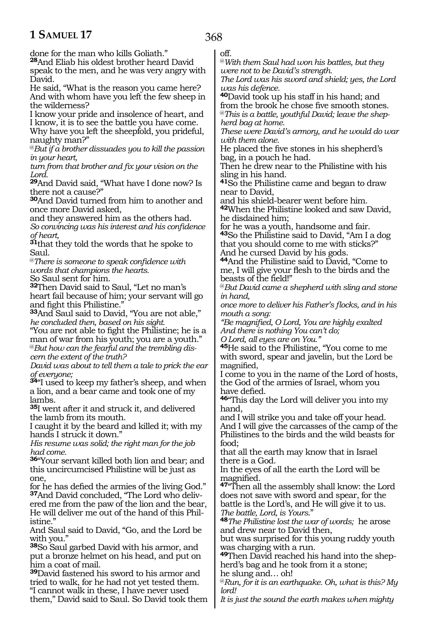done for the man who kills Goliath."

**<sup>28</sup>**And Eliab his oldest brother heard David speak to the men, and he was very angry with David.

He said, "What is the reason you came here? And with whom have you left the few sheep in the wilderness?

I know your pride and insolence of heart, and I know, it is to see the battle you have come.

Why have you left the sheepfold, you prideful, naughty man?"

@*But if a brother dissuades you to kill the passion in your heart,*

*turn from that brother and fix your vision on the Lord.*

**<sup>29</sup>**And David said, "What have I done now? Is there not a cause?"

**<sup>30</sup>**And David turned from him to another and once more David asked,

and they answered him as the others had. *So convincing was his interest and his confidence of heart,* 

**<sup>31</sup>**that they told the words that he spoke to Saul.

@*There is someone to speak confidence with words that champions the hearts.*

So Saul sent for him.

**<sup>32</sup>**Then David said to Saul, "Let no man's heart fail because of him; your servant will go and fight this Philistine."

**<sup>33</sup>**And Saul said to David, "You are not able," *he concluded then, based on his sight.*

"You are not able to fight the Philistine; he is a man of war from his youth; you are a youth." @*But how can the fearful and the trembling discern the extent of the truth?*

*David was about to tell them a tale to prick the ear of everyone;*

**<sup>34</sup>**"I used to keep my father's sheep, and when a lion, and a bear came and took one of my lambs.

**<sup>35</sup>**I went after it and struck it, and delivered the lamb from its mouth.

I caught it by the beard and killed it; with my hands I struck it down."

*His resume was solid; the right man for the job had come.*

**<sup>36</sup>**"Your servant killed both lion and bear; and this uncircumcised Philistine will be just as one,

for he has defied the armies of the living God." **37**And David concluded, "The Lord who deliv-

ered me from the paw of the lion and the bear, He will deliver me out of the hand of this Philistine."

And Saul said to David, "Go, and the Lord be with you."

**<sup>38</sup>**So Saul garbed David with his armor, and put a bronze helmet on his head, and put on him a coat of mail.

**<sup>39</sup>**David fastened his sword to his armor and tried to walk, for he had not yet tested them. "I cannot walk in these, I have never used them," David said to Saul. So David took them off.

368

@*With them Saul had won his battles, but they were not to be David's strength.*

*The Lord was his sword and shield; yes, the Lord was his defence.* 

**<sup>40</sup>**David took up his staff in his hand; and from the brook he chose five smooth stones. @*This is a battle, youthful David; leave the shepherd bag at home.*

*These were David's armory, and he would do war with them alone.*

He placed the five stones in his shepherd's bag, in a pouch he had.

Then he drew near to the Philistine with his sling in his hand.

**<sup>41</sup>**So the Philistine came and began to draw near to David,

and his shield-bearer went before him. **<sup>42</sup>**When the Philistine looked and saw David, he disdained him;

for he was a youth, handsome and fair. **<sup>43</sup>**So the Philistine said to David, "Am I a dog that you should come to me with sticks?" And he cursed David by his gods.

**<sup>44</sup>**And the Philistine said to David, "Come to me, I will give your flesh to the birds and the beasts of the field!"

@*But David came a shepherd with sling and stone in hand,* 

*once more to deliver his Father's flocks, and in his mouth a song:*

*"Be magnified, O Lord, You are highly exalted And there is nothing You can't do;* 

*O Lord, all eyes are on You."*

**<sup>45</sup>**He said to the Philistine, "You come to me with sword, spear and javelin, but the Lord be magnified,

I come to you in the name of the Lord of hosts, the God of the armies of Israel, whom you have defied.

**<sup>46</sup>**"This day the Lord will deliver you into my hand,

and I will strike you and take off your head. And I will give the carcasses of the camp of the Philistines to the birds and the wild beasts for food;

that all the earth may know that in Israel there is a God.

In the eyes of all the earth the Lord will be magnified.

**<sup>47</sup>**"Then all the assembly shall know: the Lord does not save with sword and spear, for the battle is the Lord's, and He will give it to us. *The battle, Lord, is Yours*."

**<sup>48</sup>***The Philistine lost the war of words;* he arose and drew near to David then,

but was surprised for this young ruddy youth was charging with a run.

**49**Then David reached his hand into the shepherd's bag and he took from it a stone;

he slung and… oh!

@*Run, for it is an earthquake. Oh, what is this? My lord!*

*It is just the sound the earth makes when mighty*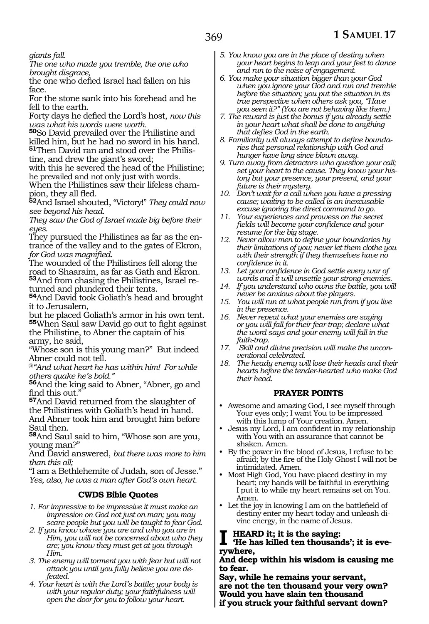*giants fall.*

*The one who made you tremble, the one who brought disgrace,*

the one who defied Israel had fallen on his face.

For the stone sank into his forehead and he fell to the earth.

Forty days he defied the Lord's host, *now this was what his words were worth.*

**<sup>50</sup>**So David prevailed over the Philistine and killed him, but he had no sword in his hand. **51**Then David ran and stood over the Philistine, and drew the giant's sword;

with this he severed the head of the Philistine; he prevailed and not only just with words.

When the Philistines saw their lifeless champion, they all fled.

**<sup>52</sup>**And Israel shouted, "Victory!" *They could now see beyond his head.*

*They saw the God of Israel made big before their eyes.*

They pursued the Philistines as far as the entrance of the valley and to the gates of Ekron, *for God was magnified.*

The wounded of the Philistines fell along the road to Shaaraim, as far as Gath and Ekron. **53**And from chasing the Philistines, Israel returned and plundered their tents.

**<sup>54</sup>**And David took Goliath's head and brought it to Jerusalem,

but he placed Goliath's armor in his own tent. **<sup>55</sup>**When Saul saw David go out to fight against the Philistine, to Abner the captain of his

army, he said,

"Whose son is this young man?" But indeed Abner could not tell.

@*"And what heart he has within him! For while others quake he's bold."*

**<sup>56</sup>**And the king said to Abner, "Abner, go and find this out."

**<sup>57</sup>**And David returned from the slaughter of the Philistines with Goliath's head in hand. And Abner took him and brought him before Saul then.

**<sup>58</sup>**And Saul said to him, "Whose son are you, young man?"

And David answered, *but there was more to him than this all;*

"I am a Bethlehemite of Judah, son of Jesse." *Yes, also, he was a man after God's own heart.* 

#### **CWDS Bible Quotes**

- *1. For impressive to be impressive it must make an impression on God not just on man; you may scare people but you will be taught to fear God.*
- *2. If you know whose you are and who you are in Him, you will not be concerned about who they are; you know they must get at you through Him.*
- *3. The enemy will torment you with fear but will not attack you until you fully believe you are defeated.*
- *4. Your heart is with the Lord's battle; your body is with your regular duty; your faithfulness will open the door for you to follow your heart.*
- *5. You know you are in the place of destiny when your heart begins to leap and your feet to dance and run to the noise of engagement.*
- *6. You make your situation bigger than your God when you ignore your God and run and tremble before the situation; you put the situation in its true perspective when others ask you, "Have you seen it?" (You are not behaving like them.)*
- *7. The reward is just the bonus if you already settle in your heart what shall be done to anything that defies God in the earth.*
- *8. Familiarity will always attempt to define boundaries that personal relationship with God and hunger have long since blown away.*
- *9. Turn away from detractors who question your call; set your heart to the cause. They know your history but your presence, your present, and your future is their mystery.*
- *10. Don't wait for a call when you have a pressing cause; waiting to be called is an inexcusable excuse ignoring the direct command to go.*
- *11. Your experiences and prowess on the secret fields will become your confidence and your resume for the big stage.*
- *12. Never allow men to define your boundaries by their limitations of you; never let them clothe you with their strength if they themselves have no confidence in it.*
- *13. Let your confidence in God settle every war of words and it will unsettle your strong enemies.*
- *14. If you understand who owns the battle, you will never be anxious about the players.*
- *15. You will run at what people run from if you live in the presence.*
- *16. Never repeat what your enemies are saying or you will fall for their fear-trap; declare what the word says and your enemy will fall in the faith-trap.*
- *17. Skill and divine precision will make the unconventional celebrated.*
- *18. The heady enemy will lose their heads and their hearts before the tender-hearted who make God their head.*

#### **PRAYER POINTS**

- Awesome and amazing God, I see myself through Your eyes only; I want You to be impressed with this lump of Your creation. Amen.
- Jesus my Lord, I am confident in my relationship with You with an assurance that cannot be shaken. Amen.
- By the power in the blood of Jesus, I refuse to be afraid; by the fire of the Holy Ghost I will not be intimidated. Amen.
- Most High God, You have placed destiny in my heart; my hands will be faithful in everything I put it to while my heart remains set on You. Amen.
- Let the joy in knowing I am on the battlefield of destiny enter my heart today and unleash divine energy, in the name of Jesus.

### **I** HEARD it; it is the saying:<br>
"He has killed ten thousands'; it is eve**rywhere,**

#### **And deep within his wisdom is causing me to fear.**

**Say, while he remains your servant, are not the ten thousand your very own? Would you have slain ten thousand if you struck your faithful servant down?**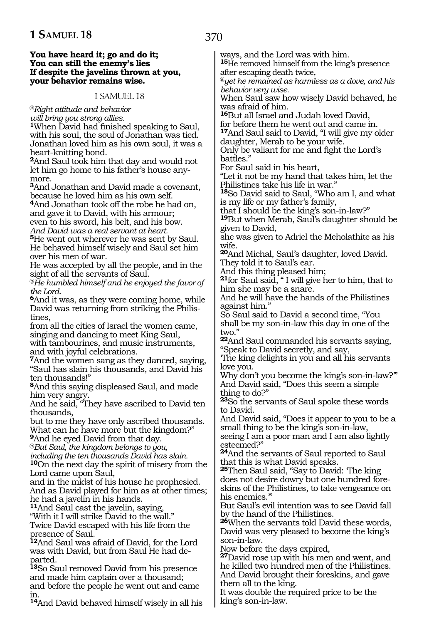#### **You have heard it; go and do it; You can still the enemy's lies If despite the javelins thrown at you, your behavior remains wise.**

#### 1 SAMUEL 18

@*Right attitude and behavior*

*will bring you strong allies.*

**<sup>1</sup>**When David had finished speaking to Saul, with his soul, the soul of Jonathan was tied. Jonathan loved him as his own soul, it was a heart-knitting bond.

**<sup>2</sup>**And Saul took him that day and would not let him go home to his father's house anymore.

**<sup>3</sup>**And Jonathan and David made a covenant, because he loved him as his own self.

**<sup>4</sup>**And Jonathan took off the robe he had on, and gave it to David, with his armour; even to his sword, his belt, and his bow.

*And David was a real servant at heart.*

**<sup>5</sup>**He went out wherever he was sent by Saul. He behaved himself wisely and Saul set him over his men of war.

He was accepted by all the people, and in the sight of all the servants of Saul.

@*He humbled himself and he enjoyed the favor of the Lord.*

**<sup>6</sup>**And it was, as they were coming home, while David was returning from striking the Philistines,

from all the cities of Israel the women came, singing and dancing to meet King Saul, with tambourines, and music instruments, and with joyful celebrations.

**<sup>7</sup>**And the women sang as they danced, saying, "Saul has slain his thousands, and David his ten thousands!"

**<sup>8</sup>**And this saying displeased Saul, and made him very angry.

And he said, "They have ascribed to David ten thousands,

but to me they have only ascribed thousands. What can he have more but the kingdom?"

**<sup>9</sup>**And he eyed David from that day.

@*But Saul, the kingdom belongs to you,* 

*including the ten thousands David has slain.* **<sup>10</sup>**On the next day the spirit of misery from the Lord came upon Saul,

and in the midst of his house he prophesied. And as David played for him as at other times; he had a javelin in his hands.

**<sup>11</sup>**And Saul cast the javelin, saying,

"With it I will strike David to the wall." Twice David escaped with his life from the

presence of Saul. **<sup>12</sup>**And Saul was afraid of David, for the Lord was with David, but from Saul He had de- parted.

**<sup>13</sup>**So Saul removed David from his presence and made him captain over a thousand; and before the people he went out and came in.

**<sup>14</sup>**And David behaved himself wisely in all his

ways, and the Lord was with him.

**<sup>15</sup>**He removed himself from the king's presence after escaping death twice,

@*yet he remained as harmless as a dove, and his behavior very wise.*

When Saul saw how wisely David behaved, he was afraid of him.

**<sup>16</sup>**But all Israel and Judah loved David, for before them he went out and came in.

**<sup>17</sup>**And Saul said to David, "I will give my older daughter, Merab to be your wife.

Only be valiant for me and fight the Lord's battles."

For Saul said in his heart,

"Let it not be my hand that takes him, let the Philistines take his life in war."

**<sup>18</sup>**So David said to Saul, "Who am I, and what is my life or my father's family,

that I should be the king's son-in-law?"

**<sup>19</sup>**But when Merab, Saul's daughter should be given to David,

she was given to Adriel the Meholathite as his wife.

**<sup>20</sup>**And Michal, Saul's daughter, loved David. They told it to Saul's ear.

And this thing pleased him;

**<sup>21</sup>**for Saul said, " I will give her to him, that to him she may be a snare.

And he will have the hands of the Philistines against him."

So Saul said to David a second time, "You shall be my son-in-law this day in one of the two."

**<sup>22</sup>**And Saul commanded his servants saying, "Speak to David secretly, and say,

'The king delights in you and all his servants love you.

Why don't you become the king's son-in-law?" And David said, "Does this seem a simple thing to do?"

**<sup>23</sup>**So the servants of Saul spoke these words to David.

And David said, "Does it appear to you to be a small thing to be the king's son-in-law, seeing I am a poor man and I am also lightly esteemed?"

**<sup>24</sup>**And the servants of Saul reported to Saul that this is what David speaks.

25Then Saul said, "Say to David: The king does not desire dowry but one hundred foreskins of the Philistines, to take vengeance on his enemies."

But Saul's evil intention was to see David fall by the hand of the Philistines.

**<sup>26</sup>**When the servants told David these words, David was very pleased to become the king's son-in-law.

Now before the days expired,

**<sup>27</sup>**David rose up with his men and went, and he killed two hundred men of the Philistines. And David brought their foreskins, and gave them all to the king.

It was double the required price to be the king's son-in-law.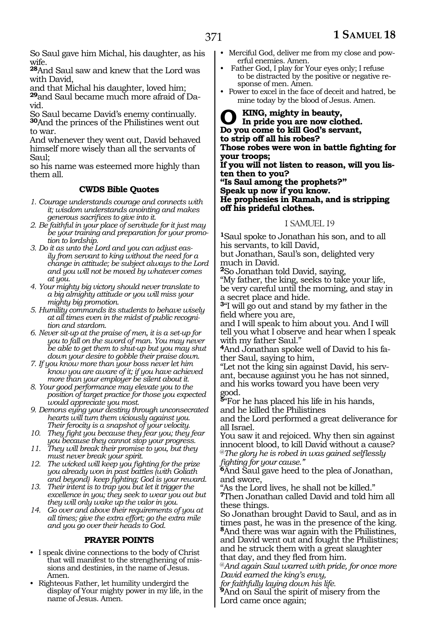So Saul gave him Michal, his daughter, as his wife.

**<sup>28</sup>**And Saul saw and knew that the Lord was with David,

and that Michal his daughter, loved him;

**29**and Saul became much more afraid of David.

So Saul became David's enemy continually. **<sup>30</sup>**And the princes of the Philistines went out to war.

And whenever they went out, David behaved himself more wisely than all the servants of Saul;

so his name was esteemed more highly than them all.

#### **CWDS Bible Quotes**

- *1. Courage understands courage and connects with it; wisdom understands anointing and makes generous sacrifices to give into it.*
- *2. Be faithful in your place of servitude for it just may be your training and preparation for your promotion to lordship.*
- *3. Do it as unto the Lord and you can adjust easily from servant to king without the need for a change in attitude; be subject always to the Lord and you will not be moved by whatever comes at you.*
- *4. Your mighty big victory should never translate to a big almighty attitude or you will miss your mighty big promotion.*
- *5. Humility commands its students to behave wisely at all times even in the midst of public recognition and stardom.*
- *6. Never sit-up at the praise of men, it is a set-up for you to fall on the sword of man. You may never be able to get them to shut-up but you may shut down your desire to gobble their praise down.*
- *7. If you know more than your boss never let him know you are aware of it; if you have achieved more than your employer be silent about it.*
- *8. Your good performance may elevate you to the position of target practice for those you expected would appreciate you most.*
- *9. Demons eying your destiny through unconsecrated hearts will turn them viciously against you. Their ferocity is a snapshot of your velocity.*
- *10. They fight you because they fear you; they fear you because they cannot stop your progress.*
- *11. They will break their promise to you, but they must never break your spirit.*
- *12. The wicked will keep you fighting for the prize you already won in past battles (with Goliath and beyond) keep fighting; God is your reward.*
- *13. Their intent is to trap you but let it trigger the excellence in you; they seek to wear you out but they will only wake up the valor in you.*
- *14. Go over and above their requirements of you at all times; give the extra effort; go the extra mile and you go over their heads to God.*

#### **PRAYER POINTS**

- I speak divine connections to the body of Christ that will manifest to the strengthening of missions and destinies, in the name of Jesus. Amen.
- Righteous Father, let humility undergird the display of Your mighty power in my life, in the name of Jesus. Amen.
- Merciful God, deliver me from my close and powerful enemies. Amen.
- Father God, I play for Your eyes only; I refuse to be distracted by the positive or negative response of men. Amen.
- Power to excel in the face of deceit and hatred, be mine today by the blood of Jesus. Amen.

**O king, mighty in beauty, In pride you are now clothed. Do you come to kill God's servant, to strip off all his robes? Those robes were won in battle fighting for your troops; If you will not listen to reason, will you listen then to you? "Is Saul among the prophets?" Speak up now if you know. He prophesies in Ramah, and is stripping off his prideful clothes.**

#### 1 SAMUEL 19

**<sup>1</sup>**Saul spoke to Jonathan his son, and to all his servants, to kill David,

but Jonathan, Saul's son, delighted very much in David.

**<sup>2</sup>**So Jonathan told David, saying,

"My father, the king, seeks to take your life, be very careful until the morning, and stay in a secret place and hide.

**<sup>3</sup>**"I will go out and stand by my father in the field where you are,

and I will speak to him about you. And I will tell you what I observe and hear when I speak with my father Saul."

**4**And Jonathan spoke well of David to his father Saul, saying to him,

"Let not the king sin against David, his servant, because against you he has not sinned, and his works toward you have been very good.

**<sup>5</sup>**"For he has placed his life in his hands, and he killed the Philistines

and the Lord performed a great deliverance for all Israel.

You saw it and rejoiced. Why then sin against innocent blood, to kill David without a cause? @*The glory he is robed in was gained selflessly* 

*fighting for your cause."*

**<sup>6</sup>**And Saul gave heed to the plea of Jonathan, and swore,

"As the Lord lives, he shall not be killed."

**<sup>7</sup>**Then Jonathan called David and told him all these things.

So Jonathan brought David to Saul, and as in times past, he was in the presence of the king. **<sup>8</sup>**And there was war again with the Philistines, and David went out and fought the Philistines; and he struck them with a great slaughter

that day, and they fled from him.

@*And again Saul warred with pride, for once more David earned the king's envy,*

*for faithfully laying down his life.*

**<sup>9</sup>**And on Saul the spirit of misery from the Lord came once again;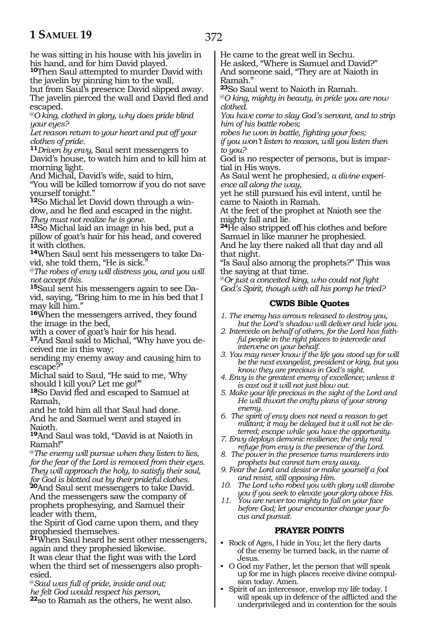he was sitting in his house with his javelin in his hand, and for him David played.

**<sup>10</sup>**Then Saul attempted to murder David with the javelin by pinning him to the wall,

but from Saul's presence David slipped away. The javelin pierced the wall and David fled and escaped.

@*O king, clothed in glory, why does pride blind your eyes?*

*Let reason return to your heart and put off your clothes of pride.*

**<sup>11</sup>***Driven by envy,* Saul sent messengers to David's house, to watch him and to kill him at morning light.

And Michal, David's wife, said to him,

"You will be killed tomorrow if you do not save yourself tonight."

**<sup>12</sup>**So Michal let David down through a win- dow, and he fled and escaped in the night. *They must not realize he is gone.*

**<sup>13</sup>**So Michal laid an image in his bed, put a pillow of goat's hair for his head, and covered it with clothes.

**<sup>14</sup>**When Saul sent his messengers to take Da- vid, she told them, "He is sick."

@*The robes of envy will distress you, and you will not accept this.*

**<sup>15</sup>**Saul sent his messengers again to see Da- vid, saying, "Bring him to me in his bed that I may kill him."

**<sup>16</sup>**When the messengers arrived, they found the image in the bed,

with a cover of goat's hair for his head.

**<sup>17</sup>**And Saul said to Michal, "Why have you de- ceived me in this way;

sending my enemy away and causing him to escape?"

Michal said to Saul, "He said to me, 'Why should I kill you? Let me go!'"

**<sup>18</sup>**So David fled and escaped to Samuel at Ramah,

and he told him all that Saul had done. And he and Samuel went and stayed in Naioth.

**<sup>19</sup>**And Saul was told, "David is at Naioth in Ramah!"

@*The enemy will pursue when they listen to lies, for the fear of the Lord is removed from their eyes. They will approach the holy, to satisfy their soul, for God is blotted out by their prideful clothes.*

**<sup>20</sup>**And Saul sent messengers to take David. And the messengers saw the company of prophets prophesying, and Samuel their leader with them,

the Spirit of God came upon them, and they prophesied themselves.

**<sup>21</sup>**When Saul heard he sent other messengers, again and they prophesied likewise.

It was clear that the fight was with the Lord when the third set of messengers also prophesied.

@*Saul was full of pride, inside and out; he felt God would respect his person,* 

**<sup>22</sup>**so to Ramah as the others, he went also.

He came to the great well in Sechu.

He asked, "Where is Samuel and David?" And someone said, "They are at Naioth in Ramah."

**<sup>23</sup>**So Saul went to Naioth in Ramah.

@*O king, mighty in beauty, in pride you are now clothed.*

*You have come to slay God's servant, and to strip him of his battle robes;*

*robes he won in battle, fighting your foes;*

*if you won't listen to reason, will you listen then to you?*

God is no respecter of persons, but is impartial in His ways.

As Saul went he prophesied, *a divine experience all along the way,*

yet he still pursued his evil intent, until he came to Naioth in Ramah.

At the feet of the prophet at Naioth see the mighty fall and lie.

**<sup>24</sup>**He also stripped off his clothes and before Samuel in like manner he prophesied.

And he lay there naked all that day and all that night.

"Is Saul also among the prophets?" This was the saying at that time.

@*Or just a conceited king, who could not fight God's Spirit, though with all his pomp he tried?*

#### **CWDS Bible Quotes**

- *1. The enemy has arrows released to destroy you, but the Lord's shadow will deliver and hide you.*
- *2. Intercede on behalf of others, for the Lord has faithful people in the right places to intercede and intervene on your behalf.*
- *3. You may never know if the life you stood up for will be the next evangelist, president or king, but you know they are precious in God's sight.*
- *4. Envy is the greatest enemy of excellence; unless it is cast out it will not just blow out.*
- *5. Make your life precious in the sight of the Lord and He will thwart the crafty plans of your strong enemy.*
- *6. The spirit of envy does not need a reason to get militant; it may be delayed but it will not be deterred; escape while you have the opportunity.*
- *7. Envy deploys demonic resilience; the only real refuge from envy is the presence of the Lord.*
- *8. The power in the presence turns murderers into prophets but cannot turn envy away.*
- *9. Fear the Lord and desist or make yourself a fool and resist, still opposing Him.*
- *10. The Lord who robed you with glory will disrobe you if you seek to elevate your glory above His.*
- *11. You are never too mighty to fall on your face before God; let your encounter change your focus and pursuit.*

#### **PRAYER POINTS**

- Rock of Ages, I hide in You; let the fiery darts of the enemy be turned back, in the name of Jesus.
- O God my Father, let the person that will speak up for me in high places receive divine compulsion today. Amen.
- Spirit of an intercessor, envelop my life today. I will speak up in defence of the afflicted and the underprivileged and in contention for the souls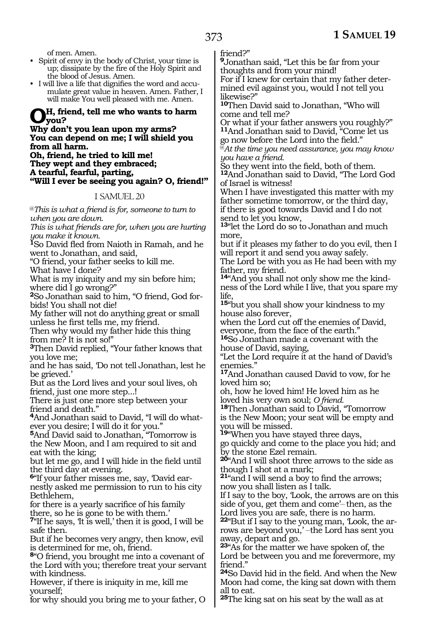of men. Amen.

- Spirit of envy in the body of Christ, your time is up; dissipate by the fire of the Holy Spirit and the blood of Jesus. Amen.
- I will live a life that dignifies the word and accumulate great value in heaven. Amen. Father, I will make You well pleased with me. Amen.

## **Oh, friend, tell me who wants to harm**<br>What dan't new loop was me a sume?

#### **Why don't you lean upon my arms? You can depend on me; I will shield you from all harm.**

**Oh, friend, he tried to kill me! They wept and they embraced; A tearful, fearful, parting, "Will I ever be seeing you again? O, friend!"**

#### 1 SAMUEL 20

@*This is what a friend is for, someone to turn to when you are down.*

*This is what friends are for, when you are hurting you make it known.*

**<sup>1</sup>**So David fled from Naioth in Ramah, and he went to Jonathan, and said,

"O friend, your father seeks to kill me.

What have I done?

What is my iniquity and my sin before him; where did I go wrong?"

**2**So Jonathan said to him, "O friend, God forbids! You shall not die!

My father will not do anything great or small unless he first tells me, my friend.

Then why would my father hide this thing from me? It is not so!"

**<sup>3</sup>**Then David replied, "Your father knows that you love me;

and he has said, 'Do not tell Jonathan, lest he be grieved.'

But as the Lord lives and your soul lives, oh friend, just one more step...!

There is just one more step between your friend and death."

**4**And Jonathan said to David, "I will do whatever you desire; I will do it for you."

**<sup>5</sup>**And David said to Jonathan, "Tomorrow is the New Moon, and I am required to sit and eat with the king;

but let me go, and I will hide in the field until the third day at evening.

**6**"If your father misses me, say, 'David earnestly asked me permission to run to his city Bethlehem,

for there is a yearly sacrifice of his family there, so he is gone to be with them.'

**<sup>7</sup>**"If he says, 'It is well,' then it is good, I will be safe then.

But if he becomes very angry, then know, evil is determined for me, oh, friend.

**<sup>8</sup>**"O friend, you brought me into a covenant of the Lord with you; therefore treat your servant with kindness.

However, if there is iniquity in me, kill me yourself;

for why should you bring me to your father, O

friend?"

**<sup>9</sup>**Jonathan said, "Let this be far from your thoughts and from your mind! For if I knew for certain that my father deter-

mined evil against you, would I not tell you likewise?"

**<sup>10</sup>**Then David said to Jonathan, "Who will come and tell me?

Or what if your father answers you roughly?" **<sup>11</sup>**And Jonathan said to David, "Come let us go now before the Lord into the field."

@*At the time you need assurance, you may know you have a friend.*

So they went into the field, both of them.

**<sup>12</sup>**And Jonathan said to David, "The Lord God of Israel is witness!

When I have investigated this matter with my father sometime tomorrow, or the third day, if there is good towards David and I do not send to let you know,

**<sup>13</sup>**"let the Lord do so to Jonathan and much more,

but if it pleases my father to do you evil, then I will report it and send you away safely.

The Lord be with you as He had been with my father, my friend.

**14**"And you shall not only show me the kindness of the Lord while I live, that you spare my life,

**<sup>15</sup>**"but you shall show your kindness to my house also forever,

when the Lord cut off the enemies of David, everyone, from the face of the earth."

**<sup>16</sup>**So Jonathan made a covenant with the house of David, saying,

"Let the Lord require it at the hand of David's enemies."

**<sup>17</sup>**And Jonathan caused David to vow, for he loved him so;

oh, how he loved him! He loved him as he

loved his very own soul; *O friend.* **<sup>18</sup>**Then Jonathan said to David, "Tomorrow is the New Moon; your seat will be empty and you will be missed.

**<sup>19</sup>**"When you have stayed three days, go quickly and come to the place you hid; and by the stone Ezel remain.

**<sup>20</sup>**"And I will shoot three arrows to the side as though I shot at a mark;

**<sup>21</sup>**"and I will send a boy to find the arrows; now you shall listen as I talk.

If I say to the boy, 'Look, the arrows are on this side of you, get them and come'-then, as the Lord lives you are safe, there is no harm.

**22**"But if I say to the young man, 'Look, the arrows are beyond you,' -- the Lord has sent you away, depart and go.

**<sup>23</sup>**"As for the matter we have spoken of, the Lord be between you and me forevermore, my friend."

**<sup>24</sup>**So David hid in the field. And when the New Moon had come, the king sat down with them all to eat.

**<sup>25</sup>**The king sat on his seat by the wall as at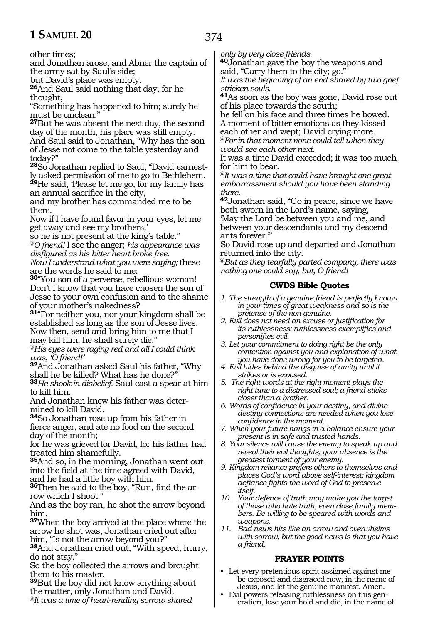other times;

and Jonathan arose, and Abner the captain of the army sat by Saul's side;

but David's place was empty.

**<sup>26</sup>**And Saul said nothing that day, for he thought,

"Something has happened to him; surely he must be unclean."

**<sup>27</sup>**But he was absent the next day, the second day of the month, his place was still empty. And Saul said to Jonathan, "Why has the son of Jesse not come to the table yesterday and today?"

**28**So Jonathan replied to Saul, "David earnestly asked permission of me to go to Bethlehem. **<sup>29</sup>**He said, 'Please let me go, for my family has

an annual sacrifice in the city,

and my brother has commanded me to be there.

Now if I have found favor in your eyes, let me get away and see my brothers,'

so he is not present at the king's table." @*O friend!* I see the anger; *his appearance was* 

*disfigured as his bitter heart broke free. Now I understand what you were saying;* these are the words he said to me:

**<sup>30</sup>**"You son of a perverse, rebellious woman! Don't I know that you have chosen the son of Jesse to your own confusion and to the shame of your mother's nakedness?

**<sup>31</sup>**"For neither you, nor your kingdom shall be established as long as the son of Jesse lives. Now then, send and bring him to me that I may kill him, he shall surely die."

@*His eyes were raging red and all I could think was, 'O friend!'*

**<sup>32</sup>**And Jonathan asked Saul his father, "Why shall he be killed? What has he done?"

**<sup>33</sup>***He shook in disbelief.* Saul cast a spear at him to kill him.

And Jonathan knew his father was deter- mined to kill David.

**<sup>34</sup>**So Jonathan rose up from his father in fierce anger, and ate no food on the second day of the month;

for he was grieved for David, for his father had treated him shamefully.

**<sup>35</sup>**And so, in the morning, Jonathan went out into the field at the time agreed with David, and he had a little boy with him.

**36**Then he said to the boy, "Run, find the arrow which I shoot."

And as the boy ran, he shot the arrow beyond him.

**<sup>37</sup>**When the boy arrived at the place where the arrow he shot was, Jonathan cried out after him, "Is not the arrow beyond you?"

**<sup>38</sup>**And Jonathan cried out, "With speed, hurry, do not stay."

So the boy collected the arrows and brought them to his master.

**<sup>39</sup>**But the boy did not know anything about the matter, only Jonathan and David.

@*It was a time of heart-rending sorrow shared* 

*only by very close friends.*

**<sup>40</sup>**Jonathan gave the boy the weapons and said, "Carry them to the city; go."

*It was the beginning of an end shared by two grief stricken souls.*

**<sup>41</sup>**As soon as the boy was gone, David rose out of his place towards the south;

he fell on his face and three times he bowed. A moment of bitter emotions as they kissed each other and wept; David crying more.

@*For in that moment none could tell when they would see each other next.*

It was a time David exceeded; it was too much for him to bear.

@*It was a time that could have brought one great embarrassment should you have been standing* 

*there.* **<sup>42</sup>**Jonathan said, "Go in peace, since we have both sworn in the Lord's name, saying, 'May the Lord be between you and me, and between your descendants and my descendants forever.'"

So David rose up and departed and Jonathan returned into the city.

@*But as they tearfully parted company, there was nothing one could say, but, O friend!*

#### **CWDS Bible Quotes**

- *1. The strength of a genuine friend is perfectly known in your times of great weakness and so is the pretense of the non-genuine.*
- *2. Evil does not need an excuse or justification for its ruthlessness; ruthlessness exemplifies and personifies evil.*
- *3. Let your commitment to doing right be the only contention against you and explanation of what you have done wrong for you to be targeted.*
- *4. Evil hides behind the disguise of amity until it strikes or is exposed.*
- *5. The right words at the right moment plays the right tune to a distressed soul; a friend sticks closer than a brother.*
- *6. Words of confidence in your destiny, and divine destiny-connections are needed when you lose confidence in the moment.*
- *7. When your future hangs in a balance ensure your present is in safe and trusted hands.*
- *8. Your silence will cause the enemy to speak up and reveal their evil thoughts; your absence is the greatest torment of your enemy.*
- *9. Kingdom reliance prefers others to themselves and places God's word above self-interest; kingdom defiance fights the word of God to preserve itself.*
- *10. Your defence of truth may make you the target of those who hate truth, even close family members. Be willing to be speared with words and weapons.*
- *11. Bad news hits like an arrow and overwhelms with sorrow, but the good news is that you have a friend.*

#### **PRAYER POINTS**

- Let every pretentious spirit assigned against me be exposed and disgraced now, in the name of Jesus, and let the genuine manifest. Amen.
- Evil powers releasing ruthlessness on this gen-eration, lose your hold and die, in the name of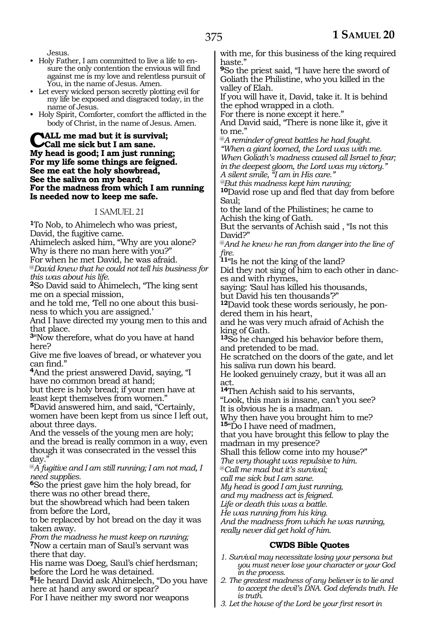Jesus.

- Holy Father, I am committed to live a life to ensure the only contention the envious will find against me is my love and relentless pursuit of You, in the name of Jesus. Amen.
- Let every wicked person secretly plotting evil for my life be exposed and disgraced today, in the name of Jesus.
- Holy Spirit, Comforter, comfort the afflicted in the body of Christ, in the name of Jesus. Amen.

**NALL me mad but it is survival; Call me sick but I am sane. My head is good; I am just running; For my life some things are feigned. See me eat the holy showbread, See the saliva on my beard; For the madness from which I am running Is needed now to keep me safe.**

#### 1 SAMUEL 21

**<sup>1</sup>**To Nob, to Ahimelech who was priest, David, the fugitive came.

Ahimelech asked him, "Why are you alone? Why is there no man here with you?"

For when he met David, he was afraid.

@*David knew that he could not tell his business for this was about his life.*

**<sup>2</sup>**So David said to Ahimelech, "The king sent me on a special mission,

and he told me, 'Tell no one about this business to which you are assigned.'

And I have directed my young men to this and that place.

**<sup>3</sup>**"Now therefore, what do you have at hand here?

Give me five loaves of bread, or whatever you can find."

**<sup>4</sup>**And the priest answered David, saying, "I have no common bread at hand;

but there is holy bread; if your men have at least kept themselves from women."

**<sup>5</sup>**David answered him, and said, "Certainly, women have been kept from us since I left out, about three days.

And the vessels of the young men are holy; and the bread is really common in a way, even though it was consecrated in the vessel this day.

@*A fugitive and I am still running; I am not mad, I need supplies.*

**<sup>6</sup>**So the priest gave him the holy bread, for there was no other bread there,

but the showbread which had been taken from before the Lord,

to be replaced by hot bread on the day it was taken away.

*From the madness he must keep on running;* **<sup>7</sup>**Now a certain man of Saul's servant was there that day.

His name was Doeg, Saul's chief herdsman; before the Lord he was detained.

**<sup>8</sup>**He heard David ask Ahimelech, "Do you have here at hand any sword or spear?

For I have neither my sword nor weapons

with me, for this business of the king required haste."

**<sup>9</sup>**So the priest said, "I have here the sword of Goliath the Philistine, who you killed in the valley of Elah.

If you will have it, David, take it. It is behind the ephod wrapped in a cloth.

For there is none except it here."

And David said, "There is none like it, give it to me."

@*A reminder of great battles he had fought. "When a giant loomed, the Lord was with me. When Goliath's madness caused all Israel to fear; in the deepest gloom, the Lord was my victory." A silent smile, "I am in His care."*

*@But this madness kept him running;*

**<sup>10</sup>**David rose up and fled that day from before Saul;

to the land of the Philistines; he came to Achish the king of Gath.

But the servants of Achish said , "Is not this David?"

@*And he knew he ran from danger into the line of fire.*

**<sup>11</sup>**"Is he not the king of the land?

Did they not sing of him to each other in dances and with rhymes,

saying: 'Saul has killed his thousands, but David his ten thousands'?"

**12**David took these words seriously, he pondered them in his heart,

and he was very much afraid of Achish the king of Gath.

**<sup>13</sup>**So he changed his behavior before them, and pretended to be mad.

He scratched on the doors of the gate, and let his saliva run down his beard.

He looked genuinely crazy, but it was all an act.

**<sup>14</sup>**Then Achish said to his servants, "Look, this man is insane, can't you see?

It is obvious he is a madman. Why then have you brought him to me?

15"Do I have need of madmen,

that you have brought this fellow to play the madman in my presence?

Shall this fellow come into my house?"

*The very thought was repulsive to him.*

@*Call me mad but it's survival;*

*call me sick but I am sane.*

*My head is good I am just running,*

*and my madness act is feigned.*

*Life or death this was a battle.*

*He was running from his king.*

*And the madness from which he was running, really never did get hold of him.*

#### **CWDS Bible Quotes**

- *1. Survival may necessitate losing your persona but you must never lose your character or your God in the process.*
- *2. The greatest madness of any believer is to lie and to accept the devil's DNA. God defends truth. He is truth.*
- *3. Let the house of the Lord be your first resort in*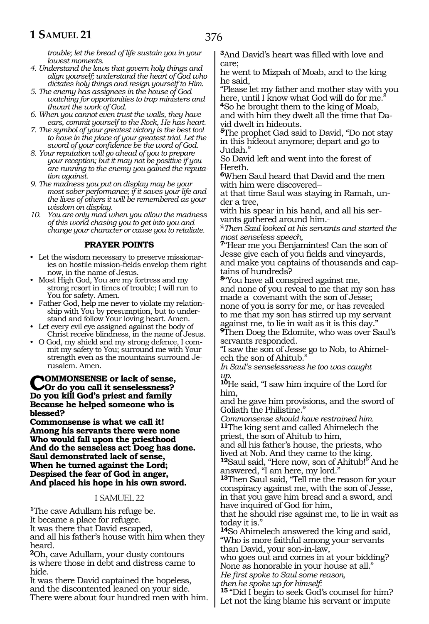*trouble; let the bread of life sustain you in your lowest moments.*

- *4. Understand the laws that govern holy things and align yourself; understand the heart of God who dictates holy things and resign yourself to Him.*
- *5. The enemy has assignees in the house of God watching for opportunities to trap ministers and thwart the work of God.*
- *6. When you cannot even trust the walls, they have ears, commit yourself to the Rock, He has heart.*
- *7. The symbol of your greatest victory is the best tool to have in the place of your greatest trial. Let the sword of your confidence be the word of God.*
- *8. Your reputation will go ahead of you to prepare your reception; but it may not be positive if you are running to the enemy you gained the reputation against.*
- *9. The madness you put on display may be your most sober performance; if it saves your life and the lives of others it will be remembered as your wisdom on display.*
- *10. You are only mad when you allow the madness of this world chasing you to get into you and change your character or cause you to retaliate.*

#### **PRAYER POINTS**

- Let the wisdom necessary to preserve missionaries on hostile mission-fields envelop them right now, in the name of Jesus.
- Most High God, You are my fortress and my strong resort in times of trouble; I will run to You for safety. Amen.
- Father God, help me never to violate my relationship with You by presumption, but to understand and follow Your loving heart. Amen.
- Let every evil eye assigned against the body of Christ receive blindness, in the name of Jesus.
- O God, my shield and my strong defence, I commit my safety to You; surround me with Your strength even as the mountains surround Jerusalem. Amen.

#### **Commonsense or lack of sense, Or do you call it senselessness? Do you kill God's priest and family Because he helped someone who is blessed?**

**Commonsense is what we call it! Among his servants there were none Who would fall upon the priesthood And do the senseless act Doeg has done. Saul demonstrated lack of sense, When he turned against the Lord; Despised the fear of God in anger, And placed his hope in his own sword.** 

#### 1 SAMUEL 22

**<sup>1</sup>**The cave Adullam his refuge be. It became a place for refugee. It was there that David escaped, and all his father's house with him when they

heard. **<sup>2</sup>**Oh, cave Adullam, your dusty contours

is where those in debt and distress came to hide.

It was there David captained the hopeless, and the discontented leaned on your side. There were about four hundred men with him. **<sup>3</sup>**And David's heart was filled with love and care;

he went to Mizpah of Moab, and to the king he said,

"Please let my father and mother stay with you here, until I know what God will do for me.

**<sup>4</sup>**So he brought them to the king of Moab, and with him they dwelt all the time that David dwelt in hideouts.

**<sup>5</sup>**The prophet Gad said to David, "Do not stay in this hideout anymore; depart and go to Judah."

So David left and went into the forest of Hereth.

**<sup>6</sup>**When Saul heard that David and the men with him were discovered\_\_

at that time Saul was staying in Ramah, under a tree,

with his spear in his hand, and all his servants gathered around him.\_

@*Then Saul looked at his servants and started the most senseless speech,*

**<sup>7</sup>**"Hear me you Benjamintes! Can the son of Jesse give each of you fields and vineyards, and make you captains of thousands and captains of hundreds?

**<sup>8</sup>**"You have all conspired against me, and none of you reveal to me that my son has made a covenant with the son of Jesse; none of you is sorry for me, or has revealed to me that my son has stirred up my servant against me, to lie in wait as it is this day."

**<sup>9</sup>**Then Doeg the Edomite, who was over Saul's servants responded.

"I saw the son of Jesse go to Nob, to Ahimelech the son of Ahitub.

*In Saul's senselessness he too was caught up.* 

**<sup>10</sup>**He said, "I saw him inquire of the Lord for him,

and he gave him provisions, and the sword of Goliath the Philistine."

*Commonsense should have restrained him.* **<sup>11</sup>**The king sent and called Ahimelech the priest, the son of Ahitub to him,

and all his father's house, the priests, who lived at Nob. And they came to the king.

**<sup>12</sup>**Saul said, "Here now, son of Ahitub!" And he answered, "I am here, my lord."

**<sup>13</sup>**Then Saul said, "Tell me the reason for your conspiracy against me, with the son of Jesse, in that you gave him bread and a sword, and have inquired of God for him,

that he should rise against me, to lie in wait as today it is."

**<sup>14</sup>**So Ahimelech answered the king and said, "Who is more faithful among your servants than David, your son-in-law,

who goes out and comes in at your bidding? None as honorable in your house at all."

*He first spoke to Saul some reason,*

*then he spoke up for himself:*

**<sup>15</sup>**"Did I begin to seek God's counsel for him? Let not the king blame his servant or impute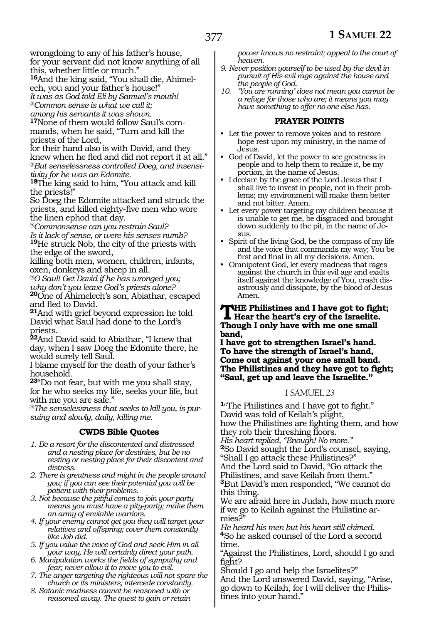wrongdoing to any of his father's house, for your servant did not know anything of all this, whether little or much."

**16**And the king said, "You shall die, Ahimelech, you and your father's house!"

*It was as God told Eli by Samuel's mouth!* 

@*Common sense is what we call it;* 

*among his servants it was shown.* 

**17**None of them would follow Saul's commands, when he said, "Turn and kill the priests of the Lord,

for their hand also is with David, and they knew when he fled and did not report it at all." @*But senselessness controlled Doeg, and insensitivity for he was an Edomite.* 

**<sup>18</sup>**The king said to him, "You attack and kill the priests!"

So Doeg the Edomite attacked and struck the priests, and killed eighty-five men who wore the linen ephod that day.

@*Commonsense can you restrain Saul?* 

*Is it lack of sense, or were his senses numb?*  **<sup>19</sup>**He struck Nob, the city of the priests with the edge of the sword,

killing both men, women, children, infants, oxen, donkeys and sheep in all.

@*O Saul! Get David if he has wronged you; why don't you leave God's priests alone?* 

**<sup>20</sup>**One of Ahimelech's son, Abiathar, escaped and fled to David.

**<sup>21</sup>**And with grief beyond expression he told David what Saul had done to the Lord's priests.

**<sup>22</sup>**And David said to Abiathar, "I knew that day, when I saw Doeg the Edomite there, he would surely tell Saul.

I blame myself for the death of your father's household.

**<sup>23</sup>**"Do not fear, but with me you shall stay, for he who seeks my life, seeks your life, but with me you are safe."

@*The senselessness that seeks to kill you, is pursuing and slowly, daily, killing me.* 

#### **CWDS Bible Quotes**

*1. Be a resort for the discontented and distressed and a nesting place for destinies, but be no resting or nesting place for their discontent and distress.*

*2. There is greatness and might in the people around you; if you can see their potential you will be patient with their problems.*

*3. Not because the pitiful comes to join your party means you must have a pity-party; make them an army of enviable warriors.*

*4. If your enemy cannot get you they will target your relatives and offspring; cover them constantly like Job did.*

- *5. If you value the voice of God and seek Him in all your way, He will certainly direct your path.*
- *6. Manipulation works the fields of sympathy and fear; never allow it to move you to evil.*
- *7. The anger targeting the righteous will not spare the church or its ministers; intercede constantly.*
- *8. Satanic madness cannot be reasoned with or reasoned away. The quest to gain or retain*

*power knows no restraint; appeal to the court of heaven.*

- *9. Never position yourself to be used by the devil in pursuit of His evil rage against the house and the people of God.*
- *10. 'You are running' does not mean you cannot be a refuge for those who are; it means you may have something to offer no one else has.*

#### **PRAYER POINTS**

- Let the power to remove yokes and to restore hope rest upon my ministry, in the name of Jesus.
- God of David, let the power to see greatness in people and to help them to realize it, be my portion, in the name of Jesus.
- I declare by the grace of the Lord Jesus that I shall live to invest in people, not in their problems; my environment will make them better and not bitter. Amen.
- Let every power targeting my children because it is unable to get me, be disgraced and brought down suddenly to the pit, in the name of Jesus.
- Spirit of the living God, be the compass of my life and the voice that commands my way; You be first and final in all my decisions. Amen.
- Omnipotent God, let every madness that rages against the church in this evil age and exalts itself against the knowledge of You, crash disastrously and dissipate, by the blood of Jesus Amen.

### **THE** Philistines and I have got to fight;<br>
Hear the heart's cry of the Israelite.<br>
Theugh Lanks have with me and amall. **Though I only have with me one small band,**

**I have got to strengthen Israel's hand. To have the strength of Israel's hand, Come out against your one small band. The Philistines and they have got to fight; "Saul, get up and leave the Israelite."**

#### 1 SAMUEL 23

**<sup>1</sup>**"The Philistines and I have got to fight." David was told of Keilah's plight, how the Philistines are fighting them, and how they rob their threshing floors.

*His heart replied, "Enough! No more."*

**<sup>2</sup>**So David sought the Lord's counsel, saying,

"Shall I go attack these Philistines?" And the Lord said to David, "Go attack the

Philistines, and save Keilah from them." **<sup>3</sup>**But David's men responded, "We cannot do this thing.

We are afraid here in Judah, how much more if we go to Keilah against the Philistine armies?"

*He heard his men but his heart still chimed.* **<sup>4</sup>**So he asked counsel of the Lord a second time.

"Against the Philistines, Lord, should I go and fight?

Should I go and help the Israelites?"

And the Lord answered David, saying, "Arise, go down to Keilah, for I will deliver the Philis- tines into your hand."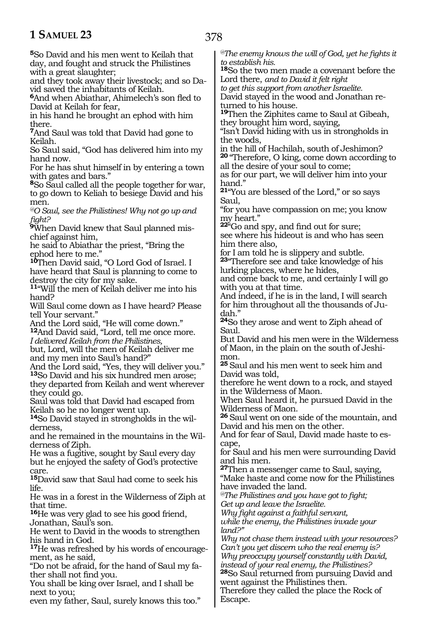**<sup>5</sup>**So David and his men went to Keilah that day, and fought and struck the Philistines with a great slaughter;

and they took away their livestock; and so David saved the inhabitants of Keilah.

**<sup>6</sup>**And when Abiathar, Ahimelech's son fled to David at Keilah for fear,

in his hand he brought an ephod with him there.

**<sup>7</sup>**And Saul was told that David had gone to Keilah.

So Saul said, "God has delivered him into my hand now.

For he has shut himself in by entering a town with gates and bars."

**<sup>8</sup>**So Saul called all the people together for war, to go down to Keliah to besiege David and his men.

*@O Saul, see the Philistines! Why not go up and fight?*

**9**When David knew that Saul planned mischief against him,

he said to Abiathar the priest, "Bring the ephod here to me."

**<sup>10</sup>**Then David said, "O Lord God of Israel. I have heard that Saul is planning to come to destroy the city for my sake.

**<sup>11</sup>**"Will the men of Keilah deliver me into his hand?

Will Saul come down as I have heard? Please tell Your servant."

And the Lord said, "He will come down."

**<sup>12</sup>**And David said, "Lord, tell me once more. *I delivered Keilah from the Philistines,*

but, Lord, will the men of Keilah deliver me and my men into Saul's hand?"

And the Lord said, "Yes, they will deliver you." **<sup>13</sup>**So David and his six hundred men arose; they departed from Keilah and went wherever

they could go. Saul was told that David had escaped from

Keilah so he no longer went up.

**14**So David stayed in strongholds in the wilderness,

and he remained in the mountains in the Wilderness of Ziph.

He was a fugitive, sought by Saul every day but he enjoyed the safety of God's protective care.

**<sup>15</sup>**David saw that Saul had come to seek his life.

He was in a forest in the Wilderness of Ziph at that time.

**<sup>16</sup>**He was very glad to see his good friend, Jonathan, Saul's son.

He went to David in the woods to strengthen his hand in God.

**<sup>17</sup>**He was refreshed by his words of encourage- ment, as he said,

"Do not be afraid, for the hand of Saul my father shall not find you.

You shall be king over Israel, and I shall be next to you;

even my father, Saul, surely knows this too."

*@The enemy knows the will of God, yet he fights it to establish his.*

**<sup>18</sup>**So the two men made a covenant before the Lord there, *and to David it felt right*

*to get this support from another Israelite.* David stayed in the wood and Jonathan re-

turned to his house.

**<sup>19</sup>**Then the Ziphites came to Saul at Gibeah, they brought him word, saying,

"Isn't David hiding with us in strongholds in the woods,

in the hill of Hachilah, south of Jeshimon? **<sup>20</sup>**"Therefore, O king, come down according to

all the desire of your soul to come; as for our part, we will deliver him into your hand."

**<sup>21</sup>**"You are blessed of the Lord," or so says Saul,

"for you have compassion on me; you know my heart."

**<sup>22</sup>**"Go and spy, and find out for sure; see where his hideout is and who has seen him there also,

for I am told he is slippery and subtle.

**<sup>23</sup>**"Therefore see and take knowledge of his lurking places, where he hides,

and come back to me, and certainly I will go with you at that time.

And indeed, if he is in the land, I will search for him throughout all the thousands of Judah."

**<sup>24</sup>**So they arose and went to Ziph ahead of Saul.

But David and his men were in the Wilderness of Maon, in the plain on the south of Jeshimon.

**<sup>25</sup>**Saul and his men went to seek him and David was told,

therefore he went down to a rock, and stayed in the Wilderness of Maon.

When Saul heard it, he pursued David in the Wilderness of Maon.

**<sup>26</sup>**Saul went on one side of the mountain, and David and his men on the other.

And for fear of Saul, David made haste to escape,

for Saul and his men were surrounding David and his men.

**<sup>27</sup>**Then a messenger came to Saul, saying, "Make haste and come now for the Philistines have invaded the land.

*@The Philistines and you have got to fight; Get up and leave the Israelite.*

*Why fight against a faithful servant, while the enemy, the Philistines invade your land?"*

*Why not chase them instead with your resources? Can't you yet discern who the real enemy is? Why preoccupy yourself constantly with David, instead of your real enemy, the Philistines?* **<sup>28</sup>**So Saul returned from pursuing David and went against the Philistines then. Therefore they called the place the Rock of Escape.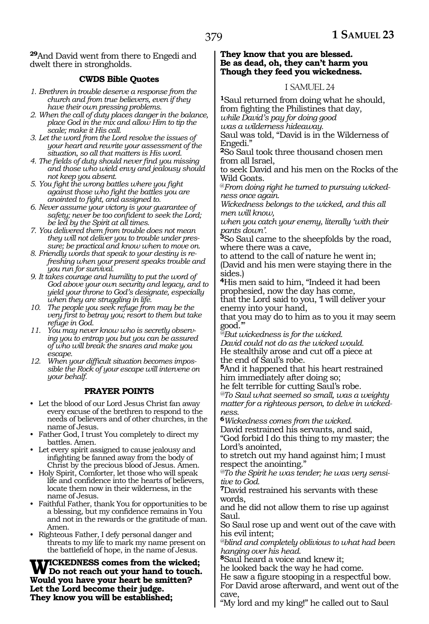**<sup>29</sup>**And David went from there to Engedi and dwelt there in strongholds.

#### **CWDS Bible Quotes**

- *1. Brethren in trouble deserve a response from the church and from true believers, even if they have their own pressing problems.*
- *2. When the call of duty places danger in the balance, place God in the mix and allow Him to tip the scale; make it His call.*
- *3. Let the word from the Lord resolve the issues of your heart and rewrite your assessment of the situation, so all that matters is His word.*
- *4. The fields of duty should never find you missing and those who wield envy and jealousy should not keep you absent.*
- *5. You fight the wrong battles where you fight against those who fight the battles you are anointed to fight, and assigned to.*
- *6. Never assume your victory is your guarantee of safety; never be too confident to seek the Lord; be led by the Spirit at all times.*
- *7. You delivered them from trouble does not mean they will not deliver you to trouble under pressure; be practical and know when to move on.*
- *8. Friendly words that speak to your destiny is refreshing when your present speaks trouble and you run for survival.*
- *9. It takes courage and humility to put the word of God above your own security and legacy, and to yield your throne to God's designate, especially when they are struggling in life.*
- *10. The people you seek refuge from may be the very first to betray you; resort to them but take refuge in God.*
- *11. You may never know who is secretly observing you to entrap you but you can be assured of who will break the snares and make you escape.*
- *12. When your difficult situation becomes impossible the Rock of your escape will intervene on your behalf.*

#### **PRAYER POINTS**

- Let the blood of our Lord Jesus Christ fan away every excuse of the brethren to respond to the needs of believers and of other churches, in the name of Jesus.
- Father God, I trust You completely to direct my battles. Amen.
- Let every spirit assigned to cause jealousy and infighting be fanned away from the body of Christ by the precious blood of Jesus. Amen.
- Holy Spirit, Comforter, let those who will speak life and confidence into the hearts of believers, locate them now in their wilderness, in the name of Jesus.
- Faithful Father, thank You for opportunities to be a blessing, but my confidence remains in You and not in the rewards or the gratitude of man. Amen.
- Righteous Father, I defy personal danger and threats to my life to mark my name present on the battlefield of hope, in the name of Jesus.

**Wickedness comes from the wicked; Do not reach out your hand to touch. Would you have your heart be smitten? Let the Lord become their judge. They know you will be established;**

#### **They know that you are blessed. Be as dead, oh, they can't harm you Though they feed you wickedness.**

#### 1 SAMUEL 24

**<sup>1</sup>**Saul returned from doing what he should, from fighting the Philistines that day, *while David's pay for doing good was a wilderness hideaway.* 

Saul was told, "David is in the Wilderness of Engedi."

**<sup>2</sup>**So Saul took three thousand chosen men from all Israel,

to seek David and his men on the Rocks of the Wild Goats.

@*From doing right he turned to pursuing wickedness once again.* 

*Wickedness belongs to the wicked, and this all men will know,*

*when you catch your enemy, literally 'with their pants down'.* 

**<sup>3</sup>**So Saul came to the sheepfolds by the road, where there was a cave,

to attend to the call of nature he went in; (David and his men were staying there in the sides.)

**<sup>4</sup>**His men said to him, "Indeed it had been prophesied, now the day has come,

that the Lord said to you, 'I will deliver your enemy into your hand,

that you may do to him as to you it may seem good.'"

*@But wickedness is for the wicked.* 

*David could not do as the wicked would.* He stealthily arose and cut off a piece at the end of Saul's robe.

**<sup>5</sup>**And it happened that his heart restrained him immediately after doing so;

he felt terrible for cutting Saul's robe.

*@To Saul what seemed so small, was a weighty matter for a righteous person, to delve in wickedness.* 

**<sup>6</sup>***Wickedness comes from the wicked.* 

David restrained his servants, and said, "God forbid I do this thing to my master; the

Lord's anointed,

to stretch out my hand against him; I must respect the anointing."

*@To the Spirit he was tender; he was very sensitive to God.* 

**<sup>7</sup>**David restrained his servants with these words,

and he did not allow them to rise up against Saul.

So Saul rose up and went out of the cave with his evil intent;

*@blind and completely oblivious to what had been hanging over his head.* 

**<sup>8</sup>**Saul heard a voice and knew it;

he looked back the way he had come.

He saw a figure stooping in a respectful bow. For David arose afterward, and went out of the cave,

"My lord and my king!" he called out to Saul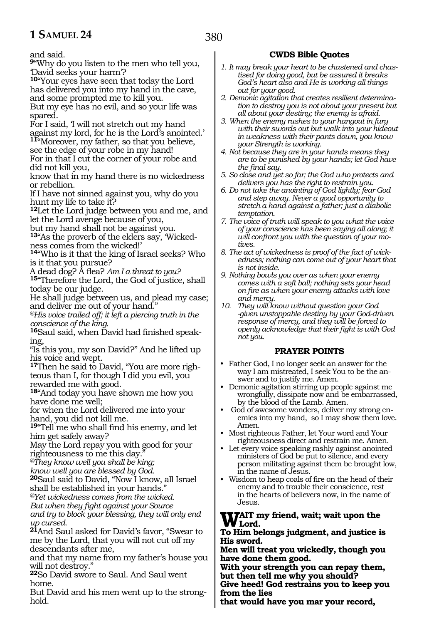and said.

**<sup>9</sup>**"Why do you listen to the men who tell you, 'David seeks your harm'?

**<sup>10</sup>**"Your eyes have seen that today the Lord has delivered you into my hand in the cave, and some prompted me to kill you.

But my eye has no evil, and so your life was spared.

For I said, 'I will not stretch out my hand against my lord, for he is the Lord's anointed.' **<sup>11</sup>**"Moreover, my father, so that you believe,

see the edge of your robe in my hand! For in that I cut the corner of your robe and did not kill you,

know that in my hand there is no wickedness or rebellion.

If I have not sinned against you, why do you hunt my life to take it?

**<sup>12</sup>**Let the Lord judge between you and me, and let the Lord avenge because of you,

but my hand shall not be against you.

**13**"As the proverb of the elders say, 'Wickedness comes from the wicked!'

**<sup>14</sup>**"Who is it that the king of Israel seeks? Who is it that you pursue?

A dead dog? A flea? *Am I a threat to you?* **15**"Therefore the Lord, the God of justice, shall today be our judge.

He shall judge between us, and plead my case; and deliver me out of your hand."

*@His voice trailed off; it left a piercing truth in the conscience of the king.* 

**16**Saul said, when David had finished speaking,

"Is this you, my son David?" And he lifted up his voice and wept.

**17**Then he said to David, "You are more righteous than I, for though I did you evil, you rewarded me with good.

**<sup>18</sup>**"And today you have shown me how you have done me well;

for when the Lord delivered me into your hand, you did not kill me.

**<sup>19</sup>**"Tell me who shall find his enemy, and let him get safely away?

May the Lord repay you with good for your righteousness to me this day.

*@They know well you shall be king;* 

*know well you are blessed by God.* 

**<sup>20</sup>**Saul said to David, "Now I know, all Israel shall be established in your hands."

*@Yet wickedness comes from the wicked.*

*But when they fight against your Source* 

*and try to block your blessing, they will only end up cursed.*

**<sup>21</sup>**And Saul asked for David's favor, "Swear to me by the Lord, that you will not cut off my descendants after me,

and that my name from my father's house you will not destroy."

**<sup>22</sup>**So David swore to Saul. And Saul went home.

But David and his men went up to the stronghold.

#### **CWDS Bible Quotes**

- *1. It may break your heart to be chastened and chastised for doing good, but be assured it breaks God's heart also and He is working all things out for your good.*
- *2. Demonic agitation that creates resilient determination to destroy you is not about your present but all about your destiny; the enemy is afraid.*
- *3. When the enemy rushes to your hangout in fury with their swords out but walk into your hideout in weakness with their pants down, you know your Strength is working.*
- *4. Not because they are in your hands means they are to be punished by your hands; let God have the final say.*
- *5. So close and yet so far; the God who protects and delivers you has the right to restrain you.*
- *6. Do not take the anointing of God lightly; fear God and step away. Never a good opportunity to stretch a hand against a father; just a diabolic temptation.*
- *7. The voice of truth will speak to you what the voice of your conscience has been saying all along; it will confront you with the question of your motives.*
- *8. The act of wickedness is proof of the fact of wickedness; nothing can come out of your heart that is not inside.*
- *9. Nothing bowls you over as when your enemy comes with a soft ball; nothing sets your head on fire as when your enemy attacks with love and mercy.*
- *10. They will know without question your God -given unstoppable destiny by your God-driven response of mercy, and they will be forced to openly acknowledge that their fight is with God not you.*

#### **PRAYER POINTS**

- Father God, I no longer seek an answer for the way I am mistreated, I seek You to be the answer and to justify me. Amen.
- Demonic agitation stirring up people against me wrongfully, dissipate now and be embarrassed, by the blood of the Lamb. Amen.
- God of awesome wonders, deliver my strong enemies into my hand, so I may show them love. Amen.
- Most righteous Father, let Your word and Your righteousness direct and restrain me. Amen.
- Let every voice speaking rashly against anointed ministers of God be put to silence, and every person militating against them be brought low, in the name of Jesus.
- Wisdom to heap coals of fire on the head of their enemy and to trouble their conscience, rest in the hearts of believers now, in the name of Jesus.

#### **WAIT my friend, wait; wait upon the Lord.**

#### **To Him belongs judgment, and justice is His sword.**

**Men will treat you wickedly, though you have done them good.**

**With your strength you can repay them, but then tell me why you should?**

**Give heed! God restrains you to keep you from the lies**

**that would have you mar your record,**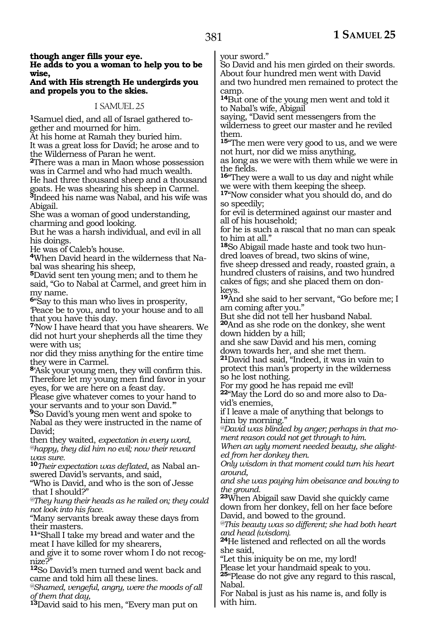#### **though anger fills your eye. He adds to you a woman to help you to be wise,**

#### **And with His strength He undergirds you and propels you to the skies.**

#### 1 SAMUEL 25

**1**Samuel died, and all of Israel gathered together and mourned for him.

At his home at Ramah they buried him.

It was a great loss for David; he arose and to the Wilderness of Paran he went.

**<sup>2</sup>**There was a man in Maon whose possession was in Carmel and who had much wealth. He had three thousand sheep and a thousand

goats. He was shearing his sheep in Carmel. **<sup>3</sup>**Indeed his name was Nabal, and his wife was Abigail.

She was a woman of good understanding, charming and good looking.

But he was a harsh individual, and evil in all his doings.

He was of Caleb's house.

**4**When David heard in the wilderness that Nabal was shearing his sheep,

**<sup>5</sup>**David sent ten young men; and to them he said, "Go to Nabal at Carmel, and greet him in my name.

**<sup>6</sup>**"Say to this man who lives in prosperity, 'Peace be to you, and to your house and to all that you have this day.

**<sup>7</sup>**'Now I have heard that you have shearers. We did not hurt your shepherds all the time they were with us;

nor did they miss anything for the entire time they were in Carmel.

**<sup>8</sup>**'Ask your young men, they will confirm this. Therefore let my young men find favor in your eyes, for we are here on a feast day.

Please give whatever comes to your hand to your servants and to your son David.'"

**<sup>9</sup>**So David's young men went and spoke to Nabal as they were instructed in the name of David;

then they waited, *expectation in every word, @happy, they did him no evil; now their reward was sure.*

**<sup>10</sup>***Their expectation was deflated*, as Nabal answered David's servants, and said,

"Who is David, and who is the son of Jesse that I should?"

*@They hung their heads as he railed on; they could not look into his face.*

"Many servants break away these days from their masters.

**<sup>11</sup>**"Shall I take my bread and water and the meat I have killed for my shearers,

and give it to some rover whom I do not recog- nize?"

**<sup>12</sup>**So David's men turned and went back and came and told him all these lines.

*@Shamed, vengeful, angry, were the moods of all of them that day,*

**<sup>13</sup>**David said to his men, "Every man put on

your sword."

So David and his men girded on their swords. About four hundred men went with David and two hundred men remained to protect the camp.

**<sup>14</sup>**But one of the young men went and told it to Nabal's wife, Abigail

saying, "David sent messengers from the wilderness to greet our master and he reviled them.

**<sup>15</sup>**"The men were very good to us, and we were not hurt, nor did we miss anything,

as long as we were with them while we were in the fields.

**<sup>16</sup>**"They were a wall to us day and night while we were with them keeping the sheep.

**<sup>17</sup>**"Now consider what you should do, and do so speedily;

for evil is determined against our master and all of his household;

for he is such a rascal that no man can speak to him at all."

**18**So Abigail made haste and took two hundred loaves of bread, two skins of wine, five sheep dressed and ready, roasted grain, a hundred clusters of raisins, and two hundred cakes of figs; and she placed them on donkeys.

**<sup>19</sup>**And she said to her servant, "Go before me; I am coming after you."

But she did not tell her husband Nabal.

**<sup>20</sup>**And as she rode on the donkey, she went down hidden by a hill;

and she saw David and his men, coming down towards her, and she met them.

**<sup>21</sup>**David had said, "Indeed, it was in vain to protect this man's property in the wilderness so he lost nothing.

For my good he has repaid me evil!

**22**"May the Lord do so and more also to David's enemies,

if I leave a male of anything that belongs to him by morning."

*@David was blinded by anger; perhaps in that moment reason could not get through to him.* 

*When an ugly moment needed beauty, she alighted from her donkey then.*

*Only wisdom in that moment could turn his heart around,*

*and she was paying him obeisance and bowing to the ground.*

**<sup>23</sup>**When Abigail saw David she quickly came down from her donkey, fell on her face before David, and bowed to the ground.

*@This beauty was so different; she had both heart and head (wisdom).*

**<sup>24</sup>**He listened and reflected on all the words she said,

"Let this iniquity be on me, my lord!

Please let your handmaid speak to you. **<sup>25</sup>**"Please do not give any regard to this rascal, Nabal.

For Nabal is just as his name is, and folly is with him.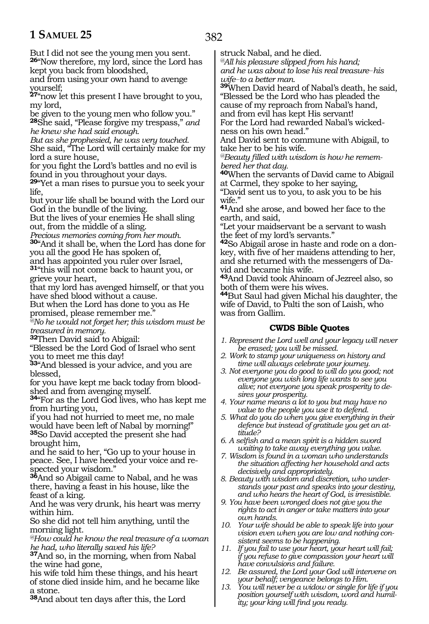But I did not see the young men you sent. **<sup>26</sup>**"Now therefore, my lord, since the Lord has kept you back from bloodshed,

and from using your own hand to avenge yourself;

**<sup>27</sup>**"now let this present I have brought to you, my lord,

be given to the young men who follow you." **<sup>28</sup>**She said, "Please forgive my trespass," *and he knew she had said enough.*

*But as she prophesied, he was very touched.*  She said, "The Lord will certainly make for my lord a sure house,

for you fight the Lord's battles and no evil is found in you throughout your days.

**<sup>29</sup>**"Yet a man rises to pursue you to seek your life,

but your life shall be bound with the Lord our God in the bundle of the living.

But the lives of your enemies He shall sling out, from the middle of a sling.

*Precious memories coming from her mouth.*

**<sup>30</sup>**"And it shall be, when the Lord has done for you all the good He has spoken of,

and has appointed you ruler over Israel,

**<sup>31</sup>**"this will not come back to haunt you, or grieve your heart,

that my lord has avenged himself, or that you have shed blood without a cause.

But when the Lord has done to you as He promised, please remember me.

*@No he would not forget her; this wisdom must be treasured in memory.*

**<sup>32</sup>**Then David said to Abigail:

"Blessed be the Lord God of Israel who sent you to meet me this day!

**<sup>33</sup>**"And blessed is your advice, and you are blessed,

for you have kept me back today from bloodshed and from avenging myself.

**<sup>34</sup>**"For as the Lord God lives, who has kept me from hurting you,

if you had not hurried to meet me, no male would have been left of Nabal by morning!" **<sup>35</sup>**So David accepted the present she had brought him,

and he said to her, "Go up to your house in peace. See, I have heeded your voice and respected your wisdom."

**<sup>36</sup>**And so Abigail came to Nabal, and he was there, having a feast in his house, like the feast of a king.

And he was very drunk, his heart was merry within him.

So she did not tell him anything, until the morning light.

*@How could he know the real treasure of a woman he had, who literally saved his life?* 

**<sup>37</sup>**And so, in the morning, when from Nabal the wine had gone,

his wife told him these things, and his heart of stone died inside him, and he became like a stone.

**<sup>38</sup>**And about ten days after this, the Lord

struck Nabal, and he died.

*@All his pleasure slipped from his hand; and he was about to lose his real treasure\_\_his wife\_\_to a better man.*

**<sup>39</sup>**When David heard of Nabal's death, he said, "Blessed be the Lord who has pleaded the cause of my reproach from Nabal's hand,

and from evil has kept His servant! For the Lord had rewarded Nabal's wickedness on his own head."

And David sent to commune with Abigail, to take her to be his wife.

*@Beauty filled with wisdom is how he remembered her that day.*

**<sup>40</sup>**When the servants of David came to Abigail at Carmel, they spoke to her saying,

"David sent us to you, to ask you to be his wife."

**<sup>41</sup>**And she arose, and bowed her face to the earth, and said,

"Let your maidservant be a servant to wash the feet of my lord's servants."

**42**So Abigail arose in haste and rode on a donkey, with five of her maidens attending to her, and she returned with the messengers of David and became his wife.

**<sup>43</sup>**And David took Ahinoam of Jezreel also, so both of them were his wives.

**<sup>44</sup>**But Saul had given Michal his daughter, the wife of David, to Palti the son of Laish, who was from Gallim.

### **CWDS Bible Quotes**

- *1. Represent the Lord well and your legacy will never be erased; you will be missed.*
- *2. Work to stamp your uniqueness on history and time will always celebrate your journey.*
- *3. Not everyone you do good to will do you good; not everyone you wish long life wants to see you alive; not everyone you speak prosperity to desires your prosperity.*
- *4. Your name means a lot to you but may have no value to the people you use it to defend.*
- *5. What do you do when you give everything in their defence but instead of gratitude you get an attitude?*
- *6. A selfish and a mean spirit is a hidden sword waiting to take away everything you value.*
- *7. Wisdom is found in a woman who understands the situation affecting her household and acts decisively and appropriately.*
- *8. Beauty with wisdom and discretion, who understands your past and speaks into your destiny, and who hears the heart of God, is irresistible.*
- *9. You have been wronged does not give you the rights to act in anger or take matters into your own hands.*
- *10. Your wife should be able to speak life into your vision even when you are low and nothing consistent seems to be happening.*
- *11. If you fail to use your heart, your heart will fail; if you refuse to give compassion your heart will have convulsions and failure.*
- *12. Be assured, the Lord your God will intervene on your behalf; vengeance belongs to Him.*
- *13. You will never be a widow or single for life if you position yourself with wisdom, word and humility; your king will find you ready.*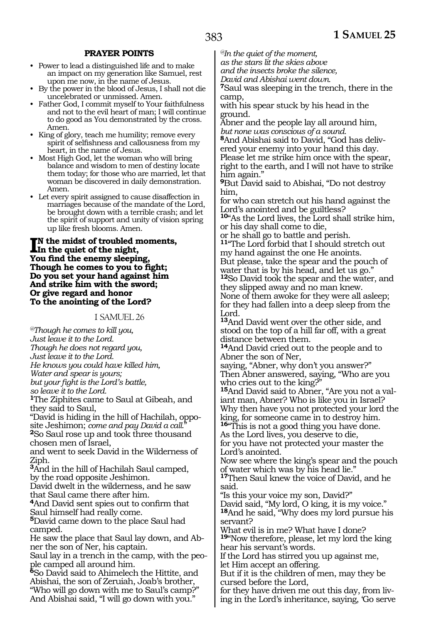#### **PRAYER POINTS**

- Power to lead a distinguished life and to make an impact on my generation like Samuel, rest upon me now, in the name of Jesus.
- By the power in the blood of Jesus, I shall not die uncelebrated or unmissed. Amen.
- Father God, I commit myself to Your faithfulness and not to the evil heart of man; I will continue to do good as You demonstrated by the cross. Amen.
- King of glory, teach me humility; remove every spirit of selfishness and callousness from my heart, in the name of Jesus.
- Most High God, let the woman who will bring balance and wisdom to men of destiny locate them today; for those who are married, let that woman be discovered in daily demonstration. Amen.
- Let every spirit assigned to cause disaffection in marriages because of the mandate of the Lord, be brought down with a terrible crash; and let the spirit of support and unity of vision spring up like fresh blooms. Amen.

#### **I**N the midst of troubled r<br>In the quiet of the night, **n the midst of troubled moments, You find the enemy sleeping, Though he comes to you to fight; Do you set your hand against him And strike him with the sword; Or give regard and honor To the anointing of the Lord?**

#### 1 SAMUEL 26

*@Though he comes to kill you, Just leave it to the Lord. Though he does not regard you, Just leave it to the Lord. He knows you could have killed him, Water and spear is yours; but your fight is the Lord's battle, so leave it to the Lord.* **<sup>1</sup>**The Ziphites came to Saul at Gibeah, and they said to Saul, "David is hiding in the hill of Hachilah, opposite Jeshimon; *come and pay David a call.*" **<sup>2</sup>**So Saul rose up and took three thousand chosen men of Israel, and went to seek David in the Wilderness of Ziph. **<sup>3</sup>**And in the hill of Hachilah Saul camped, by the road opposite Jeshimon. David dwelt in the wilderness, and he saw that Saul came there after him. **<sup>4</sup>**And David sent spies out to confirm that Saul himself had really come. **<sup>5</sup>**David came down to the place Saul had camped. He saw the place that Saul lay down, and Abner the son of Ner, his captain. Saul lay in a trench in the camp, with the people camped all around him. **<sup>6</sup>**So David said to Ahimelech the Hittite, and Abishai, the son of Zeruiah, Joab's brother, "Who will go down with me to Saul's camp?" And Abishai said, "I will go down with you."

*@In the quiet of the moment,*

*as the stars lit the skies above*

*and the insects broke the silence,*

*David and Abishai went down.*

**<sup>7</sup>**Saul was sleeping in the trench, there in the camp,

with his spear stuck by his head in the ground.

Abner and the people lay all around him, *but none was conscious of a sound.*

**8**And Abishai said to David, "God has delivered your enemy into your hand this day. Please let me strike him once with the spear, right to the earth, and I will not have to strike him again."

**<sup>9</sup>**But David said to Abishai, "Do not destroy him,

for who can stretch out his hand against the Lord's anointed and be guiltless?

**<sup>10</sup>**"As the Lord lives, the Lord shall strike him, or his day shall come to die,

or he shall go to battle and perish. **<sup>11</sup>**"The Lord forbid that I should stretch out my hand against the one He anoints. But please, take the spear and the pouch of water that is by his head, and let us go." **<sup>12</sup>**So David took the spear and the water, and they slipped away and no man knew. None of them awoke for they were all asleep;

for they had fallen into a deep sleep from the Lord.

**<sup>13</sup>**And David went over the other side, and stood on the top of a hill far off, with a great distance between them.

**<sup>14</sup>**And David cried out to the people and to Abner the son of Ner,

saying, "Abner, why don't you answer?" Then Abner answered, saying, "Who are you

who cries out to the king?"<br><sup>15</sup>And David said to Abner, "Are you not a valiant man, Abner? Who is like you in Israel? Why then have you not protected your lord the king, for someone came in to destroy him. **<sup>16</sup>**"This is not a good thing you have done.

As the Lord lives, you deserve to die, for you have not protected your master the

Lord's anointed.

Now see where the king's spear and the pouch of water which was by his head lie."

**<sup>17</sup>**Then Saul knew the voice of David, and he said.

"Is this your voice my son, David?"

David said, "My lord, O king, it is my voice." **<sup>18</sup>**And he said, "Why does my lord pursue his servant?

What evil is in me? What have I done? **<sup>19</sup>**"Now therefore, please, let my lord the king

hear his servant's words. If the Lord has stirred you up against me,

let Him accept an offering.

But if it is the children of men, may they be cursed before the Lord,

for they have driven me out this day, from liv- ing in the Lord's inheritance, saying, 'Go serve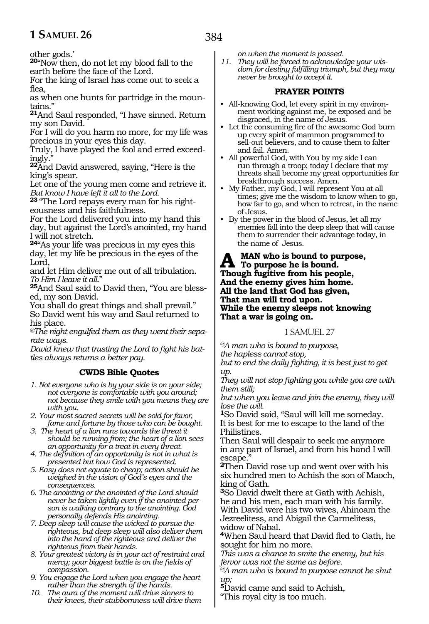other gods.'

**<sup>20</sup>**"Now then, do not let my blood fall to the earth before the face of the Lord.

For the king of Israel has come out to seek a flea,

as when one hunts for partridge in the mountains."

**<sup>21</sup>**And Saul responded, "I have sinned. Return my son David.

For I will do you harm no more, for my life was precious in your eyes this day.

Truly, I have played the fool and erred exceedingly."

**<sup>22</sup>**And David answered, saying, "Here is the king's spear.

Let one of the young men come and retrieve it. *But know I have left it all to the Lord.*

**23** "The Lord repays every man for his righteousness and his faithfulness.

For the Lord delivered you into my hand this day, but against the Lord's anointed, my hand I will not stretch.

**<sup>24</sup>**"As your life was precious in my eyes this day, let my life be precious in the eyes of the Lord,

and let Him deliver me out of all tribulation. *To Him I leave it all*."

**25**And Saul said to David then, "You are blessed, my son David.

You shall do great things and shall prevail." So David went his way and Saul returned to his place.

*@The night engulfed them as they went their separate ways.*

*David knew that trusting the Lord to fight his battles always returns a better pay.*

#### **CWDS Bible Quotes**

- *1. Not everyone who is by your side is on your side; not everyone is comfortable with you around; not because they smile with you means they are with you.*
- *2. Your most sacred secrets will be sold for favor, fame and fortune by those who can be bought.*
- *3. The heart of a lion runs towards the threat it should be running from; the heart of a lion sees an opportunity for a treat in every threat.*
- *4. The definition of an opportunity is not in what is presented but how God is represented.*
- *5. Easy does not equate to cheap; action should be weighed in the vision of God's eyes and the consequences.*
- *6. The anointing or the anointed of the Lord should never be taken lightly even if the anointed person is walking contrary to the anointing. God personally defends His anointing.*
- *7. Deep sleep will cause the wicked to pursue the righteous, but deep sleep will also deliver them into the hand of the righteous and deliver the righteous from their hands.*
- *8. Your greatest victory is in your act of restraint and mercy; your biggest battle is on the fields of compassion.*
- *9. You engage the Lord when you engage the heart rather than the strength of the hands.*
- *10. The aura of the moment will drive sinners to their knees, their stubbornness will drive them*

*on when the moment is passed.*

*11. They will be forced to acknowledge your wisdom for destiny fulfilling triumph, but they may never be brought to accept it.*

#### **PRAYER POINTS**

- All-knowing God, let every spirit in my environment working against me, be exposed and be disgraced, in the name of Jesus.
- Let the consuming fire of the awesome God burn up every spirit of mammon programmed to sell-out believers, and to cause them to falter and fail. Amen.
- All powerful God, with You by my side I can run through a troop; today I declare that my threats shall become my great opportunities for breakthrough success. Amen.
- My Father, my God, I will represent You at all times; give me the wisdom to know when to go, how far to go, and when to retreat, in the name of Jesus.
- By the power in the blood of Jesus, let all my enemies fall into the deep sleep that will cause them to surrender their advantage today, in the name of Jesus.

A MAN who is bound to purpose,<br>There he is bound.<br>There he first time from his nearly **Though fugitive from his people, And the enemy gives him home. All the land that God has given, That man will trod upon. While the enemy sleeps not knowing That a war is going on.**

#### 1 SAMUEL 27

*@A man who is bound to purpose, the hapless cannot stop, but to end the daily fighting, it is best just to get* 

*up. They will not stop fighting you while you are with them still;*

*but when you leave and join the enemy, they will lose the will.*

**<sup>1</sup>**So David said, "Saul will kill me someday. It is best for me to escape to the land of the Philistines.

Then Saul will despair to seek me anymore in any part of Israel, and from his hand I will escape.

**<sup>2</sup>**Then David rose up and went over with his six hundred men to Achish the son of Maoch, king of Gath.

**<sup>3</sup>**So David dwelt there at Gath with Achish, he and his men, each man with his family. With David were his two wives, Ahinoam the Jezreelitess, and Abigail the Carmelitess, widow of Nabal.

**<sup>4</sup>**When Saul heard that David fled to Gath, he sought for him no more.

*This was a chance to smite the enemy, but his fervor was not the same as before.*

*@A man who is bound to purpose cannot be shut up;*

**<sup>5</sup>**David came and said to Achish, "This royal city is too much.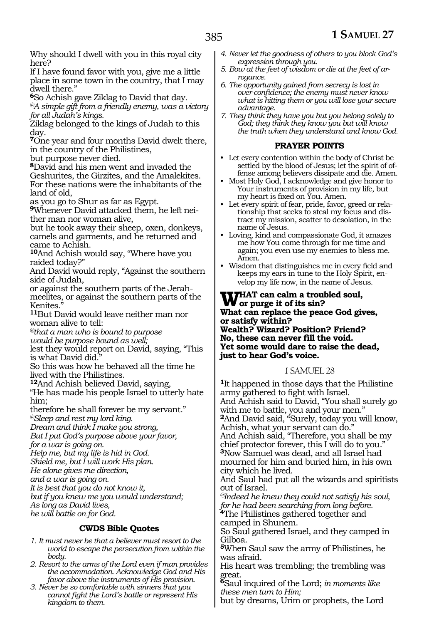Why should I dwell with you in this royal city here?

If I have found favor with you, give me a little place in some town in the country, that I may dwell there."

**<sup>6</sup>**So Achish gave Ziklag to David that day.

*@A simple gift from a friendly enemy, was a victory for all Judah's kings.*

Ziklag belonged to the kings of Judah to this day.

**<sup>7</sup>**One year and four months David dwelt there, in the country of the Philistines,

but purpose never died.

**<sup>8</sup>**David and his men went and invaded the Geshurites, the Girzites, and the Amalekites. For these nations were the inhabitants of the land of old,

as you go to Shur as far as Egypt.

**9**Whenever David attacked them, he left neither man nor woman alive,

but he took away their sheep, oxen, donkeys, camels and garments, and he returned and came to Achish.

**<sup>10</sup>**And Achish would say, "Where have you raided today?"

And David would reply, "Against the southern side of Judah,

or against the southern parts of the Jerahmeelites, or against the southern parts of the Kenites."

**<sup>11</sup>**But David would leave neither man nor woman alive to tell:

*@that a man who is bound to purpose would be purpose bound as well;*

lest they would report on David, saying, "This is what David did.

So this was how he behaved all the time he lived with the Philistines.

**<sup>12</sup>**And Achish believed David, saying,

"He has made his people Israel to utterly hate him;

therefore he shall forever be my servant."

*@Sleep and rest my lord king.*

*Dream and think I make you strong, But I put God's purpose above your favor,*

*for a war is going on.*

*Help me, but my life is hid in God.*

*Shield me, but I will work His plan.*

*He alone gives me direction,*

*and a war is going on.*

*It is best that you do not know it,*

*but if you knew me you would understand; As long as David lives,*

*he will battle on for God.*

#### **CWDS Bible Quotes**

- *1. It must never be that a believer must resort to the world to escape the persecution from within the body.*
- *2. Resort to the arms of the Lord even if man provides the accommodation. Acknowledge God and His favor above the instruments of His provision.*
- *3. Never be so comfortable with sinners that you cannot fight the Lord's battle or represent His kingdom to them.*
- *4. Never let the goodness of others to you block God's expression through you.*
- *5. Bow at the feet of wisdom or die at the feet of arrogance.*
- *6. The opportunity gained from secrecy is lost in over-confidence; the enemy must never know what is hitting them or you will lose your secure advantage.*
- *7. They think they have you but you belong solely to God; they think they know you but will know the truth when they understand and know God.*

#### **PRAYER POINTS**

- Let every contention within the body of Christ be settled by the blood of Jesus; let the spirit of offense among believers dissipate and die. Amen.
- Most Holy God, I acknowledge and give honor to Your instruments of provision in my life, but my heart is fixed on You. Amen.
- Let every spirit of fear, pride, favor, greed or relationship that seeks to steal my focus and distract my mission, scatter to desolation, in the name of Jesus.
- Loving, kind and compassionate God, it amazes me how You come through for me time and again; you even use my enemies to bless me. Amen.
- Wisdom that distinguishes me in every field and keeps my ears in tune to the Holy Spirit, envelop my life now, in the name of Jesus.

#### WHAT can calm a troubled soul,<br>Wor purge it of its sin?<br>What can gaplace the gazes Cad riv **What can replace the peace God gives, or satisfy within? Wealth? Wizard? Position? Friend? No, these can never fill the void. Yet some would dare to raise the dead, just to hear God's voice.**

#### 1 SAMUEL 28

**<sup>1</sup>**It happened in those days that the Philistine army gathered to fight with Israel. And Achish said to David, "You shall surely go with me to battle, you and your men." **<sup>2</sup>**And David said, "Surely, today you will know, Achish, what your servant can do." And Achish said, "Therefore, you shall be my chief protector forever, this I will do to you." **<sup>3</sup>**Now Samuel was dead, and all Israel had mourned for him and buried him, in his own city which he lived.

And Saul had put all the wizards and spiritists out of Israel.

*@Indeed he knew they could not satisfy his soul, for he had been searching from long before.* **<sup>4</sup>**The Philistines gathered together and

camped in Shunem.

So Saul gathered Israel, and they camped in Gilboa.

**<sup>5</sup>**When Saul saw the army of Philistines, he was afraid.

His heart was trembling; the trembling was great.

**<sup>6</sup>**Saul inquired of the Lord; *in moments like these men turn to Him;*

but by dreams, Urim or prophets, the Lord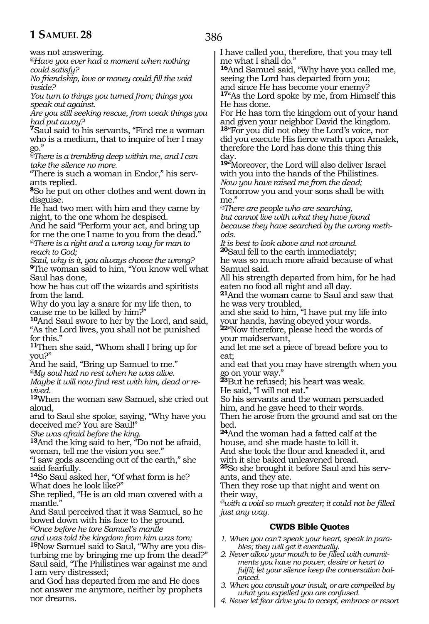was not answering.

*@Have you ever had a moment when nothing could satisfy?*

*No friendship, love or money could fill the void inside?*

*You turn to things you turned from; things you speak out against.*

*Are you still seeking rescue, from weak things you had put away?*

**<sup>7</sup>**Saul said to his servants, "Find me a woman who is a medium, that to inquire of her I may go."

*@There is a trembling deep within me, and I can take the silence no more.*

"There is such a woman in Endor," his serv- ants replied.

**<sup>8</sup>**So he put on other clothes and went down in disguise.

He had two men with him and they came by night, to the one whom he despised.

And he said "Perform your act, and bring up for me the one I name to you from the dead." *@There is a right and a wrong way for man to reach to God;*

*Saul, why is it, you always choose the wrong?* **<sup>9</sup>**The woman said to him, "You know well what Saul has done,

how he has cut off the wizards and spiritists from the land.

Why do you lay a snare for my life then, to cause me to be killed by him?"

**<sup>10</sup>**And Saul swore to her by the Lord, and said, "As the Lord lives, you shall not be punished for this."

**<sup>11</sup>**Then she said, "Whom shall I bring up for you?"

And he said, "Bring up Samuel to me."

*@My soul had no rest when he was alive. Maybe it will now find rest with him, dead or revived.*

**<sup>12</sup>**When the woman saw Samuel, she cried out aloud,

and to Saul she spoke, saying, "Why have you deceived me? You are Saul!"

*She was afraid before the king.*

**<sup>13</sup>**And the king said to her, "Do not be afraid, woman, tell me the vision you see."

"I saw gods ascending out of the earth," she said fearfully.

**<sup>14</sup>**So Saul asked her, "Of what form is he? What does he look like?"

She replied, "He is an old man covered with a mantle.'

And Saul perceived that it was Samuel, so he bowed down with his face to the ground. *@Once before he tore Samuel's mantle*

*and was told the kingdom from him was torn;* **15**Now Samuel said to Saul, "Why are you disturbing me by bringing me up from the dead?" Saul said, "The Philistines war against me and I am very distressed;

and God has departed from me and He does not answer me anymore, neither by prophets nor dreams.

I have called you, therefore, that you may tell me what I shall do."

**<sup>16</sup>**And Samuel said, "Why have you called me, seeing the Lord has departed from you; and since He has become your enemy? **<sup>17</sup>**"As the Lord spoke by me, from Himself this He has done.

For He has torn the kingdom out of your hand and given your neighbor David the kingdom. **<sup>18</sup>**"For you did not obey the Lord's voice, nor did you execute His fierce wrath upon Amalek, therefore the Lord has done this thing this day.

**<sup>19</sup>**"Moreover, the Lord will also deliver Israel with you into the hands of the Philistines. *Now you have raised me from the dead;* Tomorrow you and your sons shall be with me."

*@There are people who are searching, but cannot live with what they have found because they have searched by the wrong methods.* 

*It is best to look above and not around.* **<sup>20</sup>**Saul fell to the earth immediately;

he was so much more afraid because of what Samuel said.

All his strength departed from him, for he had eaten no food all night and all day.

**<sup>21</sup>**And the woman came to Saul and saw that he was very troubled,

and she said to him, "I have put my life into your hands, having obeyed your words.

**<sup>22</sup>**"Now therefore, please heed the words of your maidservant,

and let me set a piece of bread before you to eat;

and eat that you may have strength when you go on your way."

**<sup>23</sup>**But he refused; his heart was weak. He said, "I will not eat."

So his servants and the woman persuaded him, and he gave heed to their words.

Then he arose from the ground and sat on the bed.

**<sup>24</sup>**And the woman had a fatted calf at the house, and she made haste to kill it. And she took the flour and kneaded it, and with it she baked unleavened bread.

**25**So she brought it before Saul and his servants, and they ate.

Then they rose up that night and went on their way,

*@with a void so much greater; it could not be filled just any way.*

#### **CWDS Bible Quotes**

- *1. When you can't speak your heart, speak in parables; they will get it eventually.*
- *2. Never allow your mouth to be filled with commitments you have no power, desire or heart to fulfil; let your silence keep the conversation balanced.*
- *3. When you consult your insult, or are compelled by what you expelled you are confused.*
- *4. Never let fear drive you to accept, embrace or resort*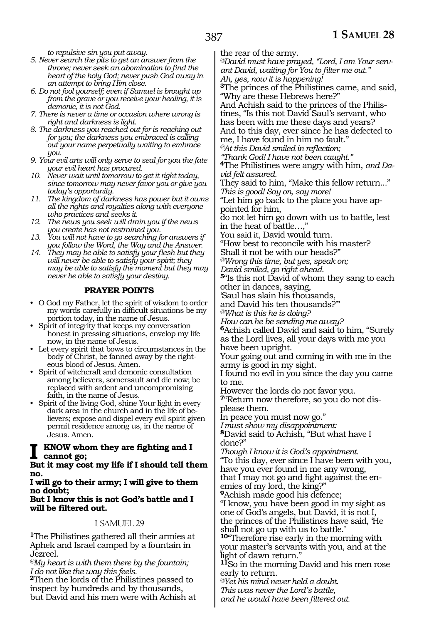*to repulsive sin you put away.*

- *5. Never search the pits to get an answer from the throne; never seek an abomination to find the heart of the holy God; never push God away in an attempt to bring Him close.*
- *6. Do not fool yourself; even if Samuel is brought up from the grave or you receive your healing, it is demonic, it is not God.*
- *7. There is never a time or occasion where wrong is right and darkness is light.*
- *8. The darkness you reached out for is reaching out for you; the darkness you embraced is calling out your name perpetually waiting to embrace you.*
- *9. Your evil arts will only serve to seal for you the fate your evil heart has procured.*
- *10. Never wait until tomorrow to get it right today, since tomorrow may never favor you or give you today's opportunity.*
- *11. The kingdom of darkness has power but it owns all the rights and royalties along with everyone who practices and seeks it.*
- *12. The news you seek will drain you if the news you create has not restrained you.*
- *13. You will not have to go searching for answers if you follow the Word, the Way and the Answer.*
- *14. They may be able to satisfy your flesh but they will never be able to satisfy your spirit; they may be able to satisfy the moment but they may never be able to satisfy your destiny.*

#### **PRAYER POINTS**

- O God my Father, let the spirit of wisdom to order my words carefully in difficult situations be my portion today, in the name of Jesus.
- Spirit of integrity that keeps my conversation honest in pressing situations, envelop my life now, in the name of Jesus.
- Let every spirit that bows to circumstances in the body of Christ, be fanned away by the righteous blood of Jesus. Amen.
- Spirit of witchcraft and demonic consultation among believers, somersault and die now; be replaced with ardent and uncompromising faith, in the name of Jesus.
- Spirit of the living God, shine Your light in every dark area in the church and in the life of believers; expose and dispel every evil spirit given permit residence among us, in the name of Jesus. Amen.

#### **I know whom they are fighting and I cannot go;**

**But it may cost my life if I should tell them no.**

#### **I will go to their army; I will give to them no doubt;**

#### **But I know this is not God's battle and I will be filtered out.**

#### 1 SAMUEL 29

**<sup>1</sup>**The Philistines gathered all their armies at Aphek and Israel camped by a fountain in Jezreel.

*@My heart is with them there by the fountain; I do not like the way this feels.*

**<sup>2</sup>**Then the lords of the Philistines passed to inspect by hundreds and by thousands, but David and his men were with Achish at the rear of the army.

*@David must have prayed, "Lord, I am Your servant David, waiting for You to filter me out."*

*Ah, yes, now it is happening!*

**<sup>3</sup>**The princes of the Philistines came, and said, "Why are these Hebrews here?"

And Achish said to the princes of the Philistines, "Is this not David Saul's servant, who has been with me these days and years? And to this day, ever since he has defected to me, I have found in him no fault."

*@At this David smiled in reflection;*

*"Thank God! I have not been caught."*

**<sup>4</sup>**The Philistines were angry with him, *and David felt assured.*

They said to him, "Make this fellow return..." *This is good! Say on, say more!*

"Let him go back to the place you have appointed for him,

do not let him go down with us to battle, lest in the heat of battle...

You said it, David would turn.

"How best to reconcile with his master? Shall it not be with our heads?"

*@Wrong this time, but yes, speak on;*

*David smiled, go right ahead.*

**<sup>5</sup>**"Is this not David of whom they sang to each other in dances, saying,

'Saul has slain his thousands,

and David his ten thousands?'"

*@What is this he is doing?*

*How can he be sending me away?*

**<sup>6</sup>**Achish called David and said to him, "Surely as the Lord lives, all your days with me you have been upright.

Your going out and coming in with me in the army is good in my sight.

I found no evil in you since the day you came to me.

However the lords do not favor you.

**<sup>7</sup>**"Return now therefore, so you do not dis- please them.

In peace you must now go."

*I must show my disappointment:*

**<sup>8</sup>**David said to Achish, "But what have I done?"

*Though I know it is God's appointment.* "To this day, ever since I have been with you, have you ever found in me any wrong, that I may not go and fight against the enemies of my lord, the king?"

**<sup>9</sup>**Achish made good his defence;

"I know, you have been good in my sight as one of God's angels, but David, it is not I, the princes of the Philistines have said, 'He shall not go up with us to battle.'

**<sup>10</sup>**"Therefore rise early in the morning with your master's servants with you, and at the light of dawn return."

**<sup>11</sup>**So in the morning David and his men rose early to return.

*@Yet his mind never held a doubt. This was never the Lord's battle, and he would have been filtered out.*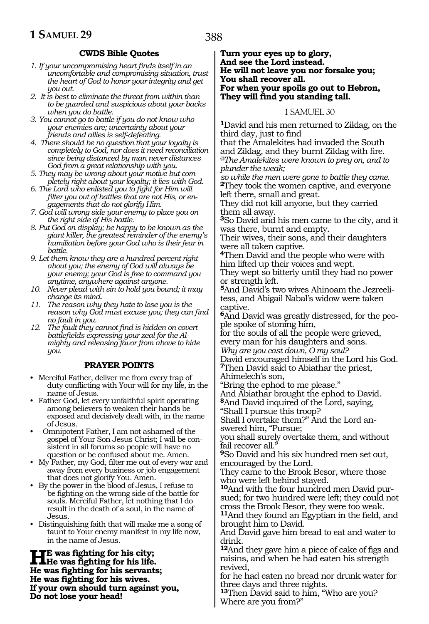#### 388

#### **CWDS Bible Quotes**

- *1. If your uncompromising heart finds itself in an uncomfortable and compromising situation, trust the heart of God to honor your integrity and get you out.*
- *2. It is best to eliminate the threat from within than to be guarded and suspicious about your backs when you do battle.*
- *3. You cannot go to battle if you do not know who your enemies are; uncertainty about your friends and allies is self-defeating.*
- *4. There should be no question that your loyalty is completely to God, nor does it need reconciliation since being distanced by man never distances God from a great relationship with you.*
- *5. They may be wrong about your motive but completely right about your loyalty; it lies with God.*
- *6. The Lord who enlisted you to fight for Him will filter you out of battles that are not His, or engagements that do not glorify Him.*
- *7. God will wrong side your enemy to place you on the right side of His battle.*
- *8. Put God on display; be happy to be known as the giant killer, the greatest reminder of the enemy's humiliation before your God who is their fear in battle.*
- *9. Let them know they are a hundred percent right about you; the enemy of God will always be your enemy; your God is free to command you anytime, anywhere against anyone.*
- *10. Never plead with sin to hold you bound; it may change its mind.*
- *11. The reason why they hate to lose you is the reason why God must excuse you; they can find no fault in you.*
- *12. The fault they cannot find is hidden on covert battlefields expressing your zeal for the Almighty and releasing favor from above to hide you.*

#### **PRAYER POINTS**

- Merciful Father, deliver me from every trap of duty conflicting with Your will for my life, in the name of Jesus.
- Father God, let every unfaithful spirit operating among believers to weaken their hands be exposed and decisively dealt with, in the name of Jesus.
- Omnipotent Father, I am not ashamed of the gospel of Your Son Jesus Christ; I will be consistent in all forums so people will have no question or be confused about me. Amen.
- My Father, my God, filter me out of every war and away from every business or job engagement that does not glorify You. Amen.
- By the power in the blood of Jesus, I refuse to be fighting on the wrong side of the battle for souls. Merciful Father, let nothing that I do result in the death of a soul, in the name of Jesus.
- Distinguishing faith that will make me a song of taunt to Your enemy manifest in my life now, in the name of Jesus.

**He was fighting for his city; He was fighting for his life. He was fighting for his servants; He was fighting for his wives. If your own should turn against you, Do not lose your head!**

#### **Turn your eyes up to glory, And see the Lord instead. He will not leave you nor forsake you; You shall recover all. For when your spoils go out to Hebron, They will find you standing tall.**

#### 1 SAMUEL 30

**<sup>1</sup>**David and his men returned to Ziklag, on the third day, just to find

that the Amalekites had invaded the South and Ziklag, and they burnt Ziklag with fire. *@The Amalekites were known to prey on, and to plunder the weak;*

*so while the men were gone to battle they came.* **<sup>2</sup>**They took the women captive, and everyone left there, small and great.

They did not kill anyone, but they carried them all away.

**<sup>3</sup>**So David and his men came to the city, and it was there, burnt and empty.

Their wives, their sons, and their daughters were all taken captive.

**<sup>4</sup>**Then David and the people who were with him lifted up their voices and wept.

They wept so bitterly until they had no power or strength left.

**5**And David's two wives Ahinoam the Jezreelitess, and Abigail Nabal's widow were taken captive.

**6**And David was greatly distressed, for the people spoke of stoning him,

for the souls of all the people were grieved, every man for his daughters and sons.

*Why are you cast down, O my soul?*

David encouraged himself in the Lord his God. **<sup>7</sup>**Then David said to Abiathar the priest, Ahimelech's son,

"Bring the ephod to me please."

And Abiathar brought the ephod to David. **<sup>8</sup>**And David inquired of the Lord, saying,

"Shall I pursue this troop?

Shall I overtake them?" And the Lord answered him, "Pursue;

you shall surely overtake them, and without fail recover all."

**<sup>9</sup>**So David and his six hundred men set out, encouraged by the Lord.

They came to the Brook Besor, where those who were left behind stayed.

**10**And with the four hundred men David pursued; for two hundred were left; they could not cross the Brook Besor, they were too weak.

**<sup>11</sup>**And they found an Egyptian in the field, and brought him to David.

And David gave him bread to eat and water to drink.

**<sup>12</sup>**And they gave him a piece of cake of figs and raisins, and when he had eaten his strength revived,

for he had eaten no bread nor drunk water for three days and three nights.

**<sup>13</sup>**Then David said to him, "Who are you? Where are you from?"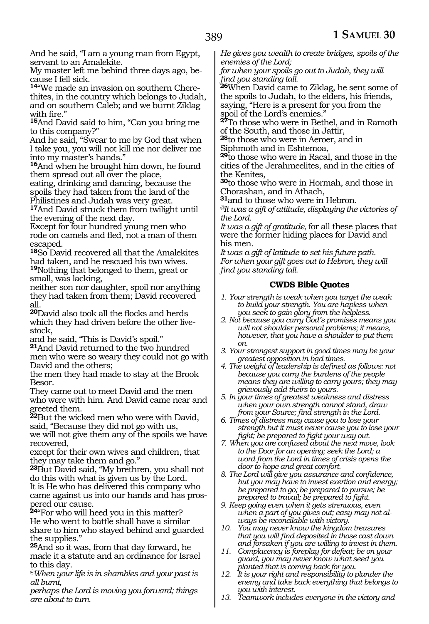And he said, "I am a young man from Egypt, servant to an Amalekite.

My master left me behind three days ago, because I fell sick.

**14**"We made an invasion on southern Cherethites, in the country which belongs to Judah, and on southern Caleb; and we burnt Ziklag with fire."

**<sup>15</sup>**And David said to him, "Can you bring me to this company?"

And he said, "Swear to me by God that when I take you, you will not kill me nor deliver me into my master's hands."

**<sup>16</sup>**And when he brought him down, he found them spread out all over the place,

eating, drinking and dancing, because the spoils they had taken from the land of the Philistines and Judah was very great.

**<sup>17</sup>**And David struck them from twilight until the evening of the next day.

Except for four hundred young men who rode on camels and fled, not a man of them escaped.

**<sup>18</sup>**So David recovered all that the Amalekites had taken, and he rescued his two wives. **<sup>19</sup>**Nothing that belonged to them, great or small, was lacking,

neither son nor daughter, spoil nor anything they had taken from them; David recovered all.

**<sup>20</sup>**David also took all the flocks and herds which they had driven before the other livestock,

and he said, "This is David's spoil."

**<sup>21</sup>**And David returned to the two hundred men who were so weary they could not go with David and the others;

the men they had made to stay at the Brook Besor.

They came out to meet David and the men who were with him. And David came near and greeted them.

**<sup>22</sup>**But the wicked men who were with David, said, "Because they did not go with us,

we will not give them any of the spoils we have recovered,

except for their own wives and children, that they may take them and go."

**<sup>23</sup>**But David said, "My brethren, you shall not do this with what is given us by the Lord. It is He who has delivered this company who came against us into our hands and has prospered our cause.

**<sup>24</sup>**"For who will heed you in this matter? He who went to battle shall have a similar share to him who stayed behind and guarded the supplies."

**<sup>25</sup>**And so it was, from that day forward, he made it a statute and an ordinance for Israel to this day.

*@When your life is in shambles and your past is all burnt,*

*perhaps the Lord is moving you forward; things are about to turn.*

*He gives you wealth to create bridges, spoils of the enemies of the Lord;*

*for when your spoils go out to Judah, they will find you standing tall.*

**<sup>26</sup>**When David came to Ziklag, he sent some of the spoils to Judah, to the elders, his friends, saying, "Here is a present for you from the spoil of the Lord's enemies."

**<sup>27</sup>**To those who were in Bethel, and in Ramoth of the South, and those in Jattir,

**<sup>28</sup>**to those who were in Aeroer, and in Siphmoth and in Eshtemoa,

**<sup>29</sup>**to those who were in Racal, and those in the cities of the Jerahmeelites, and in the cities of the Kenites,

**<sup>30</sup>**to those who were in Hormah, and those in Chorashan, and in Athach,

**<sup>31</sup>**and to those who were in Hebron.

*@It was a gift of attitude, displaying the victories of the Lord.*

*It was a gift of gratitude*, for all these places that were the former hiding places for David and his men.

*It was a gift of latitude to set his future path. For when your gift goes out to Hebron, they will find you standing tall.*

#### **CWDS Bible Quotes**

*1. Your strength is weak when you target the weak to build your strength. You are hapless when you seek to gain glory from the helpless.*

- *2. Not because you carry God's promises means you will not shoulder personal problems; it means, however, that you have a shoulder to put them on.*
- *3. Your strongest support in good times may be your greatest opposition in bad times.*
- *4. The weight of leadership is defined as follows: not because you carry the burdens of the people means they are willing to carry yours; they may grievously add theirs to yours.*
- *5. In your times of greatest weakness and distress when your own strength cannot stand, draw from your Source; find strength in the Lord.*
- *6. Times of distress may cause you to lose your strength but it must never cause you to lose your fight; be prepared to fight your way out.*
- *7. When you are confused about the next move, look to the Door for an opening; seek the Lord; a word from the Lord in times of crisis opens the door to hope and great comfort.*
- *8. The Lord will give you assurance and confidence, but you may have to invest exertion and energy; be prepared to go; be prepared to pursue; be prepared to travail; be prepared to fight.*
- *9. Keep going even when it gets strenuous, even when a part of you gives out; easy may not always be reconcilable with victory.*
- *10. You may never know the kingdom treasures that you will find deposited in those cast down and forsaken if you are willing to invest in them.*
- *11. Complacency is foreplay for defeat; be on your guard, you may never know what seed you planted that is coming back for you.*
- *12. It is your right and responsibility to plunder the enemy and take back everything that belongs to you with interest.*
- *13. Teamwork includes everyone in the victory and*